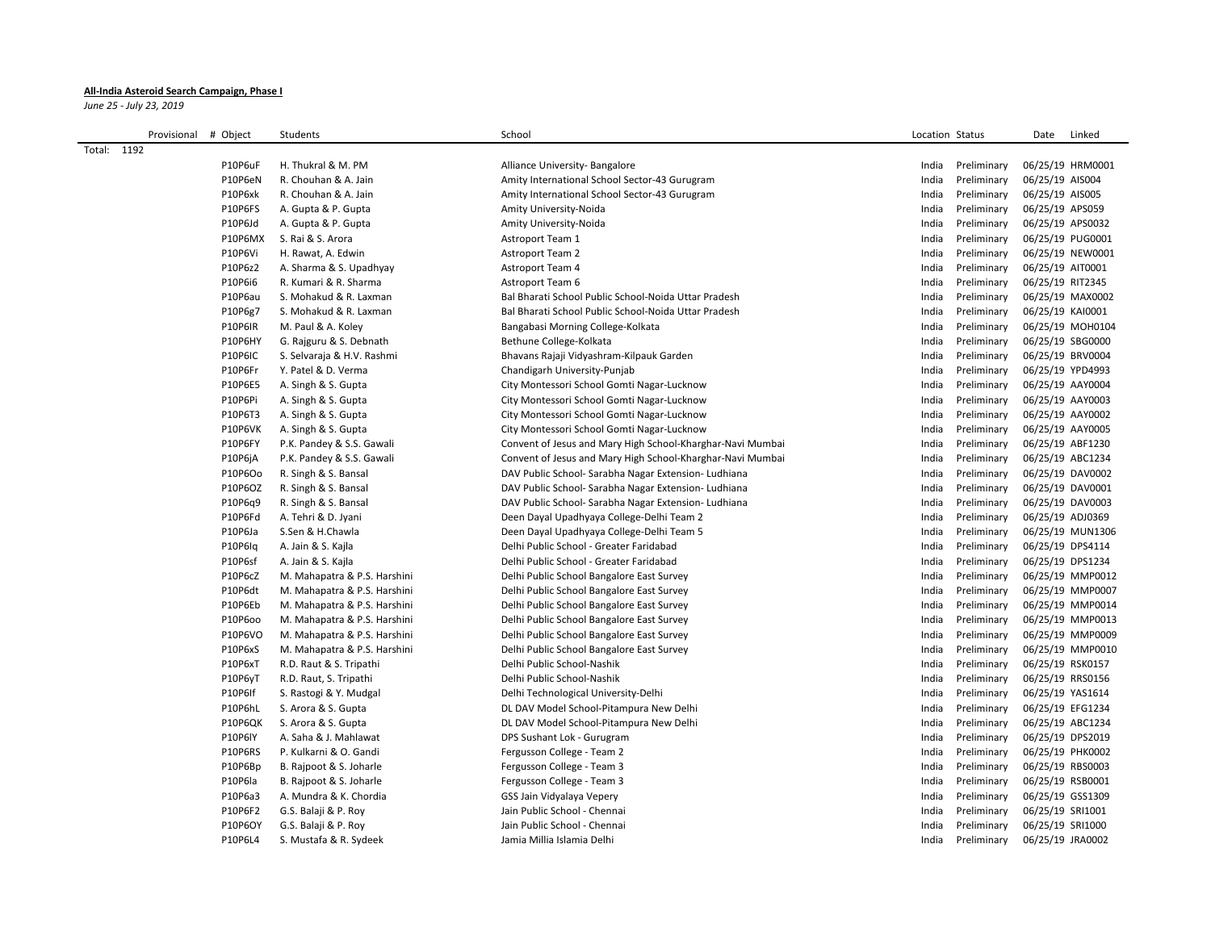## **All-India Asteroid Search Campaign, Phase I**

*June 25 - July 23, 2019*

| Provisional # Object |                           | Students                                       | School                                                     | Location Status |             | Date             | Linked           |
|----------------------|---------------------------|------------------------------------------------|------------------------------------------------------------|-----------------|-------------|------------------|------------------|
| Total: 1192          |                           |                                                |                                                            |                 |             |                  |                  |
|                      | P10P6uF                   | H. Thukral & M. PM                             | Alliance University- Bangalore                             | India           | Preliminary |                  | 06/25/19 HRM0001 |
|                      | P10P6eN                   | R. Chouhan & A. Jain                           | Amity International School Sector-43 Gurugram              | India           | Preliminary | 06/25/19 AIS004  |                  |
|                      | P10P6xk                   | R. Chouhan & A. Jain                           | Amity International School Sector-43 Gurugram              | India           | Preliminary | 06/25/19 AIS005  |                  |
|                      | P10P6FS                   | A. Gupta & P. Gupta                            | Amity University-Noida                                     | India           | Preliminary | 06/25/19 APS059  |                  |
|                      | P10P6Jd                   | A. Gupta & P. Gupta                            | Amity University-Noida                                     | India           | Preliminary | 06/25/19 APS0032 |                  |
|                      | P10P6MX                   | S. Rai & S. Arora                              | Astroport Team 1                                           | India           | Preliminary | 06/25/19 PUG0001 |                  |
|                      | P10P6Vi                   | H. Rawat, A. Edwin                             | <b>Astroport Team 2</b>                                    | India           | Preliminary |                  | 06/25/19 NEW0001 |
|                      | P10P6z2                   | A. Sharma & S. Upadhyay                        | Astroport Team 4                                           | India           | Preliminary | 06/25/19 AIT0001 |                  |
|                      | P10P6i6                   | R. Kumari & R. Sharma                          | Astroport Team 6                                           | India           | Preliminary | 06/25/19 RIT2345 |                  |
|                      | P10P6au                   | S. Mohakud & R. Laxman                         | Bal Bharati School Public School-Noida Uttar Pradesh       | India           | Preliminary |                  | 06/25/19 MAX0002 |
|                      | P10P6g7                   | S. Mohakud & R. Laxman                         | Bal Bharati School Public School-Noida Uttar Pradesh       | India           | Preliminary | 06/25/19 KAI0001 |                  |
|                      | P10P6IR                   | M. Paul & A. Koley                             | Bangabasi Morning College-Kolkata                          | India           | Preliminary |                  | 06/25/19 MOH0104 |
|                      | P10P6HY                   | G. Rajguru & S. Debnath                        | Bethune College-Kolkata                                    | India           | Preliminary | 06/25/19 SBG0000 |                  |
|                      | <b>P10P6IC</b>            | S. Selvaraja & H.V. Rashmi                     | Bhavans Rajaji Vidyashram-Kilpauk Garden                   | India           | Preliminary | 06/25/19 BRV0004 |                  |
|                      | P10P6Fr                   | Y. Patel & D. Verma                            | Chandigarh University-Punjab                               | India           | Preliminary | 06/25/19 YPD4993 |                  |
|                      | P10P6E5                   | A. Singh & S. Gupta                            | City Montessori School Gomti Nagar-Lucknow                 | India           | Preliminary | 06/25/19 AAY0004 |                  |
|                      | P10P6Pi                   | A. Singh & S. Gupta                            | City Montessori School Gomti Nagar-Lucknow                 | India           | Preliminary | 06/25/19 AAY0003 |                  |
|                      | P10P6T3                   | A. Singh & S. Gupta                            | City Montessori School Gomti Nagar-Lucknow                 | India           | Preliminary | 06/25/19 AAY0002 |                  |
|                      | P10P6VK                   | A. Singh & S. Gupta                            | City Montessori School Gomti Nagar-Lucknow                 | India           | Preliminary | 06/25/19 AAY0005 |                  |
|                      | P10P6FY                   | P.K. Pandey & S.S. Gawali                      | Convent of Jesus and Mary High School-Kharghar-Navi Mumbai | India           | Preliminary | 06/25/19 ABF1230 |                  |
|                      | P10P6jA                   | P.K. Pandey & S.S. Gawali                      | Convent of Jesus and Mary High School-Kharghar-Navi Mumbai | India           | Preliminary | 06/25/19 ABC1234 |                  |
|                      | P10P6Oo                   | R. Singh & S. Bansal                           | DAV Public School- Sarabha Nagar Extension- Ludhiana       | India           | Preliminary | 06/25/19 DAV0002 |                  |
|                      | P10P6OZ                   | R. Singh & S. Bansal                           | DAV Public School- Sarabha Nagar Extension- Ludhiana       | India           | Preliminary | 06/25/19 DAV0001 |                  |
|                      | P10P6q9                   | R. Singh & S. Bansal                           | DAV Public School- Sarabha Nagar Extension- Ludhiana       | India           | Preliminary | 06/25/19 DAV0003 |                  |
|                      | P10P6Fd                   | A. Tehri & D. Jyani                            | Deen Dayal Upadhyaya College-Delhi Team 2                  | India           | Preliminary | 06/25/19 ADJ0369 |                  |
|                      | P10P6Ja                   | S.Sen & H.Chawla                               | Deen Dayal Upadhyaya College-Delhi Team 5                  | India           | Preliminary |                  | 06/25/19 MUN1306 |
|                      | P10P6Iq                   | A. Jain & S. Kajla                             | Delhi Public School - Greater Faridabad                    | India           | Preliminary | 06/25/19 DPS4114 |                  |
|                      | P10P6sf                   | A. Jain & S. Kajla                             | Delhi Public School - Greater Faridabad                    | India           | Preliminary | 06/25/19 DPS1234 |                  |
|                      | P10P6cZ                   | M. Mahapatra & P.S. Harshini                   | Delhi Public School Bangalore East Survey                  | India           | Preliminary |                  | 06/25/19 MMP0012 |
|                      | P10P6dt                   | M. Mahapatra & P.S. Harshini                   | Delhi Public School Bangalore East Survey                  | India           | Preliminary |                  | 06/25/19 MMP0007 |
|                      | P10P6Eb                   | M. Mahapatra & P.S. Harshini                   | Delhi Public School Bangalore East Survey                  | India           | Preliminary |                  | 06/25/19 MMP0014 |
|                      | P10P6oo                   | M. Mahapatra & P.S. Harshini                   | Delhi Public School Bangalore East Survey                  | India           | Preliminary |                  | 06/25/19 MMP0013 |
|                      | P10P6VO                   | M. Mahapatra & P.S. Harshini                   | Delhi Public School Bangalore East Survey                  | India           | Preliminary |                  | 06/25/19 MMP0009 |
|                      | P10P6xS                   | M. Mahapatra & P.S. Harshini                   | Delhi Public School Bangalore East Survey                  | India           | Preliminary |                  | 06/25/19 MMP0010 |
|                      | P10P6xT                   | R.D. Raut & S. Tripathi                        | Delhi Public School-Nashik                                 | India           | Preliminary | 06/25/19 RSK0157 |                  |
|                      | P10P6yT                   | R.D. Raut, S. Tripathi                         | Delhi Public School-Nashik                                 | India           | Preliminary | 06/25/19 RRS0156 |                  |
|                      | P10P6If                   | S. Rastogi & Y. Mudgal                         | Delhi Technological University-Delhi                       | India           | Preliminary | 06/25/19 YAS1614 |                  |
|                      | P10P6hL                   | S. Arora & S. Gupta                            | DL DAV Model School-Pitampura New Delhi                    | India           | Preliminary | 06/25/19 EFG1234 |                  |
|                      | P10P6QK                   | S. Arora & S. Gupta                            | DL DAV Model School-Pitampura New Delhi                    | India           | Preliminary | 06/25/19 ABC1234 |                  |
|                      | P10P6lY                   | A. Saha & J. Mahlawat                          | DPS Sushant Lok - Gurugram                                 | India           | Preliminary | 06/25/19 DPS2019 |                  |
|                      | P10P6RS                   | P. Kulkarni & O. Gandi                         | Fergusson College - Team 2                                 | India           | Preliminary | 06/25/19 PHK0002 |                  |
|                      | P10P6Bp                   | B. Rajpoot & S. Joharle                        | Fergusson College - Team 3                                 | India           | Preliminary | 06/25/19 RBS0003 |                  |
|                      | P10P6la                   | B. Rajpoot & S. Joharle                        | Fergusson College - Team 3                                 | India           | Preliminary | 06/25/19 RSB0001 |                  |
|                      | P10P6a3                   | A. Mundra & K. Chordia                         | GSS Jain Vidyalaya Vepery                                  | India           | Preliminary | 06/25/19 GSS1309 |                  |
|                      | P10P6F2                   | G.S. Balaji & P. Roy                           | Jain Public School - Chennai                               | India           | Preliminary | 06/25/19 SRI1001 |                  |
|                      | <b>P10P6OY</b><br>P10P6L4 | G.S. Balaji & P. Roy<br>S. Mustafa & R. Sydeek | Jain Public School - Chennai<br>Jamia Millia Islamia Delhi | India<br>India  | Preliminary | 06/25/19 SRI1000 |                  |
|                      |                           |                                                |                                                            |                 | Preliminary | 06/25/19 JRA0002 |                  |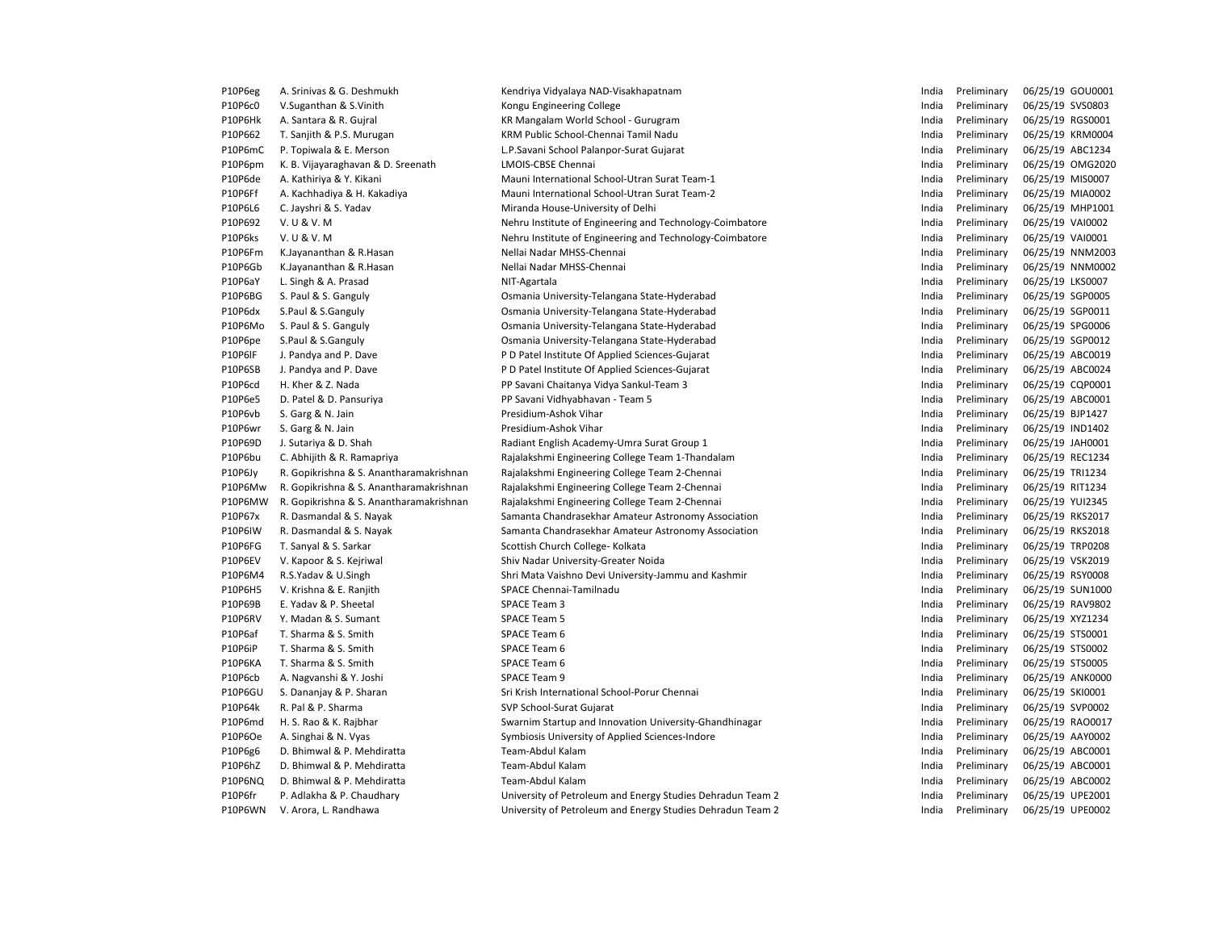| P10P6eg | A. Srinivas & G. Deshmukh                                                          | Kendriya Vidyalaya NAD-Visakhapatnam                       | India | Preliminary                | 06/25/19 GOU0001                     |
|---------|------------------------------------------------------------------------------------|------------------------------------------------------------|-------|----------------------------|--------------------------------------|
| P10P6c0 | V.Suganthan & S.Vinith                                                             | Kongu Engineering College                                  | India | Preliminary                | 06/25/19 SVS0803                     |
| P10P6Hk | A. Santara & R. Gujral                                                             | KR Mangalam World School - Gurugram                        | India | Preliminary                | 06/25/19 RGS0001                     |
| P10P662 | T. Sanjith & P.S. Murugan                                                          | KRM Public School-Chennai Tamil Nadu                       | India | Preliminary                | 06/25/19 KRM0004                     |
| P10P6mC | P. Topiwala & E. Merson                                                            | L.P.Savani School Palanpor-Surat Gujarat                   | India | Preliminary                | 06/25/19 ABC1234                     |
| P10P6pm | K. B. Vijayaraghavan & D. Sreenath                                                 | LMOIS-CBSE Chennai                                         | India | Preliminary                | 06/25/19 OMG2020                     |
| P10P6de | A. Kathiriya & Y. Kikani                                                           | Mauni International School-Utran Surat Team-1              | India | Preliminary                | 06/25/19 MIS0007                     |
| P10P6Ff | A. Kachhadiya & H. Kakadiya                                                        | Mauni International School-Utran Surat Team-2              | India | Preliminary                | 06/25/19 MIA0002                     |
| P10P6L6 | C. Jayshri & S. Yadav                                                              | Miranda House-University of Delhi                          | India | Preliminary                | 06/25/19 MHP1001                     |
| P10P692 | V. U & V. M                                                                        | Nehru Institute of Engineering and Technology-Coimbatore   | India | Preliminary                | 06/25/19 VAI0002                     |
| P10P6ks | V. U & V. M                                                                        | Nehru Institute of Engineering and Technology-Coimbatore   | India | Preliminary                | 06/25/19 VAI0001                     |
| P10P6Fm | K.Jayananthan & R.Hasan                                                            | Nellai Nadar MHSS-Chennai                                  | India | Preliminary                | 06/25/19 NNM2003                     |
| P10P6Gb | K.Jayananthan & R.Hasan                                                            | Nellai Nadar MHSS-Chennai                                  | India | Preliminary                | 06/25/19 NNM0002                     |
| P10P6aY | L. Singh & A. Prasad                                                               | NIT-Agartala                                               | India | Preliminary                | 06/25/19 LKS0007                     |
| P10P6BG | S. Paul & S. Ganguly                                                               | Osmania University-Telangana State-Hyderabad               | India | Preliminary                | 06/25/19 SGP0005                     |
| P10P6dx | S.Paul & S.Ganguly                                                                 | Osmania University-Telangana State-Hyderabad               | India | Preliminary                | 06/25/19 SGP0011                     |
| P10P6Mo | S. Paul & S. Ganguly                                                               | Osmania University-Telangana State-Hyderabad               | India | Preliminary                | 06/25/19 SPG0006                     |
| P10P6pe | S.Paul & S.Ganguly                                                                 | Osmania University-Telangana State-Hyderabad               | India | Preliminary                | 06/25/19 SGP0012                     |
| P10P6IF | J. Pandya and P. Dave                                                              | P D Patel Institute Of Applied Sciences-Gujarat            | India | Preliminary                | 06/25/19 ABC0019                     |
| P10P6SB | J. Pandya and P. Dave                                                              | P D Patel Institute Of Applied Sciences-Gujarat            | India | Preliminary                | 06/25/19 ABC0024                     |
| P10P6cd | H. Kher & Z. Nada                                                                  | PP Savani Chaitanya Vidya Sankul-Team 3                    | India | Preliminary                | 06/25/19 CQP0001                     |
| P10P6e5 | D. Patel & D. Pansuriya                                                            | PP Savani Vidhyabhavan - Team 5                            | India | Preliminary                | 06/25/19 ABC0001                     |
| P10P6vb | S. Garg & N. Jain                                                                  | Presidium-Ashok Vihar                                      | India | Preliminary                | 06/25/19 BJP1427                     |
| P10P6wr | S. Garg & N. Jain                                                                  | Presidium-Ashok Vihar                                      | India | Preliminary                | 06/25/19 IND1402                     |
| P10P69D | J. Sutariya & D. Shah                                                              | Radiant English Academy-Umra Surat Group 1                 | India | Preliminary                | 06/25/19 JAH0001                     |
| P10P6bu | C. Abhijith & R. Ramapriya                                                         | Rajalakshmi Engineering College Team 1-Thandalam           | India | Preliminary                | 06/25/19 REC1234                     |
| P10P6Jy | R. Gopikrishna & S. Anantharamakrishnan                                            | Rajalakshmi Engineering College Team 2-Chennai             | India | Preliminary                | 06/25/19 TRI1234                     |
| P10P6Mw |                                                                                    |                                                            | India | Preliminary                |                                      |
| P10P6MW | R. Gopikrishna & S. Anantharamakrishnan<br>R. Gopikrishna & S. Anantharamakrishnan | Rajalakshmi Engineering College Team 2-Chennai             | India | Preliminary                | 06/25/19 RIT1234<br>06/25/19 YUI2345 |
|         |                                                                                    | Rajalakshmi Engineering College Team 2-Chennai             |       |                            |                                      |
| P10P67x | R. Dasmandal & S. Nayak                                                            | Samanta Chandrasekhar Amateur Astronomy Association        | India | Preliminary<br>Preliminary | 06/25/19 RKS2017                     |
| P10P6IW | R. Dasmandal & S. Nayak                                                            | Samanta Chandrasekhar Amateur Astronomy Association        | India |                            | 06/25/19 RKS2018                     |
| P10P6FG | T. Sanyal & S. Sarkar                                                              | Scottish Church College- Kolkata                           | India | Preliminary                | 06/25/19 TRP0208                     |
| P10P6EV | V. Kapoor & S. Kejriwal                                                            | Shiv Nadar University-Greater Noida                        | India | Preliminary                | 06/25/19 VSK2019                     |
| P10P6M4 | R.S.Yadav & U.Singh                                                                | Shri Mata Vaishno Devi University-Jammu and Kashmir        | India | Preliminary                | 06/25/19 RSY0008                     |
| P10P6H5 | V. Krishna & E. Ranjith                                                            | SPACE Chennai-Tamilnadu                                    | India | Preliminary                | 06/25/19 SUN1000                     |
| P10P69B | E. Yadav & P. Sheetal                                                              | SPACE Team 3                                               | India | Preliminary                | 06/25/19 RAV9802                     |
| P10P6RV | Y. Madan & S. Sumant                                                               | <b>SPACE Team 5</b>                                        | India | Preliminary                | 06/25/19 XYZ1234                     |
| P10P6af | T. Sharma & S. Smith                                                               | SPACE Team 6                                               | India | Preliminary                | 06/25/19 STS0001                     |
| P10P6iP | T. Sharma & S. Smith                                                               | SPACE Team 6                                               | India | Preliminary                | 06/25/19 STS0002                     |
| P10P6KA | T. Sharma & S. Smith                                                               | SPACE Team 6                                               | India | Preliminary                | 06/25/19 STS0005                     |
| P10P6cb | A. Nagvanshi & Y. Joshi                                                            | SPACE Team 9                                               | India | Preliminary                | 06/25/19 ANK0000                     |
| P10P6GU | S. Dananjay & P. Sharan                                                            | Sri Krish International School-Porur Chennai               | India | Preliminary                | 06/25/19 SKI0001                     |
| P10P64k | R. Pal & P. Sharma                                                                 | SVP School-Surat Gujarat                                   | India | Preliminary                | 06/25/19 SVP0002                     |
| P10P6md | H. S. Rao & K. Rajbhar                                                             | Swarnim Startup and Innovation University-Ghandhinagar     | India | Preliminary                | 06/25/19 RAO0017                     |
| P10P6Oe | A. Singhai & N. Vyas                                                               | Symbiosis University of Applied Sciences-Indore            | India | Preliminary                | 06/25/19 AAY0002                     |
| P10P6g6 | D. Bhimwal & P. Mehdiratta                                                         | Team-Abdul Kalam                                           | India | Preliminary                | 06/25/19 ABC0001                     |
| P10P6hZ | D. Bhimwal & P. Mehdiratta                                                         | Team-Abdul Kalam                                           | India | Preliminary                | 06/25/19 ABC0001                     |
| P10P6NQ | D. Bhimwal & P. Mehdiratta                                                         | Team-Abdul Kalam                                           | India | Preliminary                | 06/25/19 ABC0002                     |
| P10P6fr | P. Adlakha & P. Chaudhary                                                          | University of Petroleum and Energy Studies Dehradun Team 2 | India | Preliminary                | 06/25/19 UPE2001                     |
| P10P6WN | V. Arora, L. Randhawa                                                              | University of Petroleum and Energy Studies Dehradun Team 2 | India | Preliminary                | 06/25/19 UPE0002                     |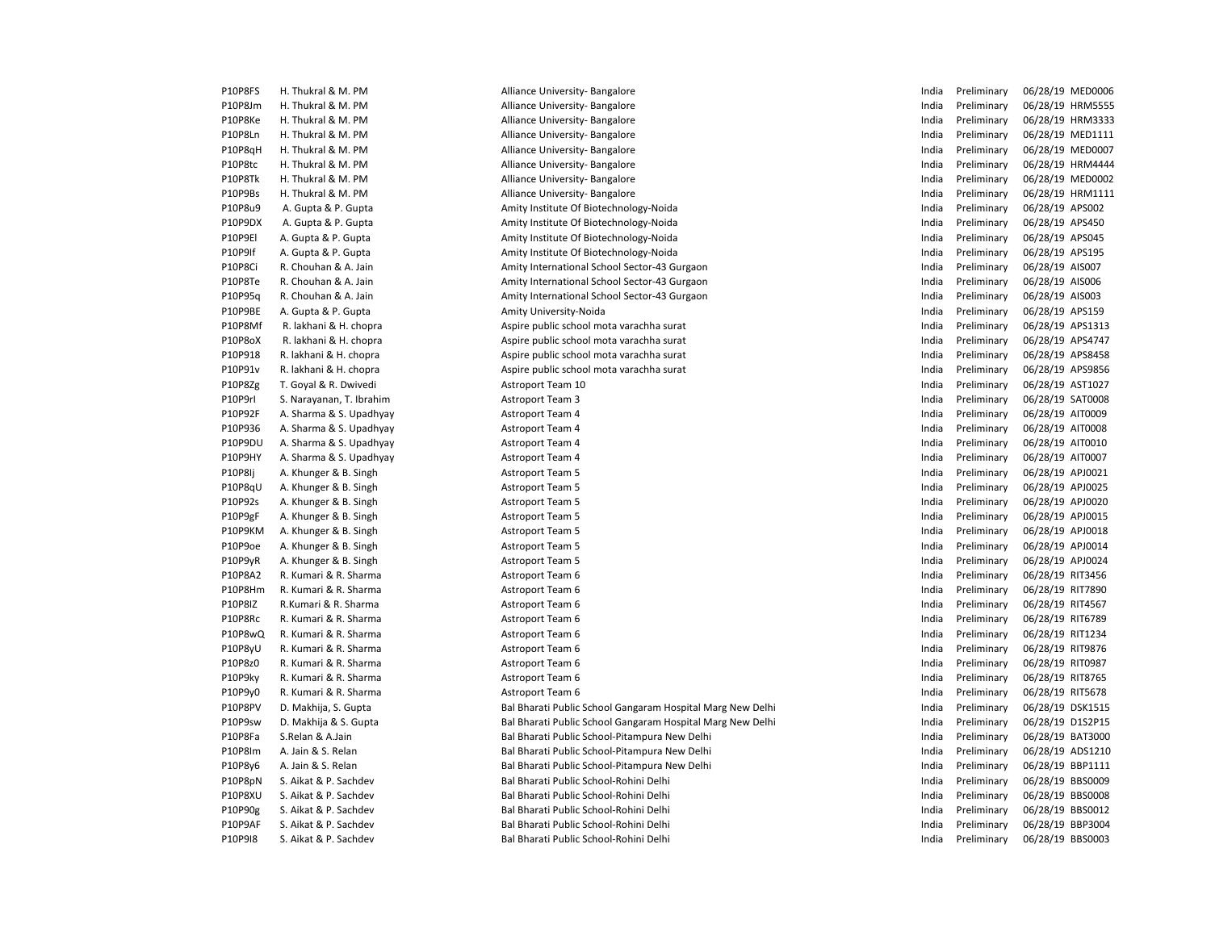| P10P8FS | H. Thukral & M. PM       | Alliance University- Bangalore                             | India | Preliminary                | 06/28/19 MED0006 |
|---------|--------------------------|------------------------------------------------------------|-------|----------------------------|------------------|
| P10P8Jm | H. Thukral & M. PM       | Alliance University- Bangalore                             | India | Preliminary                | 06/28/19 HRM5555 |
| P10P8Ke | H. Thukral & M. PM       | Alliance University- Bangalore                             | India | Preliminary                | 06/28/19 HRM3333 |
| P10P8Ln | H. Thukral & M. PM       | Alliance University-Bangalore                              | India | Preliminary                | 06/28/19 MED1111 |
| P10P8qH | H. Thukral & M. PM       | Alliance University- Bangalore                             | India | Preliminary                | 06/28/19 MED0007 |
| P10P8tc | H. Thukral & M. PM       | Alliance University-Bangalore                              | India | Preliminary                | 06/28/19 HRM4444 |
| P10P8Tk | H. Thukral & M. PM       | Alliance University- Bangalore                             | India | Preliminary                | 06/28/19 MED0002 |
| P10P9Bs | H. Thukral & M. PM       | Alliance University-Bangalore                              | India | Preliminary                | 06/28/19 HRM1111 |
| P10P8u9 | A. Gupta & P. Gupta      | Amity Institute Of Biotechnology-Noida                     | India | Preliminary                | 06/28/19 APS002  |
| P10P9DX | A. Gupta & P. Gupta      | Amity Institute Of Biotechnology-Noida                     | India | Preliminary                | 06/28/19 APS450  |
| P10P9EI | A. Gupta & P. Gupta      | Amity Institute Of Biotechnology-Noida                     | India | Preliminary                | 06/28/19 APS045  |
| P10P9If | A. Gupta & P. Gupta      | Amity Institute Of Biotechnology-Noida                     | India | Preliminary                | 06/28/19 APS195  |
| P10P8Ci | R. Chouhan & A. Jain     | Amity International School Sector-43 Gurgaon               | India | Preliminary                | 06/28/19 AIS007  |
| P10P8Te | R. Chouhan & A. Jain     | Amity International School Sector-43 Gurgaon               | India | Preliminary                | 06/28/19 AIS006  |
| P10P95a | R. Chouhan & A. Jain     | Amity International School Sector-43 Gurgaon               | India | Preliminary                | 06/28/19 AIS003  |
| P10P9BE | A. Gupta & P. Gupta      | Amity University-Noida                                     | India | Preliminary                | 06/28/19 APS159  |
| P10P8Mf | R. lakhani & H. chopra   | Aspire public school mota varachha surat                   | India | Preliminary                | 06/28/19 APS1313 |
| P10P8oX | R. lakhani & H. chopra   | Aspire public school mota varachha surat                   | India | Preliminary                | 06/28/19 APS4747 |
| P10P918 | R. lakhani & H. chopra   | Aspire public school mota varachha surat                   | India | Preliminary                | 06/28/19 APS8458 |
| P10P91v | R. lakhani & H. chopra   | Aspire public school mota varachha surat                   | India | Preliminary                | 06/28/19 APS9856 |
| P10P8Zg | T. Goyal & R. Dwivedi    | Astroport Team 10                                          | India | Preliminary                | 06/28/19 AST1027 |
| P10P9rl | S. Narayanan, T. Ibrahim | <b>Astroport Team 3</b>                                    | India | Preliminary                | 06/28/19 SAT0008 |
| P10P92F | A. Sharma & S. Upadhyay  | <b>Astroport Team 4</b>                                    | India | Preliminary                | 06/28/19 AIT0009 |
| P10P936 | A. Sharma & S. Upadhyay  | <b>Astroport Team 4</b>                                    | India | Preliminary                | 06/28/19 AIT0008 |
| P10P9DU | A. Sharma & S. Upadhyay  | <b>Astroport Team 4</b>                                    | India | Preliminary                | 06/28/19 AIT0010 |
| P10P9HY | A. Sharma & S. Upadhyay  | <b>Astroport Team 4</b>                                    | India | Preliminary                | 06/28/19 AIT0007 |
| P10P8Ij | A. Khunger & B. Singh    | <b>Astroport Team 5</b>                                    | India | Preliminary                | 06/28/19 APJ0021 |
| P10P8qU | A. Khunger & B. Singh    | <b>Astroport Team 5</b>                                    | India | Preliminary                | 06/28/19 APJ0025 |
| P10P92s | A. Khunger & B. Singh    | <b>Astroport Team 5</b>                                    | India | Preliminary                | 06/28/19 APJ0020 |
| P10P9gF | A. Khunger & B. Singh    | <b>Astroport Team 5</b>                                    | India | Preliminary                | 06/28/19 APJ0015 |
| P10P9KM | A. Khunger & B. Singh    | <b>Astroport Team 5</b>                                    | India | Preliminary                | 06/28/19 APJ0018 |
| P10P9oe | A. Khunger & B. Singh    | <b>Astroport Team 5</b>                                    | India | Preliminary                | 06/28/19 APJ0014 |
| P10P9yR | A. Khunger & B. Singh    | <b>Astroport Team 5</b>                                    | India | Preliminary                | 06/28/19 APJ0024 |
| P10P8A2 | R. Kumari & R. Sharma    | Astroport Team 6                                           | India | Preliminary                | 06/28/19 RIT3456 |
| P10P8Hm | R. Kumari & R. Sharma    | Astroport Team 6                                           | India | Preliminary                | 06/28/19 RIT7890 |
| P10P8IZ | R.Kumari & R. Sharma     | Astroport Team 6                                           | India | Preliminary                | 06/28/19 RIT4567 |
| P10P8Rc | R. Kumari & R. Sharma    |                                                            | India | Preliminary                | 06/28/19 RIT6789 |
| P10P8wQ | R. Kumari & R. Sharma    | Astroport Team 6<br>Astroport Team 6                       | India | Preliminary                | 06/28/19 RIT1234 |
| P10P8yU | R. Kumari & R. Sharma    | Astroport Team 6                                           | India | Preliminary                | 06/28/19 RIT9876 |
| P10P8z0 | R. Kumari & R. Sharma    |                                                            | India | Preliminary                | 06/28/19 RIT0987 |
| P10P9ky | R. Kumari & R. Sharma    | Astroport Team 6<br>Astroport Team 6                       | India | Preliminary                | 06/28/19 RIT8765 |
| P10P9y0 | R. Kumari & R. Sharma    | Astroport Team 6                                           | India | Preliminary                | 06/28/19 RIT5678 |
| P10P8PV |                          |                                                            | India |                            | 06/28/19 DSK1515 |
| P10P9sw | D. Makhija, S. Gupta     | Bal Bharati Public School Gangaram Hospital Marg New Delhi | India | Preliminary<br>Preliminary | 06/28/19 D1S2P15 |
|         | D. Makhija & S. Gupta    | Bal Bharati Public School Gangaram Hospital Marg New Delhi |       |                            |                  |
| P10P8Fa | S.Relan & A.Jain         | Bal Bharati Public School-Pitampura New Delhi              | India | Preliminary                | 06/28/19 BAT3000 |
| P10P8Im | A. Jain & S. Relan       | Bal Bharati Public School-Pitampura New Delhi              | India | Preliminary                | 06/28/19 ADS1210 |
| P10P8y6 | A. Jain & S. Relan       | Bal Bharati Public School-Pitampura New Delhi              | India | Preliminary                | 06/28/19 BBP1111 |
| P10P8pN | S. Aikat & P. Sachdev    | Bal Bharati Public School-Rohini Delhi                     | India | Preliminary                | 06/28/19 BBS0009 |
| P10P8XU | S. Aikat & P. Sachdev    | Bal Bharati Public School-Rohini Delhi                     | India | Preliminary                | 06/28/19 BBS0008 |
| P10P90g | S. Aikat & P. Sachdev    | Bal Bharati Public School-Rohini Delhi                     | India | Preliminary                | 06/28/19 BBS0012 |
| P10P9AF | S. Aikat & P. Sachdev    | Bal Bharati Public School-Rohini Delhi                     | India | Preliminary                | 06/28/19 BBP3004 |
| P10P9I8 | S. Aikat & P. Sachdev    | Bal Bharati Public School-Rohini Delhi                     | India | Preliminary                | 06/28/19 BBS0003 |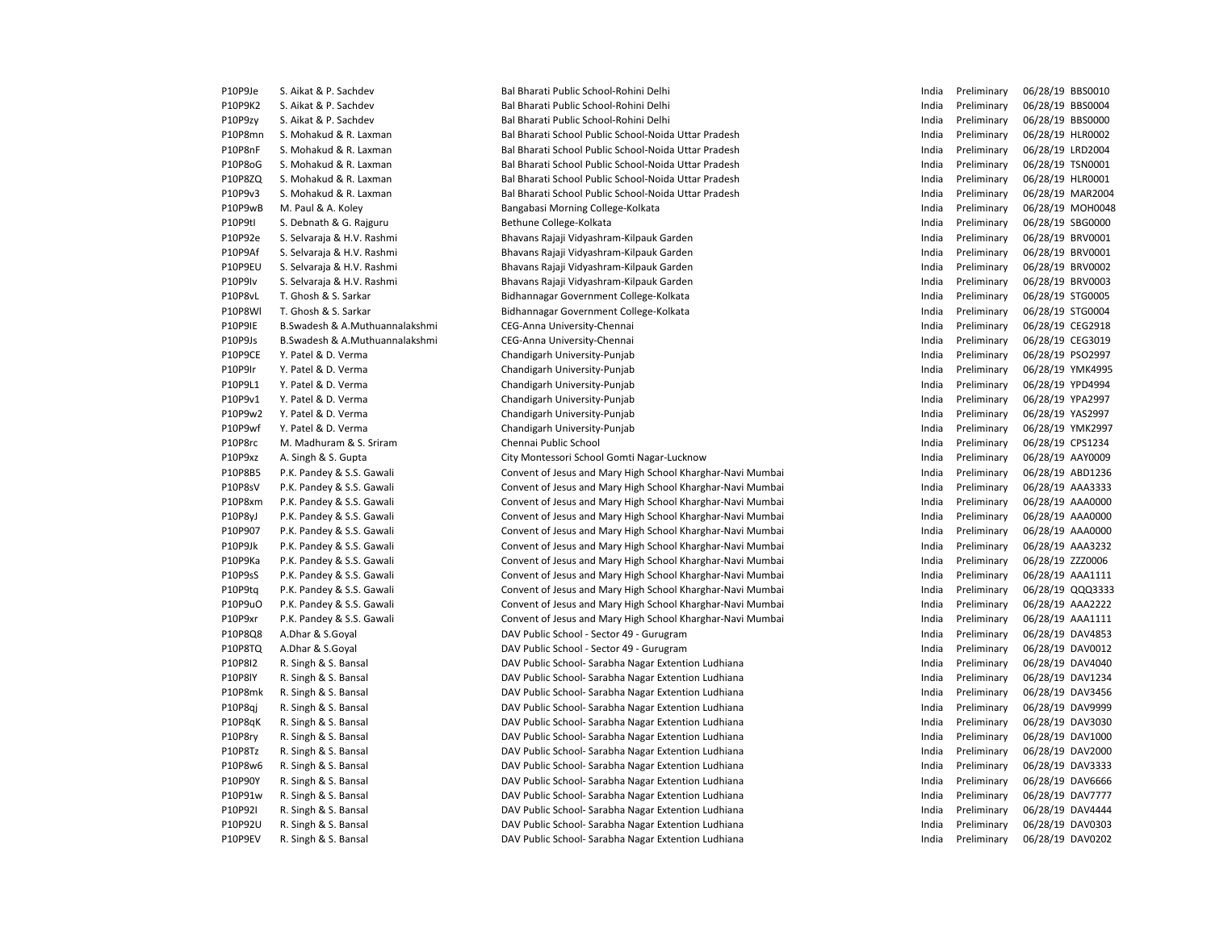| P10P9Je | S. Aikat & P. Sachdev            | Bal Bharati Public School-Rohini Delhi                     | India | Preliminary | 06/28/19 BBS0010 |
|---------|----------------------------------|------------------------------------------------------------|-------|-------------|------------------|
| P10P9K2 | S. Aikat & P. Sachdev            | Bal Bharati Public School-Rohini Delhi                     | India | Preliminary | 06/28/19 BBS0004 |
| P10P9zy | S. Aikat & P. Sachdev            | Bal Bharati Public School-Rohini Delhi                     | India | Preliminary | 06/28/19 BBS0000 |
| P10P8mn | S. Mohakud & R. Laxman           | Bal Bharati School Public School-Noida Uttar Pradesh       | India | Preliminary | 06/28/19 HLR0002 |
| P10P8nF | S. Mohakud & R. Laxman           | Bal Bharati School Public School-Noida Uttar Pradesh       | India | Preliminary | 06/28/19 LRD2004 |
| P10P8oG | S. Mohakud & R. Laxman           | Bal Bharati School Public School-Noida Uttar Pradesh       | India | Preliminary | 06/28/19 TSN0001 |
| P10P8ZQ | S. Mohakud & R. Laxman           | Bal Bharati School Public School-Noida Uttar Pradesh       | India | Preliminary | 06/28/19 HLR0001 |
| P10P9v3 | S. Mohakud & R. Laxman           | Bal Bharati School Public School-Noida Uttar Pradesh       | India | Preliminary | 06/28/19 MAR2004 |
| P10P9wB | M. Paul & A. Koley               | Bangabasi Morning College-Kolkata                          | India | Preliminary | 06/28/19 MOH0048 |
| P10P9tl | S. Debnath & G. Rajguru          | Bethune College-Kolkata                                    | India | Preliminary | 06/28/19 SBG0000 |
| P10P92e | S. Selvaraja & H.V. Rashmi       | Bhavans Rajaji Vidyashram-Kilpauk Garden                   | India | Preliminary | 06/28/19 BRV0001 |
| P10P9Af | S. Selvaraja & H.V. Rashmi       | Bhavans Rajaji Vidyashram-Kilpauk Garden                   | India | Preliminary | 06/28/19 BRV0001 |
| P10P9EU | S. Selvaraja & H.V. Rashmi       | Bhavans Rajaji Vidyashram-Kilpauk Garden                   | India | Preliminary | 06/28/19 BRV0002 |
| P10P9Iv | S. Selvaraja & H.V. Rashmi       | Bhavans Rajaji Vidyashram-Kilpauk Garden                   | India | Preliminary | 06/28/19 BRV0003 |
| P10P8vL | T. Ghosh & S. Sarkar             | Bidhannagar Government College-Kolkata                     | India | Preliminary | 06/28/19 STG0005 |
| P10P8Wl | T. Ghosh & S. Sarkar             | Bidhannagar Government College-Kolkata                     | India | Preliminary | 06/28/19 STG0004 |
| P10P9IE | B. Swadesh & A. Muthuannalakshmi | CEG-Anna University-Chennai                                | India | Preliminary | 06/28/19 CEG2918 |
| P10P9Js | B.Swadesh & A.Muthuannalakshmi   | CEG-Anna University-Chennai                                | India | Preliminary | 06/28/19 CEG3019 |
| P10P9CE | Y. Patel & D. Verma              | Chandigarh University-Punjab                               | India | Preliminary | 06/28/19 PSO2997 |
| P10P9Ir | Y. Patel & D. Verma              | Chandigarh University-Punjab                               | India | Preliminary | 06/28/19 YMK4995 |
| P10P9L1 | Y. Patel & D. Verma              | Chandigarh University-Punjab                               | India | Preliminary | 06/28/19 YPD4994 |
| P10P9v1 | Y. Patel & D. Verma              | Chandigarh University-Punjab                               | India | Preliminary | 06/28/19 YPA2997 |
| P10P9w2 | Y. Patel & D. Verma              | Chandigarh University-Punjab                               | India | Preliminary | 06/28/19 YAS2997 |
| P10P9wf | Y. Patel & D. Verma              | Chandigarh University-Punjab                               | India | Preliminary | 06/28/19 YMK2997 |
| P10P8rc | M. Madhuram & S. Sriram          | Chennai Public School                                      | India | Preliminary | 06/28/19 CPS1234 |
| P10P9xz | A. Singh & S. Gupta              | City Montessori School Gomti Nagar-Lucknow                 | India | Preliminary | 06/28/19 AAY0009 |
| P10P8B5 | P.K. Pandey & S.S. Gawali        | Convent of Jesus and Mary High School Kharghar-Navi Mumbai | India | Preliminary | 06/28/19 ABD1236 |
| P10P8sV | P.K. Pandey & S.S. Gawali        | Convent of Jesus and Mary High School Kharghar-Navi Mumbai | India | Preliminary | 06/28/19 AAA3333 |
| P10P8xm | P.K. Pandey & S.S. Gawali        | Convent of Jesus and Mary High School Kharghar-Navi Mumbai | India | Preliminary | 06/28/19 AAA0000 |
| P10P8yJ | P.K. Pandey & S.S. Gawali        | Convent of Jesus and Mary High School Kharghar-Navi Mumbai | India | Preliminary | 06/28/19 AAA0000 |
| P10P907 | P.K. Pandey & S.S. Gawali        | Convent of Jesus and Mary High School Kharghar-Navi Mumbai | India | Preliminary | 06/28/19 AAA0000 |
| P10P9Jk | P.K. Pandey & S.S. Gawali        | Convent of Jesus and Mary High School Kharghar-Navi Mumbai | India | Preliminary | 06/28/19 AAA3232 |
| P10P9Ka | P.K. Pandey & S.S. Gawali        | Convent of Jesus and Mary High School Kharghar-Navi Mumbai | India | Preliminary | 06/28/19 ZZZ0006 |
| P10P9sS | P.K. Pandey & S.S. Gawali        | Convent of Jesus and Mary High School Kharghar-Navi Mumbai | India | Preliminary | 06/28/19 AAA1111 |
| P10P9tq | P.K. Pandey & S.S. Gawali        | Convent of Jesus and Mary High School Kharghar-Navi Mumbai | India | Preliminary | 06/28/19 QQQ3333 |
| P10P9uO | P.K. Pandey & S.S. Gawali        | Convent of Jesus and Mary High School Kharghar-Navi Mumbai | India | Preliminary | 06/28/19 AAA2222 |
| P10P9xr | P.K. Pandey & S.S. Gawali        | Convent of Jesus and Mary High School Kharghar-Navi Mumbai | India | Preliminary | 06/28/19 AAA1111 |
| P10P8Q8 | A.Dhar & S.Goval                 | DAV Public School - Sector 49 - Gurugram                   | India | Preliminary | 06/28/19 DAV4853 |
| P10P8TQ | A.Dhar & S.Goyal                 | DAV Public School - Sector 49 - Gurugram                   | India | Preliminary | 06/28/19 DAV0012 |
| P10P8I2 | R. Singh & S. Bansal             | DAV Public School- Sarabha Nagar Extention Ludhiana        | India | Preliminary | 06/28/19 DAV4040 |
| P10P8IY | R. Singh & S. Bansal             | DAV Public School- Sarabha Nagar Extention Ludhiana        | India | Preliminary | 06/28/19 DAV1234 |
| P10P8mk | R. Singh & S. Bansal             | DAV Public School- Sarabha Nagar Extention Ludhiana        | India | Preliminary | 06/28/19 DAV3456 |
| P10P8qj | R. Singh & S. Bansal             | DAV Public School- Sarabha Nagar Extention Ludhiana        | India | Preliminary | 06/28/19 DAV9999 |
| P10P8qK | R. Singh & S. Bansal             | DAV Public School- Sarabha Nagar Extention Ludhiana        | India | Preliminary | 06/28/19 DAV3030 |
| P10P8ry | R. Singh & S. Bansal             | DAV Public School- Sarabha Nagar Extention Ludhiana        | India | Preliminary | 06/28/19 DAV1000 |
| P10P8Tz | R. Singh & S. Bansal             | DAV Public School- Sarabha Nagar Extention Ludhiana        | India | Preliminary | 06/28/19 DAV2000 |
| P10P8w6 | R. Singh & S. Bansal             | DAV Public School- Sarabha Nagar Extention Ludhiana        | India | Preliminary | 06/28/19 DAV3333 |
| P10P90Y | R. Singh & S. Bansal             | DAV Public School- Sarabha Nagar Extention Ludhiana        | India | Preliminary | 06/28/19 DAV6666 |
| P10P91w | R. Singh & S. Bansal             | DAV Public School- Sarabha Nagar Extention Ludhiana        | India | Preliminary | 06/28/19 DAV7777 |
| P10P92I | R. Singh & S. Bansal             | DAV Public School- Sarabha Nagar Extention Ludhiana        | India | Preliminary | 06/28/19 DAV4444 |
| P10P92U | R. Singh & S. Bansal             | DAV Public School- Sarabha Nagar Extention Ludhiana        | India | Preliminary | 06/28/19 DAV0303 |
| P10P9EV | R. Singh & S. Bansal             | DAV Public School- Sarabha Nagar Extention Ludhiana        | India | Preliminary | 06/28/19 DAV0202 |
|         |                                  |                                                            |       |             |                  |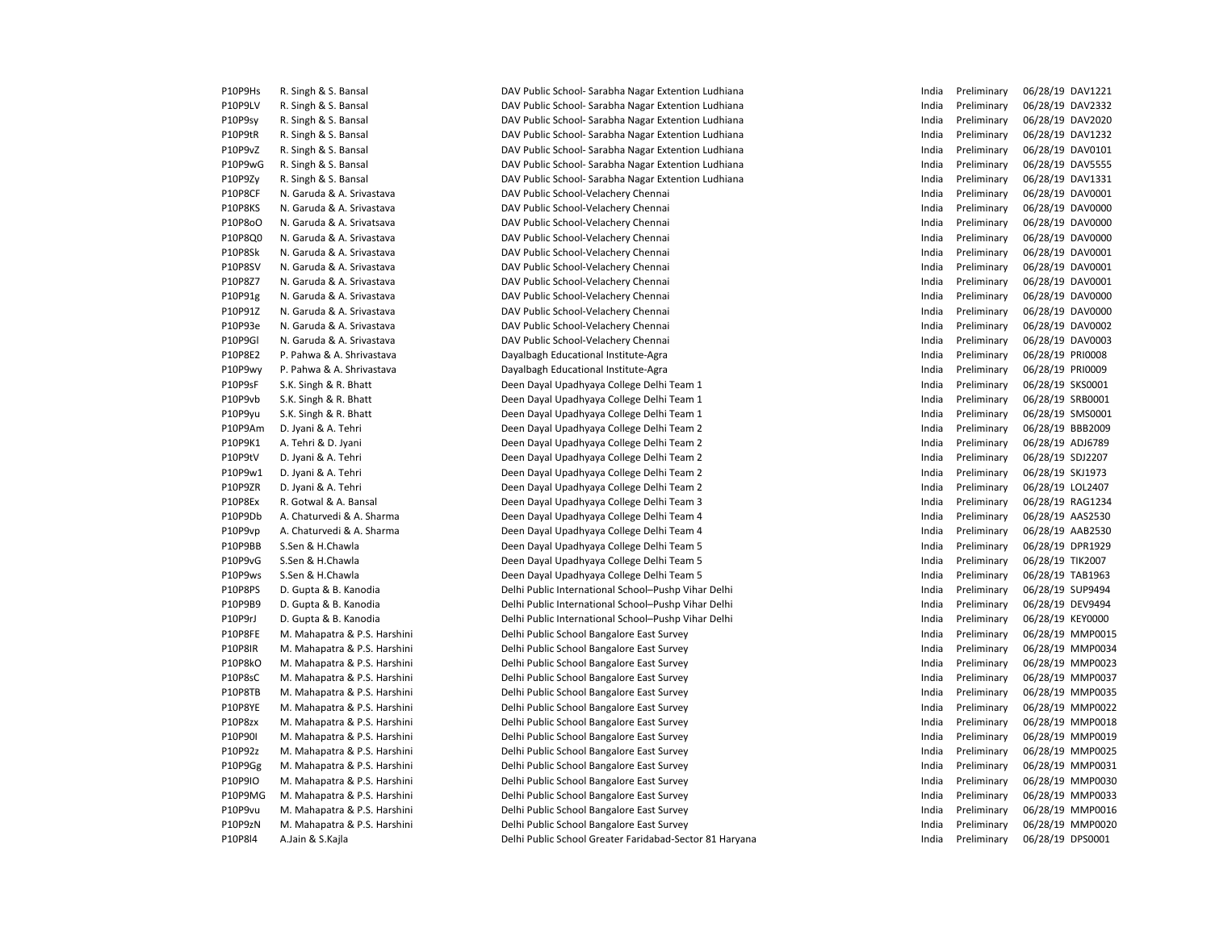| P10P9Hs        | R. Singh & S. Bansal         | DAV Public School- Sarabha Nagar Extention Ludhiana   |
|----------------|------------------------------|-------------------------------------------------------|
| P10P9LV        | R. Singh & S. Bansal         | DAV Public School- Sarabha Nagar Extention Ludhiana   |
| P10P9sy        | R. Singh & S. Bansal         | DAV Public School- Sarabha Nagar Extention Ludhiana   |
| P10P9tR        | R. Singh & S. Bansal         | DAV Public School- Sarabha Nagar Extention Ludhiana   |
| P10P9vZ        | R. Singh & S. Bansal         | DAV Public School- Sarabha Nagar Extention Ludhiana   |
| P10P9wG        | R. Singh & S. Bansal         | DAV Public School- Sarabha Nagar Extention Ludhiana   |
| P10P9Zy        | R. Singh & S. Bansal         | DAV Public School- Sarabha Nagar Extention Ludhiana   |
| P10P8CF        | N. Garuda & A. Srivastava    | DAV Public School-Velachery Chennai                   |
| P10P8KS        | N. Garuda & A. Srivastava    | DAV Public School-Velachery Chennai                   |
| P10P8oO        | N. Garuda & A. Srivatsava    | DAV Public School-Velachery Chennai                   |
| P10P8Q0        | N. Garuda & A. Srivastava    | DAV Public School-Velachery Chennai                   |
| P10P8Sk        | N. Garuda & A. Srivastava    | DAV Public School-Velachery Chennai                   |
| P10P8SV        | N. Garuda & A. Srivastava    | DAV Public School-Velachery Chennai                   |
| P10P8Z7        | N. Garuda & A. Srivastava    | DAV Public School-Velachery Chennai                   |
| P10P91g        | N. Garuda & A. Srivastava    | DAV Public School-Velachery Chennai                   |
| P10P91Z        | N. Garuda & A. Srivastava    | DAV Public School-Velachery Chennai                   |
| P10P93e        | N. Garuda & A. Srivastava    | DAV Public School-Velachery Chennai                   |
| P10P9GI        | N. Garuda & A. Srivastava    | DAV Public School-Velachery Chennai                   |
| P10P8E2        | P. Pahwa & A. Shrivastava    | Dayalbagh Educational Institute-Agra                  |
| P10P9wy        | P. Pahwa & A. Shrivastava    | Dayalbagh Educational Institute-Agra                  |
| P10P9sF        | S.K. Singh & R. Bhatt        | Deen Dayal Upadhyaya College Delhi Team 1             |
| P10P9vb        | S.K. Singh & R. Bhatt        | Deen Dayal Upadhyaya College Delhi Team 1             |
| P10P9yu        | S.K. Singh & R. Bhatt        | Deen Dayal Upadhyaya College Delhi Team 1             |
| P10P9Am        | D. Jyani & A. Tehri          | Deen Dayal Upadhyaya College Delhi Team 2             |
| P10P9K1        | A. Tehri & D. Jyani          | Deen Dayal Upadhyaya College Delhi Team 2             |
| P10P9tV        | D. Jyani & A. Tehri          | Deen Dayal Upadhyaya College Delhi Team 2             |
| P10P9w1        | D. Jyani & A. Tehri          | Deen Dayal Upadhyaya College Delhi Team 2             |
| P10P9ZR        | D. Jyani & A. Tehri          | Deen Dayal Upadhyaya College Delhi Team 2             |
| P10P8Ex        | R. Gotwal & A. Bansal        | Deen Dayal Upadhyaya College Delhi Team 3             |
| P10P9Db        | A. Chaturvedi & A. Sharma    | Deen Dayal Upadhyaya College Delhi Team 4             |
| P10P9vp        | A. Chaturvedi & A. Sharma    | Deen Dayal Upadhyaya College Delhi Team 4             |
| P10P9BB        | S.Sen & H.Chawla             | Deen Dayal Upadhyaya College Delhi Team 5             |
| P10P9vG        | S.Sen & H.Chawla             | Deen Dayal Upadhyaya College Delhi Team 5             |
| P10P9ws        | S.Sen & H.Chawla             | Deen Dayal Upadhyaya College Delhi Team 5             |
| P10P8PS        | D. Gupta & B. Kanodia        | Delhi Public International School-Pushp Vihar Delhi   |
| P10P9B9        | D. Gupta & B. Kanodia        | Delhi Public International School-Pushp Vihar Delhi   |
| P10P9rJ        | D. Gupta & B. Kanodia        | Delhi Public International School-Pushp Vihar Delhi   |
| P10P8FE        | M. Mahapatra & P.S. Harshini | Delhi Public School Bangalore East Survey             |
| <b>P10P8IR</b> | M. Mahapatra & P.S. Harshini | Delhi Public School Bangalore East Survey             |
| P10P8kO        | M. Mahapatra & P.S. Harshini | Delhi Public School Bangalore East Survey             |
| P10P8sC        | M. Mahapatra & P.S. Harshini | Delhi Public School Bangalore East Survey             |
| P10P8TB        | M. Mahapatra & P.S. Harshini | Delhi Public School Bangalore East Survey             |
| P10P8YE        | M. Mahapatra & P.S. Harshini | Delhi Public School Bangalore East Survey             |
| P10P8zx        | M. Mahapatra & P.S. Harshini | Delhi Public School Bangalore East Survey             |
| P10P90I        | M. Mahapatra & P.S. Harshini | Delhi Public School Bangalore East Survey             |
| P10P92z        | M. Mahapatra & P.S. Harshini | Delhi Public School Bangalore East Survey             |
| P10P9Gg        | M. Mahapatra & P.S. Harshini | Delhi Public School Bangalore East Survey             |
| P10P9IO        | M. Mahapatra & P.S. Harshini | Delhi Public School Bangalore East Survey             |
| P10P9MG        | M. Mahapatra & P.S. Harshini | Delhi Public School Bangalore East Survey             |
| P10P9vu        | M. Mahapatra & P.S. Harshini | Delhi Public School Bangalore East Survey             |
| P10P9zN        | M. Mahapatra & P.S. Harshini | Delhi Public School Bangalore East Survey             |
| P10P8I4        | A.Jain & S.Kajla             | Delhi Public School Greater Faridabad-Sector 81 Harya |
|                |                              |                                                       |

Public School- Sarabha Nagar Extention Ludhiana Public School- Sarabha Nagar Extention Ludhiana Public School- Sarabha Nagar Extention Ludhiana Public School- Sarabha Nagar Extention Ludhiana Public School- Sarabha Nagar Extention Ludhiana Public School- Sarabha Nagar Extention Ludhiana Public School-Velachery Chennai Public School-Velachery Chennai Public School-Velachery Chennai Public School-Velachery Chennai Public School-Velachery Chennai Public School-Velachery Chennai Public School-Velachery Chennai Public School-Velachery Chennai Public School-Velachery Chennai Public School-Velachery Chennai Public School-Velachery Chennai bagh Educational Institute-Agra **Phagh Educational Institute-Agra** Dayal Upadhyaya College Delhi Team 1 Dayal Upadhyaya College Delhi Team 1 Dayal Upadhyaya College Delhi Team 1 Dayal Upadhyaya College Delhi Team 2 Dayal Upadhyaya College Delhi Team 2 Dayal Upadhyaya College Delhi Team 2 Dayal Upadhyaya College Delhi Team 2 Dayal Upadhyaya College Delhi Team 2 Dayal Upadhyaya College Delhi Team 3 Dayal Upadhyaya College Delhi Team 4 Dayal Upadhyaya College Delhi Team 4 Dayal Upadhyaya College Delhi Team 5 Dayal Upadhyaya College Delhi Team 5 Dayal Upadhyaya College Delhi Team 5 Public International School–Pushp Vihar Delhi Public International School–Pushp Vihar Delhi Public International School–Pushp Vihar Delhi Public School Bangalore East Survey Public School Bangalore East Survey Public School Bangalore East Survey Public School Bangalore East Survey Public School Bangalore East Survey Public School Bangalore East Survey Public School Bangalore East Survey **India Preliminary 06/28/19 MMP0018** India Preliminary 06/28/19 MMP0018 Public School Bangalore East Survey **India Preliminary 06/28/19 MMP0019** India Preliminary 06/28/19 MMP0019 Public School Bangalore East Survey Public School Bangalore East Survey Public School Bangalore East Survey Public School Bangalore East Survey Public School Bangalore East Survey **India Preliminary 06/28/19 MMP0016** India Preliminary 06/28/19 MMP0016 Public School Bangalore East Survey **India Preliminary 06/28/19 MMP0020** Public School Greater Faridabad-Sector 81 Haryana

| India | Preliminary | 06/28/19 | DAV1221        |
|-------|-------------|----------|----------------|
| India | Preliminary | 06/28/19 | DAV2332        |
| India | Preliminary | 06/28/19 | DAV2020        |
| India | Preliminary | 06/28/19 | DAV1232        |
| India | Preliminary | 06/28/19 | DAV0101        |
| India | Preliminary | 06/28/19 | <b>DAV5555</b> |
| India | Preliminary | 06/28/19 | DAV1331        |
| India | Preliminary | 06/28/19 | DAV0001        |
| India | Preliminary | 06/28/19 | DAV0000        |
| India | Preliminary | 06/28/19 | DAV0000        |
| India | Preliminary | 06/28/19 | DAV0000        |
| India | Preliminary | 06/28/19 | DAV0001        |
| India | Preliminary | 06/28/19 | DAV0001        |
| India | Preliminary | 06/28/19 | DAV0001        |
| India | Preliminary | 06/28/19 | DAV0000        |
| India | Preliminary | 06/28/19 | DAV0000        |
| India | Preliminary | 06/28/19 | DAV0002        |
| India | Preliminary | 06/28/19 | DAV0003        |
| India | Preliminary | 06/28/19 | PRI0008        |
| India | Preliminary | 06/28/19 | PRI0009        |
| India | Preliminary | 06/28/19 | SKS0001        |
| India | Preliminary | 06/28/19 | SRB0001        |
| India | Preliminary | 06/28/19 | SMS0001        |
| India | Preliminary | 06/28/19 | <b>BBB2009</b> |
| India | Preliminary | 06/28/19 | ADJ6789        |
| India | Preliminary | 06/28/19 | SDJ2207        |
| India | Preliminary | 06/28/19 | SKJ1973        |
| India | Preliminary | 06/28/19 | LOL2407        |
| India | Preliminary | 06/28/19 | RAG1234        |
| India | Preliminary | 06/28/19 | AAS2530        |
| India | Preliminary | 06/28/19 | AAB2530        |
| India | Preliminary | 06/28/19 | DPR1929        |
| India | Preliminary | 06/28/19 | <b>TIK2007</b> |
| India | Preliminary | 06/28/19 | TAB1963        |
| India | Preliminary | 06/28/19 | SUP9494        |
| India | Preliminary | 06/28/19 | DEV9494        |
| India | Preliminary | 06/28/19 | <b>KEY0000</b> |
| India | Preliminary | 06/28/19 | MMP0015        |
| India | Preliminary | 06/28/19 | MMP0034        |
| India | Preliminary | 06/28/19 | MMP0023        |
| India | Preliminary | 06/28/19 | MMP0037        |
| India | Preliminary | 06/28/19 | MMP0035        |
| India | Preliminary | 06/28/19 | MMP0022        |
| India | Preliminary | 06/28/19 | MMP0018        |
| India | Preliminary | 06/28/19 | MMP0019        |
| India | Preliminary | 06/28/19 | MMP0025        |
| India | Preliminary | 06/28/19 | MMP0031        |
| India | Preliminary | 06/28/19 | MMP0030        |
| India | Preliminary | 06/28/19 | MMP0033        |
| India | Preliminary | 06/28/19 | MMP0016        |
| India | Preliminary | 06/28/19 | <b>MMP0020</b> |
| India | Preliminary | 06/28/19 | DPS0001        |
|       |             |          |                |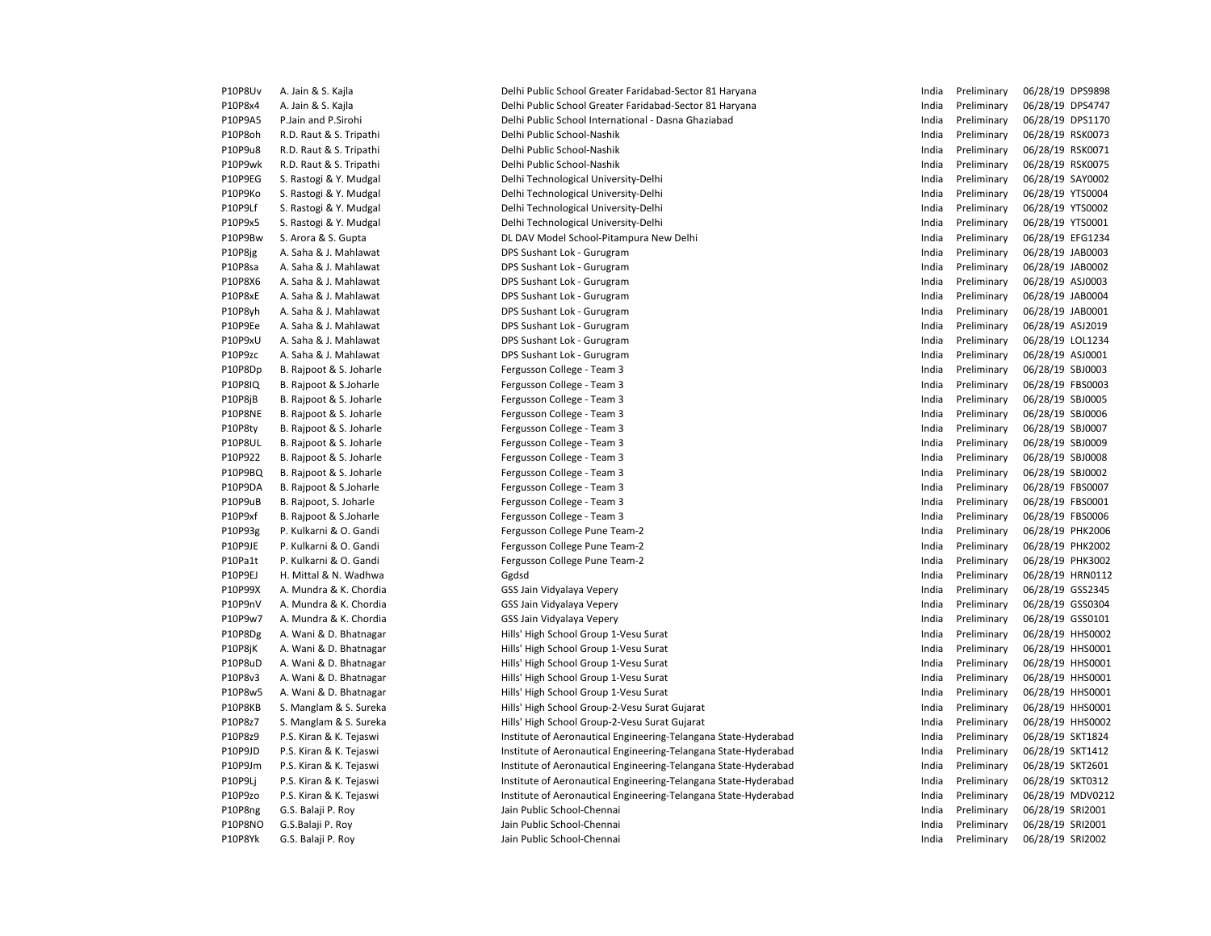| P10P8Uv                   | A. Jain & S. Kajla                                 | Delhi Public School Greater Faridabad-Sector 81 Haryana                                                                            | India | Preliminary                | 06/28/19 DPS9898                     |
|---------------------------|----------------------------------------------------|------------------------------------------------------------------------------------------------------------------------------------|-------|----------------------------|--------------------------------------|
| P10P8x4                   | A. Jain & S. Kajla                                 | Delhi Public School Greater Faridabad-Sector 81 Haryana                                                                            | India | Preliminary                | 06/28/19 DPS4747                     |
| P10P9A5                   | P.Jain and P.Sirohi                                | Delhi Public School International - Dasna Ghaziabad                                                                                | India | Preliminary                | 06/28/19 DPS1170                     |
| P10P8oh                   | R.D. Raut & S. Tripathi                            | Delhi Public School-Nashik                                                                                                         | India | Preliminary                | 06/28/19 RSK0073                     |
| P10P9u8                   | R.D. Raut & S. Tripathi                            | Delhi Public School-Nashik                                                                                                         | India | Preliminary                | 06/28/19 RSK0071                     |
| P10P9wk                   | R.D. Raut & S. Tripathi                            | Delhi Public School-Nashik                                                                                                         | India | Preliminary                | 06/28/19 RSK0075                     |
| P10P9EG                   | S. Rastogi & Y. Mudgal                             | Delhi Technological University-Delhi                                                                                               | India | Preliminary                | 06/28/19 SAY0002                     |
| P10P9Ko                   | S. Rastogi & Y. Mudgal                             | Delhi Technological University-Delhi                                                                                               | India | Preliminary                | 06/28/19 YTS0004                     |
| P10P9Lf                   | S. Rastogi & Y. Mudgal                             | Delhi Technological University-Delhi                                                                                               | India | Preliminary                | 06/28/19 YTS0002                     |
| P10P9x5                   | S. Rastogi & Y. Mudgal                             | Delhi Technological University-Delhi                                                                                               | India | Preliminary                | 06/28/19 YTS0001                     |
| P10P9Bw                   | S. Arora & S. Gupta                                | DL DAV Model School-Pitampura New Delhi                                                                                            | India | Preliminary                | 06/28/19 EFG1234                     |
| P10P8jg                   | A. Saha & J. Mahlawat                              | DPS Sushant Lok - Gurugram                                                                                                         | India | Preliminary                | 06/28/19 JAB0003                     |
| P10P8sa                   | A. Saha & J. Mahlawat                              | DPS Sushant Lok - Gurugram                                                                                                         | India | Preliminary                | 06/28/19 JAB0002                     |
| P10P8X6                   | A. Saha & J. Mahlawat                              | DPS Sushant Lok - Gurugram                                                                                                         | India | Preliminary                | 06/28/19 ASJ0003                     |
| P10P8xE                   | A. Saha & J. Mahlawat                              | DPS Sushant Lok - Gurugram                                                                                                         | India | Preliminary                | 06/28/19 JAB0004                     |
| P10P8yh                   | A. Saha & J. Mahlawat                              | DPS Sushant Lok - Gurugram                                                                                                         | India | Preliminary                | 06/28/19 JAB0001                     |
| P10P9Ee                   | A. Saha & J. Mahlawat                              | DPS Sushant Lok - Gurugram                                                                                                         | India | Preliminary                | 06/28/19 ASJ2019                     |
| P10P9xU                   | A. Saha & J. Mahlawat                              | DPS Sushant Lok - Gurugram                                                                                                         | India | Preliminary                | 06/28/19 LOL1234                     |
| P10P9zc                   | A. Saha & J. Mahlawat                              | DPS Sushant Lok - Gurugram                                                                                                         | India | Preliminary                | 06/28/19 ASJ0001                     |
| P10P8Dp                   | B. Rajpoot & S. Joharle                            | Fergusson College - Team 3                                                                                                         | India | Preliminary                | 06/28/19 SBJ0003                     |
| <b>P10P8IQ</b>            | B. Rajpoot & S.Joharle                             | Fergusson College - Team 3                                                                                                         | India | Preliminary                | 06/28/19 FBS0003                     |
| P10P8jB                   | B. Rajpoot & S. Joharle                            | Fergusson College - Team 3                                                                                                         | India | Preliminary                | 06/28/19 SBJ0005                     |
| P10P8NE                   | B. Rajpoot & S. Joharle                            | Fergusson College - Team 3                                                                                                         | India | Preliminary                | 06/28/19 SBJ0006                     |
| P10P8ty                   | B. Rajpoot & S. Joharle                            | Fergusson College - Team 3                                                                                                         | India | Preliminary                | 06/28/19 SBJ0007                     |
| <b>P10P8UL</b>            | B. Rajpoot & S. Joharle                            | Fergusson College - Team 3                                                                                                         | India | Preliminary                | 06/28/19 SBJ0009                     |
| P10P922                   | B. Rajpoot & S. Joharle                            | Fergusson College - Team 3                                                                                                         | India | Preliminary                | 06/28/19 SBJ0008                     |
| P10P9BQ                   | B. Rajpoot & S. Joharle                            | Fergusson College - Team 3                                                                                                         | India | Preliminary                | 06/28/19 SBJ0002                     |
| P10P9DA                   | B. Rajpoot & S.Joharle                             | Fergusson College - Team 3                                                                                                         | India | Preliminary                | 06/28/19 FBS0007                     |
| P10P9uB                   | B. Rajpoot, S. Joharle                             | Fergusson College - Team 3                                                                                                         | India | Preliminary                | 06/28/19 FBS0001                     |
| P10P9xf                   | B. Rajpoot & S.Joharle                             | Fergusson College - Team 3                                                                                                         | India | Preliminary                | 06/28/19 FBS0006                     |
| P10P93g                   | P. Kulkarni & O. Gandi                             | Fergusson College Pune Team-2                                                                                                      | India | Preliminary                | 06/28/19 PHK2006                     |
| P10P9JE                   | P. Kulkarni & O. Gandi                             | Fergusson College Pune Team-2                                                                                                      | India | Preliminary                | 06/28/19 PHK2002                     |
| P10Pa1t                   | P. Kulkarni & O. Gandi                             | Fergusson College Pune Team-2                                                                                                      | India | Preliminary                | 06/28/19 PHK3002                     |
| P10P9EJ                   | H. Mittal & N. Wadhwa                              | Ggdsd                                                                                                                              | India | Preliminary                | 06/28/19 HRN0112                     |
| P10P99X                   | A. Mundra & K. Chordia                             | GSS Jain Vidyalaya Vepery                                                                                                          | India | Preliminary                | 06/28/19 GSS2345                     |
| P10P9nV                   | A. Mundra & K. Chordia                             | GSS Jain Vidyalaya Vepery                                                                                                          | India | Preliminary                | 06/28/19 GSS0304                     |
| P10P9w7                   | A. Mundra & K. Chordia                             | GSS Jain Vidyalaya Vepery                                                                                                          | India | Preliminary                | 06/28/19 GSS0101                     |
| P10P8Dg                   | A. Wani & D. Bhatnagar                             | Hills' High School Group 1-Vesu Surat                                                                                              | India | Preliminary                | 06/28/19 HHS0002                     |
| P10P8jK                   | A. Wani & D. Bhatnagar                             | Hills' High School Group 1-Vesu Surat                                                                                              | India | Preliminary                | 06/28/19 HHS0001                     |
| P10P8uD                   | A. Wani & D. Bhatnagar                             | Hills' High School Group 1-Vesu Surat                                                                                              | India | Preliminary                | 06/28/19 HHS0001                     |
| P10P8v3                   | A. Wani & D. Bhatnagar                             | Hills' High School Group 1-Vesu Surat                                                                                              | India | Preliminary                | 06/28/19 HHS0001                     |
| P10P8w5                   | A. Wani & D. Bhatnagar                             | Hills' High School Group 1-Vesu Surat                                                                                              | India | Preliminary                | 06/28/19 HHS0001                     |
| P10P8KB                   | S. Manglam & S. Sureka                             | Hills' High School Group-2-Vesu Surat Gujarat                                                                                      | India | Preliminary                | 06/28/19 HHS0001                     |
| P10P8z7                   | S. Manglam & S. Sureka                             | Hills' High School Group-2-Vesu Surat Gujarat                                                                                      | India | Preliminary                | 06/28/19 HHS0002                     |
| P10P8z9                   | P.S. Kiran & K. Tejaswi                            | Institute of Aeronautical Engineering-Telangana State-Hyderabad                                                                    | India | Preliminary                | 06/28/19 SKT1824                     |
| P10P9JD                   | P.S. Kiran & K. Tejaswi                            | Institute of Aeronautical Engineering-Telangana State-Hyderabad                                                                    | India | Preliminary                | 06/28/19 SKT1412                     |
| P10P9Jm                   |                                                    |                                                                                                                                    | India | Preliminary                |                                      |
| P10P9Li                   | P.S. Kiran & K. Tejaswi                            | Institute of Aeronautical Engineering-Telangana State-Hyderabad                                                                    | India | Preliminary                | 06/28/19 SKT2601<br>06/28/19 SKT0312 |
| P10P9zo                   | P.S. Kiran & K. Tejaswi<br>P.S. Kiran & K. Tejaswi | Institute of Aeronautical Engineering-Telangana State-Hyderabad<br>Institute of Aeronautical Engineering-Telangana State-Hyderabad | India | Preliminary                | 06/28/19 MDV0212                     |
|                           |                                                    |                                                                                                                                    | India |                            |                                      |
| P10P8ng<br><b>P10P8NO</b> | G.S. Balaji P. Roy                                 | Jain Public School-Chennai<br>Jain Public School-Chennai                                                                           | India | Preliminary<br>Preliminary | 06/28/19 SRI2001                     |
| P10P8Yk                   | G.S.Balaji P. Roy                                  |                                                                                                                                    |       |                            | 06/28/19 SRI2001                     |
|                           | G.S. Balaji P. Roy                                 | Jain Public School-Chennai                                                                                                         | India | Preliminary                | 06/28/19 SRI2002                     |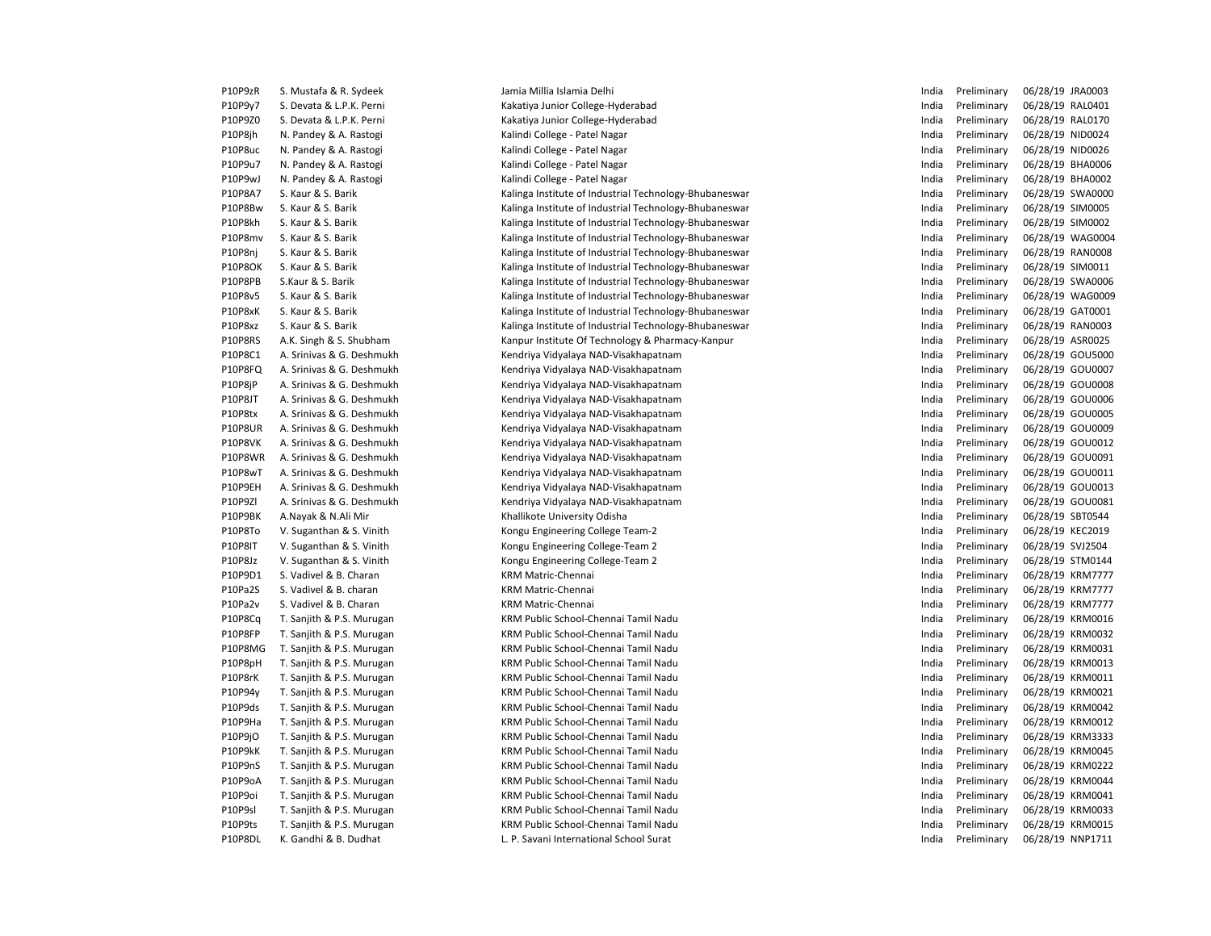| P10P9zR        | S. Mustafa & R. Sydeek    | Jamia Millia Islamia Delhi                             | India | Preliminary | 06/28/19 JRA0003 |
|----------------|---------------------------|--------------------------------------------------------|-------|-------------|------------------|
| P10P9y7        | S. Devata & L.P.K. Perni  | Kakatiya Junior College-Hyderabad                      | India | Preliminary | 06/28/19 RAL0401 |
| P10P9Z0        | S. Devata & L.P.K. Perni  | Kakatiya Junior College-Hyderabad                      | India | Preliminary | 06/28/19 RAL0170 |
| P10P8jh        | N. Pandey & A. Rastogi    | Kalindi College - Patel Nagar                          | India | Preliminary | 06/28/19 NID0024 |
| P10P8uc        | N. Pandey & A. Rastogi    | Kalindi College - Patel Nagar                          | India | Preliminary | 06/28/19 NID0026 |
| P10P9u7        | N. Pandey & A. Rastogi    | Kalindi College - Patel Nagar                          | India | Preliminary | 06/28/19 BHA0006 |
| P10P9wJ        | N. Pandey & A. Rastogi    | Kalindi College - Patel Nagar                          | India | Preliminary | 06/28/19 BHA0002 |
| P10P8A7        | S. Kaur & S. Barik        | Kalinga Institute of Industrial Technology-Bhubaneswar | India | Preliminary | 06/28/19 SWA0000 |
| P10P8Bw        | S. Kaur & S. Barik        | Kalinga Institute of Industrial Technology-Bhubaneswar | India | Preliminary | 06/28/19 SIM0005 |
| P10P8kh        | S. Kaur & S. Barik        | Kalinga Institute of Industrial Technology-Bhubaneswar | India | Preliminary | 06/28/19 SIM0002 |
| P10P8mv        | S. Kaur & S. Barik        | Kalinga Institute of Industrial Technology-Bhubaneswar | India | Preliminary | 06/28/19 WAG0004 |
| P10P8nj        | S. Kaur & S. Barik        | Kalinga Institute of Industrial Technology-Bhubaneswar | India | Preliminary | 06/28/19 RAN0008 |
| <b>P10P8OK</b> | S. Kaur & S. Barik        | Kalinga Institute of Industrial Technology-Bhubaneswar | India | Preliminary | 06/28/19 SIM0011 |
| P10P8PB        | S.Kaur & S. Barik         | Kalinga Institute of Industrial Technology-Bhubaneswar | India | Preliminary | 06/28/19 SWA0006 |
| P10P8v5        | S. Kaur & S. Barik        | Kalinga Institute of Industrial Technology-Bhubaneswar | India | Preliminary | 06/28/19 WAG0009 |
| P10P8xK        | S. Kaur & S. Barik        | Kalinga Institute of Industrial Technology-Bhubaneswar | India | Preliminary | 06/28/19 GAT0001 |
| P10P8xz        | S. Kaur & S. Barik        | Kalinga Institute of Industrial Technology-Bhubaneswar | India | Preliminary | 06/28/19 RAN0003 |
| P10P8RS        | A.K. Singh & S. Shubham   | Kanpur Institute Of Technology & Pharmacy-Kanpur       | India | Preliminary | 06/28/19 ASR0025 |
| P10P8C1        | A. Srinivas & G. Deshmukh | Kendriya Vidyalaya NAD-Visakhapatnam                   | India | Preliminary | 06/28/19 GOU5000 |
| P10P8FQ        | A. Srinivas & G. Deshmukh | Kendriya Vidyalaya NAD-Visakhapatnam                   | India | Preliminary | 06/28/19 GOU0007 |
| P10P8jP        | A. Srinivas & G. Deshmukh | Kendriya Vidyalaya NAD-Visakhapatnam                   | India | Preliminary | 06/28/19 GOU0008 |
| P10P8JT        | A. Srinivas & G. Deshmukh | Kendriya Vidyalaya NAD-Visakhapatnam                   | India | Preliminary | 06/28/19 GOU0006 |
| P10P8tx        | A. Srinivas & G. Deshmukh | Kendriya Vidyalaya NAD-Visakhapatnam                   | India | Preliminary | 06/28/19 GOU0005 |
| <b>P10P8UR</b> | A. Srinivas & G. Deshmukh | Kendriya Vidyalaya NAD-Visakhapatnam                   | India | Preliminary | 06/28/19 GOU0009 |
| P10P8VK        | A. Srinivas & G. Deshmukh | Kendriya Vidyalaya NAD-Visakhapatnam                   | India | Preliminary | 06/28/19 GOU0012 |
| P10P8WR        | A. Srinivas & G. Deshmukh | Kendriya Vidyalaya NAD-Visakhapatnam                   | India | Preliminary | 06/28/19 GOU0091 |
| P10P8wT        | A. Srinivas & G. Deshmukh | Kendriya Vidyalaya NAD-Visakhapatnam                   | India | Preliminary | 06/28/19 GOU0011 |
| P10P9EH        | A. Srinivas & G. Deshmukh | Kendriya Vidyalaya NAD-Visakhapatnam                   | India | Preliminary | 06/28/19 GOU0013 |
| P10P9ZI        | A. Srinivas & G. Deshmukh | Kendriya Vidyalaya NAD-Visakhapatnam                   | India | Preliminary | 06/28/19 GOU0081 |
| P10P9BK        | A.Nayak & N.Ali Mir       | Khallikote University Odisha                           | India | Preliminary | 06/28/19 SBT0544 |
| P10P8To        | V. Suganthan & S. Vinith  | Kongu Engineering College Team-2                       | India | Preliminary | 06/28/19 KEC2019 |
| P10P8IT        | V. Suganthan & S. Vinith  | Kongu Engineering College-Team 2                       | India | Preliminary | 06/28/19 SVJ2504 |
| P10P8Jz        | V. Suganthan & S. Vinith  | Kongu Engineering College-Team 2                       | India | Preliminary | 06/28/19 STM0144 |
| P10P9D1        | S. Vadivel & B. Charan    | <b>KRM Matric-Chennai</b>                              | India | Preliminary | 06/28/19 KRM7777 |
| P10Pa2S        | S. Vadivel & B. charan    | KRM Matric-Chennai                                     | India | Preliminary | 06/28/19 KRM7777 |
| P10Pa2v        | S. Vadivel & B. Charan    | <b>KRM Matric-Chennai</b>                              | India | Preliminary | 06/28/19 KRM7777 |
| P10P8Cq        | T. Sanjith & P.S. Murugan | KRM Public School-Chennai Tamil Nadu                   | India | Preliminary | 06/28/19 KRM0016 |
| P10P8FP        | T. Sanjith & P.S. Murugan | KRM Public School-Chennai Tamil Nadu                   | India | Preliminary | 06/28/19 KRM0032 |
| P10P8MG        | T. Sanjith & P.S. Murugan | KRM Public School-Chennai Tamil Nadu                   | India | Preliminary | 06/28/19 KRM0031 |
| P10P8pH        | T. Sanjith & P.S. Murugan | KRM Public School-Chennai Tamil Nadu                   | India | Preliminary | 06/28/19 KRM0013 |
| P10P8rK        | T. Sanjith & P.S. Murugan | KRM Public School-Chennai Tamil Nadu                   | India | Preliminary | 06/28/19 KRM0011 |
| P10P94y        | T. Sanjith & P.S. Murugan | KRM Public School-Chennai Tamil Nadu                   | India | Preliminary | 06/28/19 KRM0021 |
| P10P9ds        | T. Sanjith & P.S. Murugan | KRM Public School-Chennai Tamil Nadu                   | India | Preliminary | 06/28/19 KRM0042 |
| P10P9Ha        | T. Sanjith & P.S. Murugan | KRM Public School-Chennai Tamil Nadu                   | India | Preliminary | 06/28/19 KRM0012 |
| P10P9jO        | T. Sanjith & P.S. Murugan | KRM Public School-Chennai Tamil Nadu                   | India | Preliminary | 06/28/19 KRM3333 |
| P10P9kK        | T. Sanjith & P.S. Murugan | KRM Public School-Chennai Tamil Nadu                   | India | Preliminary | 06/28/19 KRM0045 |
| P10P9nS        | T. Sanjith & P.S. Murugan | KRM Public School-Chennai Tamil Nadu                   | India | Preliminary | 06/28/19 KRM0222 |
| P10P9oA        | T. Sanjith & P.S. Murugan | KRM Public School-Chennai Tamil Nadu                   | India | Preliminary | 06/28/19 KRM0044 |
| P10P9oi        | T. Sanjith & P.S. Murugan | KRM Public School-Chennai Tamil Nadu                   | India | Preliminary | 06/28/19 KRM0041 |
| P10P9sl        | T. Sanjith & P.S. Murugan | KRM Public School-Chennai Tamil Nadu                   | India | Preliminary | 06/28/19 KRM0033 |
| P10P9ts        | T. Sanjith & P.S. Murugan | KRM Public School-Chennai Tamil Nadu                   | India | Preliminary | 06/28/19 KRM0015 |
| P10P8DL        | K. Gandhi & B. Dudhat     | L. P. Savani International School Surat                | India | Preliminary | 06/28/19 NNP1711 |
|                |                           |                                                        |       |             |                  |

| India          | Preliminary | 06/28/19             | JRA0003            |
|----------------|-------------|----------------------|--------------------|
| India          | Preliminary | 06/28/19             | RAL0401            |
| India          | Preliminary | 06/28/19             | <b>RAL0170</b>     |
| India          | Preliminary | 06/28/19             | NID0024            |
| India          | Preliminary | 06/28/19             | NID0026            |
| India          | Preliminary | 06/28/19             | <b>BHA0006</b>     |
| India          | Preliminary | 06/28/19             | <b>BHA0002</b>     |
| India          | Preliminary | 06/28/19             | SWA0000            |
| India          | Preliminary | 06/28/19             | SIM0005            |
| India          | Preliminary | 06/28/19             | SIM0002            |
| India          | Preliminary | 06/28/19             | <b>WAG0004</b>     |
| India          | Preliminary | 06/28/19             | <b>RAN0008</b>     |
| India          | Preliminary | 06/28/19             | SIM0011            |
| India          | Preliminary | 06/28/19             | SWA0006            |
| India          | Preliminary | 06/28/19             | <b>WAG0009</b>     |
| India          | Preliminary | 06/28/19             | GAT0001            |
| India          | Preliminary | 06/28/19             | <b>RAN0003</b>     |
| India          | Preliminary | 06/28/19             | ASR0025            |
| India          | Preliminary | 06/28/19             | GOU5000            |
| India          | Preliminary | 06/28/19             | GOU0007            |
| India          | Preliminary | 06/28/19             | GOU0008            |
| India          | Preliminary | 06/28/19             | GOU0006            |
| India          | Preliminary | 06/28/19             | GOU0005            |
| India          | Preliminary | 06/28/19             | GOU0009            |
| India          | Preliminary | 06/28/19             | GOU0012            |
| India          | Preliminary | 06/28/19             | GOU0091            |
| India          | Preliminary | 06/28/19             | GOU0011            |
| India          | Preliminary | 06/28/19             | GOU0013            |
| India          | Preliminary | 06/28/19             | GOU0081            |
| India          | Preliminary | 06/28/19             | SBT0544            |
| India          | Preliminary | 06/28/19             | <b>KEC2019</b>     |
| India          | Preliminary | 06/28/19             | SVI2504            |
| India          | Preliminary | 06/28/19             | STM0144            |
| India          | Preliminary | 06/28/19             | <b>KRM7777</b>     |
| India          | Preliminary | 06/28/19             | <b>KRM7777</b>     |
| India          | Preliminary | 06/28/19             | <b>KRM7777</b>     |
| India          | Preliminary | 06/28/19             | KRM0016            |
| India          | Preliminary | 06/28/19             | KRM0032            |
| India          | Preliminary | 06/28/19             | KRM0031            |
| India          | Preliminary | 06/28/19             | KRM0013            |
| India          | Preliminary | 06/28/19             | KRM0011            |
| India          | Preliminary | 06/28/19             | KRM0021            |
| India          | Preliminary | 06/28/19             | <b>KRM0042</b>     |
| India          | Preliminary | 06/28/19             | KRM0012            |
| India          | Preliminary | 06/28/19             | <b>KRM3333</b>     |
| India          | Preliminary | 06/28/19             | <b>KRM0045</b>     |
| India          | Preliminary | 06/28/19             | <b>KRM0222</b>     |
| India          | Preliminary | 06/28/19             | <b>KRM0044</b>     |
| India          | Preliminary | 06/28/19             | KRM0041            |
| India          | Preliminary | 06/28/19             | KRM0033<br>KRM0015 |
| India<br>India | Preliminary | 06/28/19<br>06/28/19 | NNP1711            |
|                | Preliminary |                      |                    |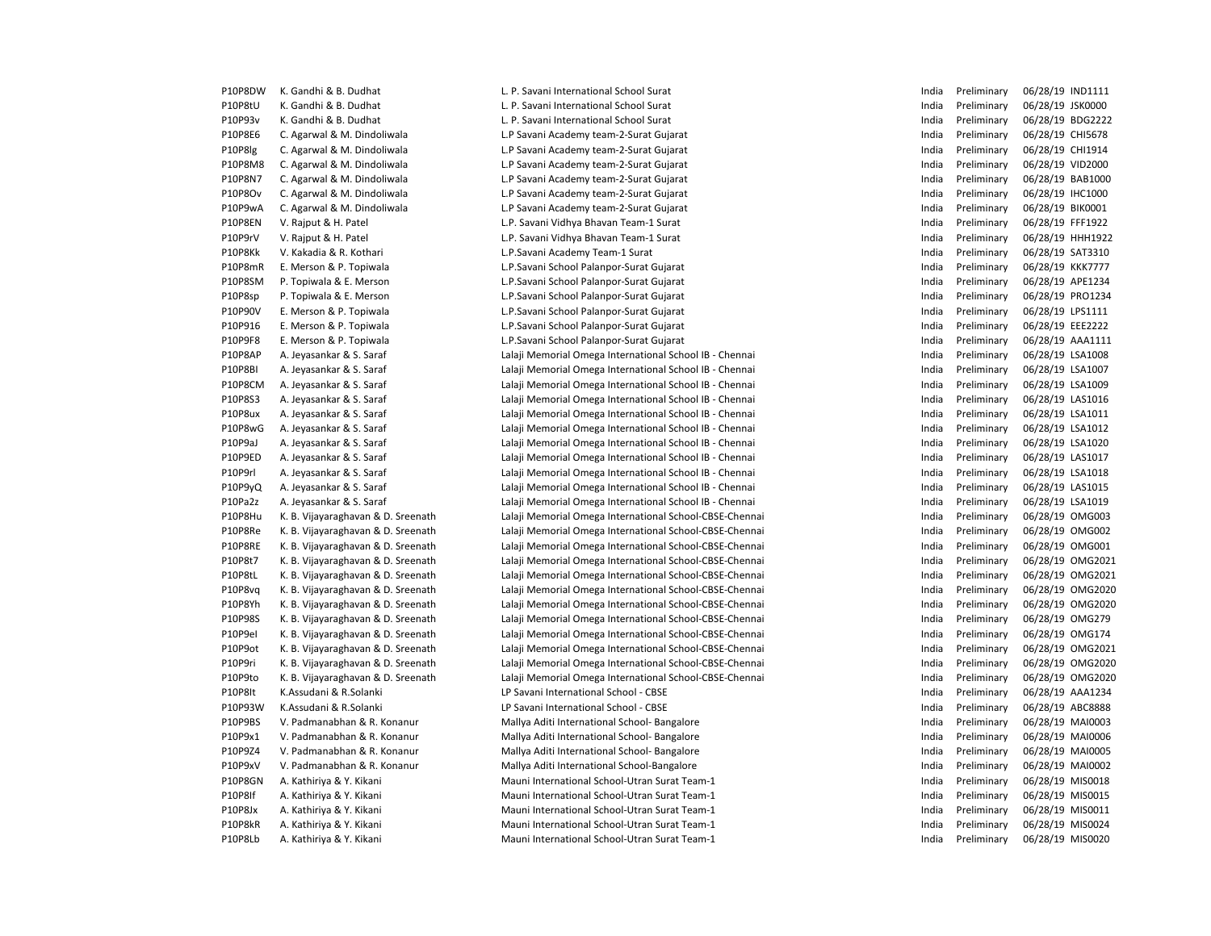P10P8DW K. Gandhi & B. Dudhat 
L. P. Savani International School Surat 
India Preliminary 06/28/19 IND1111

P10P8tU K. Gandhi & B. Dudhat L. P. Savani International School Surat Christian Communicational School Surat Christian Christian India Preliminary 06/28/19 JSK0000 P10P93v K. Gandhi & B. Dudhat L. P. Savani International School Surat India Preliminary 06/28/19 BDG2222 P10P8E6 C. Agarwal & M. Dindoliwala L.P Savani Academy team-2-Surat Gujarat Current Communication C. Agarwal & M. Dindoliwala P10P8lg C. Agarwal & M. Dindoliwala L.P Savani Academy team-2-Surat Gujarat Current Communications and the lindia Preliminary 06/28/19 CHI1914 P10P8M8 C. Agarwal & M. Dindoliwala L.P Savani Academy team-2-Surat Gujarat Cuman Content Content Content Content Content Content Content Content Content Content Of the Preliminary 06/28/19 VID2000 P10P8N7 C. Agarwal & M. Dindoliwala L.P Savani Academy team-2-Surat Gujarat Channel Preliminary 06/28/19 BAB1000 P10P8Ov C. Agarwal & M. Dindoliwala L.P Savani Academy team-2-Surat Gujarat India Preliminary 06/28/19 IHC1000 P10P9wA C. Agarwal & M. Dindoliwala L.P Savani Academy team-2-Surat Gujarat Currelium Preliminary 06/28/19 BIK0001 P10P8EN V. Rajput & H. Patel et al. P. Savani Vidhya Bhavan Team-1 Surat Chronic Communisty Communisty Communisty O6/28/19 FFF1922 P10P9rV V. Rajput & H. Patel Catel Communication Care L.P. Savani Vidhya Bhavan Team-1 Surat Catel Communication Communication Communication Preliminary 06/28/19 HHH1922 P10P8Kk V. Kakadia & R. Kothari New York Chemical Academy Team-1 Surat New York India Preliminary 06/28/19 SAT3310 P10P8mR E. Merson & P. Topiwala **L.P.Savani School Palanpor-Surat Gujarat** Pressurat Currat Andre Preliminary 06/28/19 KKK7777 P10P8SM P. Topiwala & E. Merson **Proport Community Community** L.P.Savani School Palanpor-Surat Gujarat Proport Community Community O6/28/19 APE1234 P10P8sp P. Topiwala & E. Merson National L.P.Savani School Palanpor-Surat Gujarat India Preliminary 06/28/19 PRO1234 P10P90V E. Merson & P. Topiwala **L.P.Savani School Palanpor-Surat Gujarat** Music and Music Preliminary 06/28/19 LPS1111 P10P916 E. Merson & P. Topiwala 
L.P.Savani School Palanpor-Surat Gujarat 
L.P.Savani School Palanpor-Surat Gujarat 
L.P.Savani School Palanpor-Surat Gujarat 
L.P.Savani School Palanpor-Surat Gujarat 
L.P.Savani School Pal P10P9F8 E. Merson & P. Topiwala **L.P.Savani School Palanpor-Surat Gujarat** Pressurat Andre Preliminary 06/28/19 AAA1111 P10P8AP A. Jeyasankar & S. Saraf Saraf Lalaji Memorial Omega International School IB - Chennai Saraf Lalaji Memorial Omega International School IB - Chennai Saraf Lalaji Memorial Omega International School IB - Chennai Sch P10P8BI A. Jeyasankar & S. Saraf Saraf Lalaji Memorial Omega International School IB - Chennai Saraf Lalaji Memorial Omega International School IB - Chennai Saraf Lalaji Memorial Omega International School IB - Chennai Sch P10P8CM A. Jeyasankar & S. Saraf Saraf Lalaji Memorial Omega International School IB - Chennai Saraf Lalaji Memorial Omega International School IB - Chennai Saraf Lalaji Memorial Omega International School IB - Chennai Sar P10P8S3 A. Jeyasankar & S. Saraf Saraf Lalaji Memorial Omega International School IB - Chennai Preliminary 06/28/19 LAS1016 P10P8ux A. Jeyasankar & S. Saraf Saraf Lalaji Memorial Omega International School IB - Chennai Saraf Lalaji Memorial Omega International School IB - Chennai Saraf Lalaji Memorial Omega International School IB - Chennai Sch P10P8wG A. Jeyasankar & S. Saraf Saraf Lalaji Memorial Omega International School IB - Chennai Saraf Lalaji Memorial Omega International School IB - Chennai Saraf Lalaji Memorial Omega International School IB - Chennai Sch P10P9aJ A. Jeyasankar & S. Saraf Saraf Lalaji Memorial Omega International School IB - Chennai Saraf Lalaji Memorial Omega International School IB - Chennai Saraf India Preliminary 06/28/19 LSA1020 P10P9ED A. Jeyasankar & S. Saraf Saraf Lalaji Memorial Omega International School IB - Chennai Sarah Andre Preliminary 06/28/19 LAS1017 P10P9rl A. Jeyasankar & S. Saraf Saraf Lalaji Memorial Omega International School IB - Chennai Saraf Lalaji Memorial Omega International School IB - Chennai Saraf Lalaji Memorial Omega International School IB - Chennai Sch P10P9yQ A. Jeyasankar & S. Saraf Saraf Lalaji Memorial Omega International School IB - Chennai Saraf Lassen and Lassen and Preliminary 06/28/19 LAS1015 P10Pa2z A. Jeyasankar & S. Saraf Saraf Lalaji Memorial Omega International School IB - Chennai Saraf Lalaji Memorial Omega International School IB - Chennai Saraf India Preliminary 06/28/19 LSA1019 P10P8Hu K. B. Vijayaraghavan & D. Sreenath Lalaji Memorial Omega International School-CBSE-Chennai India Preliminary 06/28/19 OMG003 P10P8Re K. B. Vijayaraghavan & D. Sreenath Lalaji Memorial Omega International School-CBSE-Chennai India Preliminary 06/28/19 OMG002 P10P8RE K. B. Vijayaraghavan & D. Sreenath Lalaji Memorial Omega International School-CBSE-Chennai India Preliminary 06/28/19 OMG001 P10P8t7 K. B. Vijayaraghavan & D. Sreenath Lalaji Memorial Omega International School-CBSE-Chennai India Preliminary 06/28/19 OMG2021 P10P8tL K. B. Vijayaraghavan & D. Sreenath Lalaji Memorial Omega International School-CBSE-Chennai India Preliminary 06/28/19 OMG2021 P10P8vq K. B. Vijayaraghavan & D. Sreenath Lalaji Memorial Omega International School-CBSE-Chennai India Preliminary 06/28/19 OMG2020 P10P8Yh K. B. Vijayaraghavan & D. Sreenath Lalaji Memorial Omega International School-CBSE-Chennai India Preliminary 06/28/19 OMG2020 P10P98S K. B. Vijayaraghavan & D. Sreenath Lalaji Memorial Omega International School-CBSE-Chennai Preliminary Manus Preliminary 06/28/19 OMG279 P10P9eI K. B. Vijayaraghavan & D. Sreenath Lalaji Memorial Omega International School-CBSE-Chennai India Preliminary 06/28/19 OMG174 P10P9ot K. B. Vijayaraghavan & D. Sreenath Lalaji Memorial Omega International School-CBSE-Chennai India Preliminary 06/28/19 OMG2021 P10P9ri K. B. Vijayaraghavan & D. Sreenath Lalaji Memorial Omega International School-CBSE-Chennai India Preliminary 06/28/19 OMG2020 P10P9to K. B. Vijayaraghavan & D. Sreenath Lalaji Memorial Omega International School-CBSE-Chennai India Preliminary 06/28/19 OMG2020 P10P8It K.Assudani & R.Solanki LP Savani International School - CBSE India Preliminary 06/28/19 AAA1234 P10P93W K.Assudani & R.Solanki Camera LP Savani International School - CBSE India Preliminary 06/28/19 ABC8888 P10P9BS V. Padmanabhan & R. Konanur Mallya Aditi International School- Bangalore **India Preliminary 06/28/19 MAI0003** P10P9x1 V. Padmanabhan & R. Konanur Mallya Aditi International School- Bangalore **India Preliminary 06/28/19 MAI0006** P10P9Z4 V. Padmanabhan & R. Konanur Mallya Aditi International School- Bangalore **India Preliminary 06/28/19 MAI0005** P10P9xV V. Padmanabhan & R. Konanur Mallya Aditi International School-Bangalore **India Preliminary 06/28/19 MAI0002** P10P8GN A. Kathiriya & Y. Kikani Nauni International School-Utran Surat Team-1 1 Feam-1 P10P8GN A. Kathiriya & Y. Kikani Nauni 06/28/19 MIS0018 P10P8If A. Kathiriya & Y. Kikani Nauni International School-Utran Surat Team-1 **India Preliminary 06/28/19 MIS0015** P10P8Jx A. Kathiriya & Y. Kikani Nauni International School-Utran Surat Team-1 1 Preliminary 06/28/19 MIS0011 P10P8kR A. Kathiriya & Y. Kikani Mauni International School-Utran Surat Team-1 India Preliminary 06/28/19 MIS0024 P10P8Lb A. Kathiriya & Y. Kikani Mauni International School-Utran Surat Team-1 Mauni 1ndia Preliminary 06/28/19 MIS0020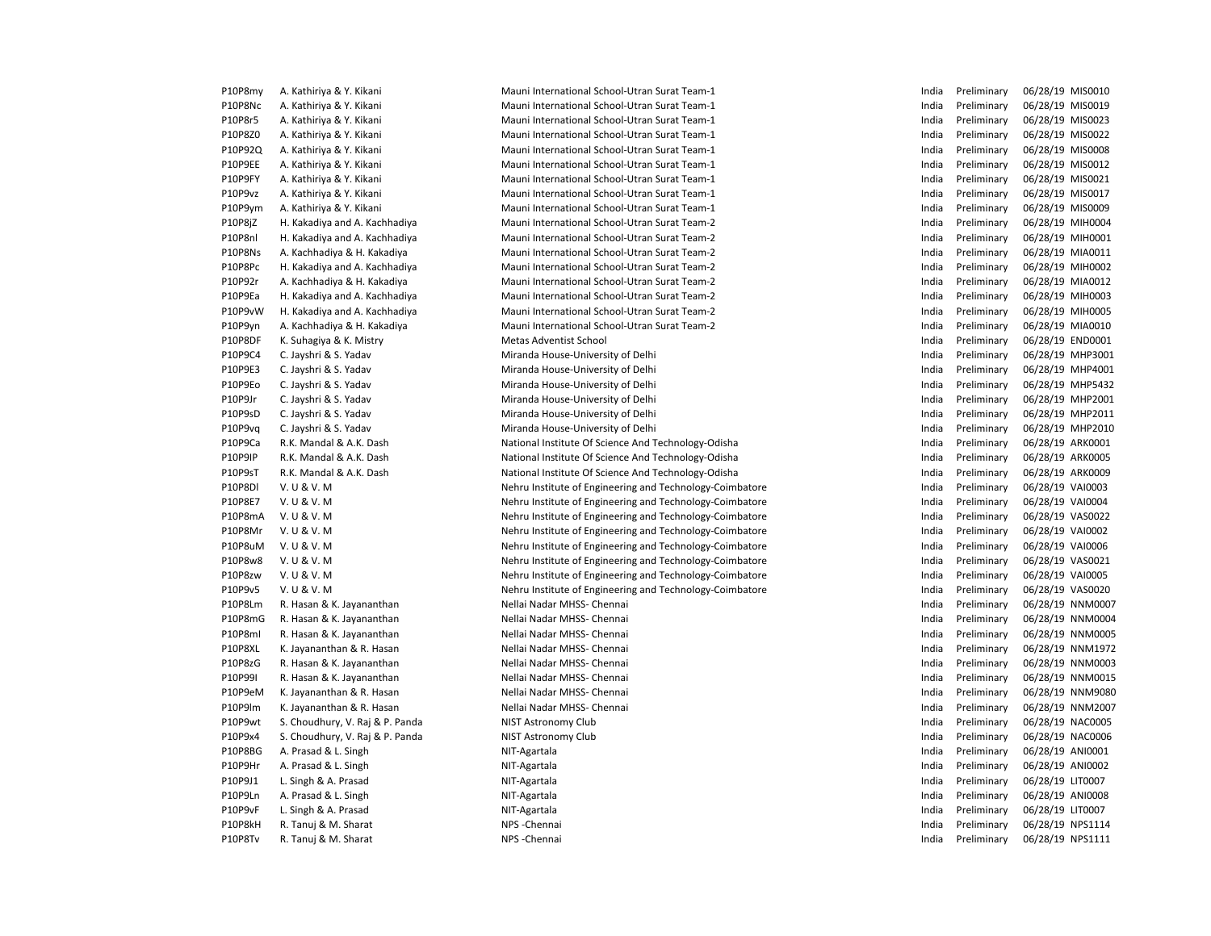| P10P8my | A. Kathiriya & Y. Kikani        | Mauni International School-Utran Surat Team-1            | India | Preliminary | 06/28/19 MIS0010 |
|---------|---------------------------------|----------------------------------------------------------|-------|-------------|------------------|
| P10P8Nc | A. Kathiriya & Y. Kikani        | Mauni International School-Utran Surat Team-1            | India | Preliminary | 06/28/19 MIS0019 |
| P10P8r5 | A. Kathiriya & Y. Kikani        | Mauni International School-Utran Surat Team-1            | India | Preliminary | 06/28/19 MIS0023 |
| P10P8Z0 | A. Kathiriya & Y. Kikani        | Mauni International School-Utran Surat Team-1            | India | Preliminary | 06/28/19 MIS0022 |
| P10P92Q | A. Kathiriya & Y. Kikani        | Mauni International School-Utran Surat Team-1            | India | Preliminary | 06/28/19 MIS0008 |
| P10P9EE | A. Kathiriya & Y. Kikani        | Mauni International School-Utran Surat Team-1            | India | Preliminary | 06/28/19 MIS0012 |
| P10P9FY | A. Kathiriya & Y. Kikani        | Mauni International School-Utran Surat Team-1            | India | Preliminary | 06/28/19 MIS0021 |
| P10P9vz | A. Kathiriya & Y. Kikani        | Mauni International School-Utran Surat Team-1            | India | Preliminary | 06/28/19 MIS0017 |
| P10P9ym | A. Kathiriya & Y. Kikani        | Mauni International School-Utran Surat Team-1            | India | Preliminary | 06/28/19 MIS0009 |
| P10P8jZ | H. Kakadiya and A. Kachhadiya   | Mauni International School-Utran Surat Team-2            | India | Preliminary | 06/28/19 MIH0004 |
| P10P8nl | H. Kakadiya and A. Kachhadiya   | Mauni International School-Utran Surat Team-2            | India | Preliminary | 06/28/19 MIH0001 |
| P10P8Ns | A. Kachhadiya & H. Kakadiya     | Mauni International School-Utran Surat Team-2            | India | Preliminary | 06/28/19 MIA0011 |
| P10P8Pc | H. Kakadiya and A. Kachhadiya   | Mauni International School-Utran Surat Team-2            | India | Preliminary | 06/28/19 MIH0002 |
| P10P92r | A. Kachhadiya & H. Kakadiya     | Mauni International School-Utran Surat Team-2            | India | Preliminary | 06/28/19 MIA0012 |
| P10P9Ea | H. Kakadiya and A. Kachhadiya   | Mauni International School-Utran Surat Team-2            | India | Preliminary | 06/28/19 MIH0003 |
| P10P9vW | H. Kakadiya and A. Kachhadiya   | Mauni International School-Utran Surat Team-2            | India | Preliminary | 06/28/19 MIH0005 |
| P10P9yn | A. Kachhadiya & H. Kakadiya     | Mauni International School-Utran Surat Team-2            | India | Preliminary | 06/28/19 MIA0010 |
| P10P8DF | K. Suhagiya & K. Mistry         | <b>Metas Adventist School</b>                            | India | Preliminary | 06/28/19 END0001 |
| P10P9C4 | C. Jayshri & S. Yadav           | Miranda House-University of Delhi                        | India | Preliminary | 06/28/19 MHP3001 |
| P10P9E3 | C. Jayshri & S. Yadav           | Miranda House-University of Delhi                        | India | Preliminary | 06/28/19 MHP4001 |
| P10P9Eo | C. Jayshri & S. Yadav           | Miranda House-University of Delhi                        | India | Preliminary | 06/28/19 MHP5432 |
| P10P9Jr | C. Jayshri & S. Yadav           | Miranda House-University of Delhi                        | India | Preliminary | 06/28/19 MHP2001 |
| P10P9sD | C. Jayshri & S. Yadav           | Miranda House-University of Delhi                        | India | Preliminary | 06/28/19 MHP2011 |
| P10P9vq | C. Jayshri & S. Yadav           | Miranda House-University of Delhi                        | India | Preliminary | 06/28/19 MHP2010 |
| P10P9Ca | R.K. Mandal & A.K. Dash         | National Institute Of Science And Technology-Odisha      | India | Preliminary | 06/28/19 ARK0001 |
| P10P9IP | R.K. Mandal & A.K. Dash         | National Institute Of Science And Technology-Odisha      | India | Preliminary | 06/28/19 ARK0005 |
| P10P9sT | R.K. Mandal & A.K. Dash         | National Institute Of Science And Technology-Odisha      | India | Preliminary | 06/28/19 ARK0009 |
| P10P8DI | V. U & V. M                     | Nehru Institute of Engineering and Technology-Coimbatore | India | Preliminary | 06/28/19 VAI0003 |
| P10P8E7 | V. U & V. M                     | Nehru Institute of Engineering and Technology-Coimbatore | India | Preliminary | 06/28/19 VAI0004 |
| P10P8mA | V. U & V. M                     | Nehru Institute of Engineering and Technology-Coimbatore | India | Preliminary | 06/28/19 VAS0022 |
| P10P8Mr | V. U & V. M                     | Nehru Institute of Engineering and Technology-Coimbatore | India | Preliminary | 06/28/19 VAI0002 |
| P10P8uM | V. U & V. M                     | Nehru Institute of Engineering and Technology-Coimbatore | India | Preliminary | 06/28/19 VAI0006 |
| P10P8w8 | V. U & V. M                     | Nehru Institute of Engineering and Technology-Coimbatore | India | Preliminary | 06/28/19 VAS0021 |
| P10P8zw | V. U & V. M                     | Nehru Institute of Engineering and Technology-Coimbatore | India | Preliminary | 06/28/19 VAI0005 |
| P10P9v5 | V. U & V. M                     | Nehru Institute of Engineering and Technology-Coimbatore | India | Preliminary | 06/28/19 VAS0020 |
| P10P8Lm | R. Hasan & K. Jayananthan       | Nellai Nadar MHSS- Chennai                               | India | Preliminary | 06/28/19 NNM0007 |
| P10P8mG | R. Hasan & K. Jayananthan       | Nellai Nadar MHSS- Chennai                               | India | Preliminary | 06/28/19 NNM0004 |
| P10P8ml | R. Hasan & K. Jayananthan       | Nellai Nadar MHSS- Chennai                               | India | Preliminary | 06/28/19 NNM0005 |
| P10P8XL | K. Jayananthan & R. Hasan       | Nellai Nadar MHSS- Chennai                               | India | Preliminary | 06/28/19 NNM1972 |
| P10P8zG | R. Hasan & K. Jayananthan       | Nellai Nadar MHSS- Chennai                               | India | Preliminary | 06/28/19 NNM0003 |
| P10P99I | R. Hasan & K. Jayananthan       | Nellai Nadar MHSS- Chennai                               | India | Preliminary | 06/28/19 NNM0015 |
| P10P9eM | K. Jayananthan & R. Hasan       | Nellai Nadar MHSS- Chennai                               | India | Preliminary | 06/28/19 NNM9080 |
| P10P9lm | K. Jayananthan & R. Hasan       | Nellai Nadar MHSS- Chennai                               | India | Preliminary | 06/28/19 NNM2007 |
| P10P9wt | S. Choudhury, V. Raj & P. Panda | NIST Astronomy Club                                      | India | Preliminary | 06/28/19 NAC0005 |
| P10P9x4 | S. Choudhury, V. Raj & P. Panda | NIST Astronomy Club                                      | India | Preliminary | 06/28/19 NAC0006 |
| P10P8BG | A. Prasad & L. Singh            | NIT-Agartala                                             | India | Preliminary | 06/28/19 ANI0001 |
| P10P9Hr | A. Prasad & L. Singh            | NIT-Agartala                                             | India | Preliminary | 06/28/19 ANI0002 |
| P10P9J1 | L. Singh & A. Prasad            | NIT-Agartala                                             | India | Preliminary | 06/28/19 LIT0007 |
| P10P9Ln | A. Prasad & L. Singh            | NIT-Agartala                                             | India | Preliminary | 06/28/19 ANI0008 |
| P10P9vF | L. Singh & A. Prasad            | NIT-Agartala                                             | India | Preliminary | 06/28/19 LIT0007 |
| P10P8kH | R. Tanuj & M. Sharat            | NPS - Chennai                                            | India | Preliminary | 06/28/19 NPS1114 |
|         |                                 |                                                          | India |             |                  |
| P10P8Tv | R. Tanuj & M. Sharat            | NPS - Chennai                                            |       | Preliminary | 06/28/19 NPS1111 |

| ni International School-Utran Surat Team-1           |
|------------------------------------------------------|
| ni International School-Utran Surat Team-1           |
| ni International School-Utran Surat Team-1           |
| ni International School-Utran Surat Team-1           |
| ni International School-Utran Surat Team-1           |
| ii International School-Utran Surat Team-1           |
| i International School-Utran Surat Team-1            |
| ii International School-Utran Surat Team-1           |
| ni International School-Utran Surat Team-1           |
| ni International School-Utran Surat Team-2           |
| ni International School-Utran Surat Team-2           |
| ni International School-Utran Surat Team-2           |
| ni International School-Utran Surat Team-2           |
| ni International School-Utran Surat Team-2           |
| ni International School-Utran Surat Team-2           |
| ni International School-Utran Surat Team-2           |
| ni International School-Utran Surat Team-2           |
| s Adventist School                                   |
| nda House-University of Delhi                        |
| nda House-University of Delhi                        |
| nda House-University of Delhi                        |
| nda House-University of Delhi                        |
| nda House-University of Delhi                        |
| nda House-University of Delhi                        |
| nal Institute Of Science And Technology-Odisha       |
| nal Institute Of Science And Technology-Odisha       |
| nal Institute Of Science And Technology-Odisha       |
| u Institute of Engineering and Technology-Coimbatore |
| u Institute of Engineering and Technology-Coimbatore |
| u Institute of Engineering and Technology-Coimbatore |
| u Institute of Engineering and Technology-Coimbatore |
| u Institute of Engineering and Technology-Coimbatore |
| u Institute of Engineering and Technology-Coimbatore |
| u Institute of Engineering and Technology-Coimbatore |
| u Institute of Engineering and Technology-Coimbatore |
| i Nadar MHSS- Chennai                                |
| i Nadar MHSS- Chennai                                |
| i Nadar MHSS- Chennai                                |
| i Nadar MHSS- Chennai                                |
| i Nadar MHSS- Chennai                                |
| i Nadar MHSS- Chennai                                |
| i Nadar MHSS- Chennai                                |
| i Nadar MHSS- Chennai                                |
| Astronomy Club                                       |
| Astronomy Club                                       |
| ∖gartala                                             |
| ∖gartala                                             |
| ∖gartala                                             |
| gartala                                              |
| ∖gartala                                             |
| Chennai                                              |
| Chennai                                              |
|                                                      |

| India | Preliminary | 06/28/19 | MIS0010        |
|-------|-------------|----------|----------------|
| India | Preliminary | 06/28/19 | MIS0019        |
| India | Preliminary | 06/28/19 | MIS0023        |
| India | Preliminary | 06/28/19 | MIS0022        |
| India | Preliminary | 06/28/19 | MIS0008        |
| India | Preliminary | 06/28/19 | MIS0012        |
| India | Preliminary | 06/28/19 | MIS0021        |
| India | Preliminary | 06/28/19 | MIS0017        |
| India | Preliminary | 06/28/19 | MIS0009        |
| India | Preliminary | 06/28/19 | MIH0004        |
| India | Preliminary | 06/28/19 | MIH0001        |
| India | Preliminary | 06/28/19 | MIA0011        |
| India | Preliminary | 06/28/19 | MIH0002        |
| India | Preliminary | 06/28/19 | MIA0012        |
| India | Preliminary | 06/28/19 | MIH0003        |
| India | Preliminary | 06/28/19 | MIH0005        |
| India | Preliminary | 06/28/19 | MIA0010        |
| India | Preliminary | 06/28/19 | END0001        |
| India | Preliminary | 06/28/19 | MHP3001        |
| India | Preliminary | 06/28/19 | MHP4001        |
| India | Preliminary | 06/28/19 | MHP5432        |
| India | Preliminary | 06/28/19 | MHP2001        |
| India | Preliminary | 06/28/19 | MHP2011        |
| India | Preliminary | 06/28/19 | MHP2010        |
| India | Preliminary | 06/28/19 | ARK0001        |
| India | Preliminary | 06/28/19 | ARK0005        |
| India | Preliminary | 06/28/19 | ARK0009        |
| India | Preliminary | 06/28/19 | VAI0003        |
| India | Preliminary | 06/28/19 | <b>VAI0004</b> |
| India | Preliminary | 06/28/19 | VAS0022        |
| India | Preliminary | 06/28/19 | <b>VAI0002</b> |
| India | Preliminary | 06/28/19 | <b>VAI0006</b> |
| India | Preliminary | 06/28/19 | VAS0021        |
| India | Preliminary | 06/28/19 | <b>VAI0005</b> |
| India | Preliminary | 06/28/19 | VAS0020        |
| India | Preliminary | 06/28/19 | NNM0007        |
| India | Preliminary | 06/28/19 | NNM0004        |
| India | Preliminary | 06/28/19 | NNM0005        |
| India | Preliminary | 06/28/19 | NNM1972        |
| India | Preliminary | 06/28/19 | NNM0003        |
| India | Preliminary | 06/28/19 | NNM0015        |
| India | Preliminary | 06/28/19 | NNM9080        |
| India | Preliminary | 06/28/19 | NNM2007        |
| India | Preliminary | 06/28/19 | <b>NAC0005</b> |
| India | Preliminary | 06/28/19 | <b>NAC0006</b> |
| India | Preliminary | 06/28/19 | ANI0001        |
| India | Preliminary | 06/28/19 | ANI0002        |
| India | Preliminary | 06/28/19 | LIT0007        |
| India | Preliminary | 06/28/19 | ANI0008        |
| India | Preliminary | 06/28/19 | <b>LIT0007</b> |
| India | Preliminary | 06/28/19 | NPS1114        |
| India | Preliminary | 06/28/19 | NPS1111        |
|       |             |          |                |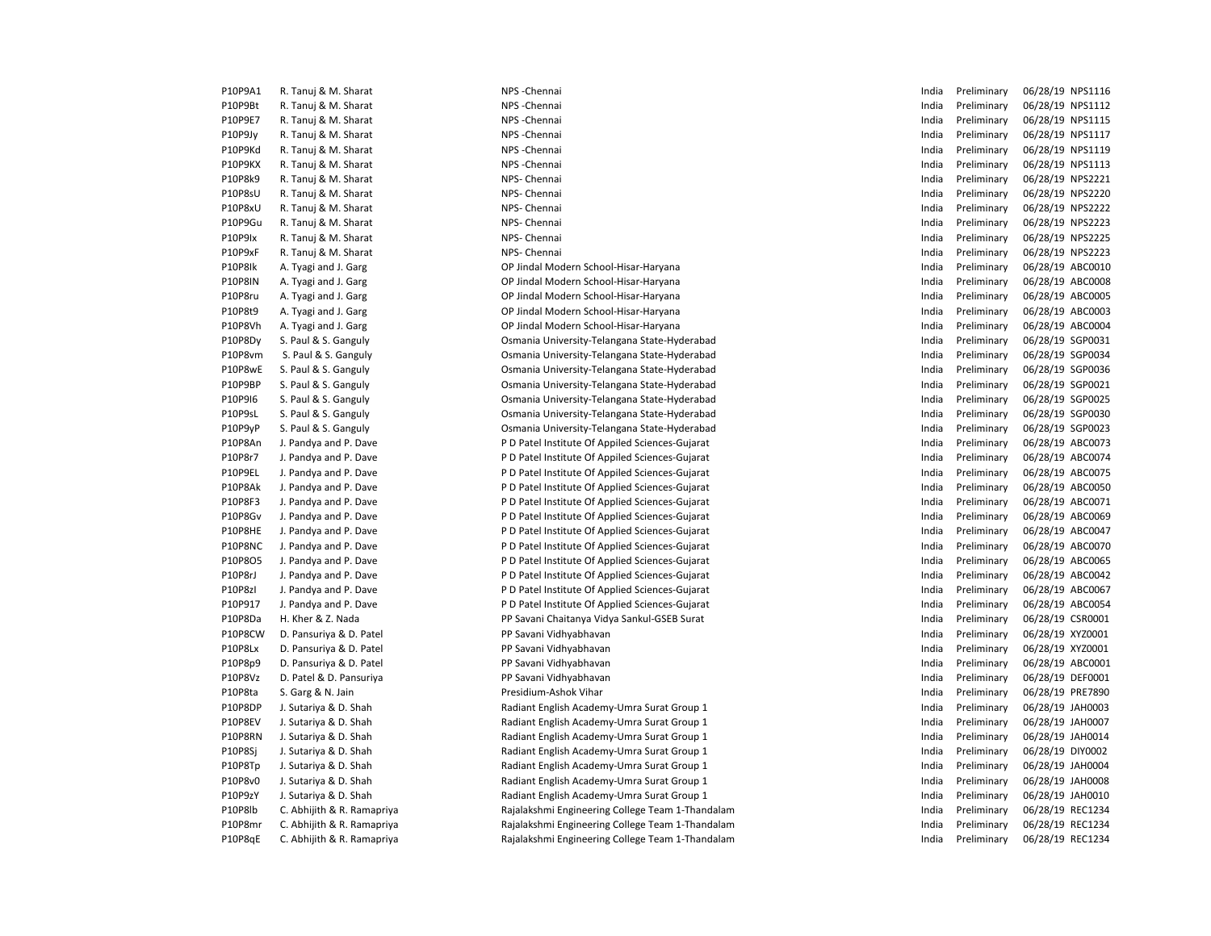| P10P9A1        | R. Tanuj & M. Sharat       | NPS - Chennai                                    | India | Preliminary | 06/28/19 NPS1116 |
|----------------|----------------------------|--------------------------------------------------|-------|-------------|------------------|
| P10P9Bt        | R. Tanuj & M. Sharat       | NPS - Chennai                                    | India | Preliminary | 06/28/19 NPS1112 |
| P10P9E7        | R. Tanuj & M. Sharat       | NPS - Chennai                                    | India | Preliminary | 06/28/19 NPS1115 |
| P10P9Jy        | R. Tanuj & M. Sharat       | NPS - Chennai                                    | India | Preliminary | 06/28/19 NPS1117 |
| P10P9Kd        | R. Tanuj & M. Sharat       | NPS - Chennai                                    | India | Preliminary | 06/28/19 NPS1119 |
| P10P9KX        | R. Tanuj & M. Sharat       | NPS - Chennai                                    | India | Preliminary | 06/28/19 NPS1113 |
| P10P8k9        | R. Tanuj & M. Sharat       | NPS- Chennai                                     | India | Preliminary | 06/28/19 NPS2221 |
| P10P8sU        | R. Tanuj & M. Sharat       | NPS- Chennai                                     | India | Preliminary | 06/28/19 NPS2220 |
| P10P8xU        | R. Tanuj & M. Sharat       | NPS- Chennai                                     | India | Preliminary | 06/28/19 NPS2222 |
| P10P9Gu        | R. Tanuj & M. Sharat       | NPS- Chennai                                     | India | Preliminary | 06/28/19 NPS2223 |
| P10P9Ix        | R. Tanuj & M. Sharat       | NPS- Chennai                                     | India | Preliminary | 06/28/19 NPS2225 |
| P10P9xF        | R. Tanuj & M. Sharat       | NPS- Chennai                                     | India | Preliminary | 06/28/19 NPS2223 |
| P10P8Ik        | A. Tyagi and J. Garg       | OP Jindal Modern School-Hisar-Haryana            | India | Preliminary | 06/28/19 ABC0010 |
| <b>P10P8IN</b> | A. Tyagi and J. Garg       | OP Jindal Modern School-Hisar-Haryana            | India | Preliminary | 06/28/19 ABC0008 |
| P10P8ru        | A. Tyagi and J. Garg       | OP Jindal Modern School-Hisar-Haryana            | India | Preliminary | 06/28/19 ABC0005 |
| P10P8t9        | A. Tyagi and J. Garg       | OP Jindal Modern School-Hisar-Haryana            | India | Preliminary | 06/28/19 ABC0003 |
| P10P8Vh        | A. Tyagi and J. Garg       | OP Jindal Modern School-Hisar-Haryana            | India | Preliminary | 06/28/19 ABC0004 |
| P10P8Dy        | S. Paul & S. Ganguly       | Osmania University-Telangana State-Hyderabad     | India | Preliminary | 06/28/19 SGP0031 |
| P10P8vm        | S. Paul & S. Ganguly       | Osmania University-Telangana State-Hyderabad     | India | Preliminary | 06/28/19 SGP0034 |
| P10P8wE        | S. Paul & S. Ganguly       | Osmania University-Telangana State-Hyderabad     | India | Preliminary | 06/28/19 SGP0036 |
| P10P9BP        | S. Paul & S. Ganguly       | Osmania University-Telangana State-Hyderabad     | India | Preliminary | 06/28/19 SGP0021 |
| P10P9I6        | S. Paul & S. Ganguly       | Osmania University-Telangana State-Hyderabad     | India | Preliminary | 06/28/19 SGP0025 |
| P10P9sL        | S. Paul & S. Ganguly       | Osmania University-Telangana State-Hyderabad     | India | Preliminary | 06/28/19 SGP0030 |
| P10P9yP        | S. Paul & S. Ganguly       | Osmania University-Telangana State-Hyderabad     | India | Preliminary | 06/28/19 SGP0023 |
| P10P8An        | J. Pandya and P. Dave      | P D Patel Institute Of Appiled Sciences-Gujarat  | India | Preliminary | 06/28/19 ABC0073 |
| P10P8r7        | J. Pandya and P. Dave      | P D Patel Institute Of Appiled Sciences-Gujarat  | India | Preliminary | 06/28/19 ABC0074 |
| P10P9EL        | J. Pandya and P. Dave      | P D Patel Institute Of Appiled Sciences-Gujarat  | India | Preliminary | 06/28/19 ABC0075 |
| P10P8Ak        | J. Pandya and P. Dave      | P D Patel Institute Of Applied Sciences-Gujarat  | India | Preliminary | 06/28/19 ABC0050 |
| P10P8F3        | J. Pandya and P. Dave      | P D Patel Institute Of Applied Sciences-Gujarat  | India | Preliminary | 06/28/19 ABC0071 |
| P10P8Gv        | J. Pandya and P. Dave      | P D Patel Institute Of Applied Sciences-Gujarat  | India | Preliminary | 06/28/19 ABC0069 |
| P10P8HE        | J. Pandya and P. Dave      | P D Patel Institute Of Applied Sciences-Gujarat  | India | Preliminary | 06/28/19 ABC0047 |
| P10P8NC        | J. Pandya and P. Dave      | P D Patel Institute Of Applied Sciences-Gujarat  | India | Preliminary | 06/28/19 ABC0070 |
| P10P8O5        | J. Pandya and P. Dave      | P D Patel Institute Of Applied Sciences-Gujarat  | India | Preliminary | 06/28/19 ABC0065 |
| P10P8rJ        | J. Pandya and P. Dave      | P D Patel Institute Of Applied Sciences-Gujarat  | India | Preliminary | 06/28/19 ABC0042 |
| P10P8zI        | J. Pandya and P. Dave      | P D Patel Institute Of Applied Sciences-Gujarat  | India | Preliminary | 06/28/19 ABC0067 |
| P10P917        | J. Pandya and P. Dave      | P D Patel Institute Of Applied Sciences-Gujarat  | India | Preliminary | 06/28/19 ABC0054 |
| P10P8Da        | H. Kher & Z. Nada          | PP Savani Chaitanya Vidya Sankul-GSEB Surat      | India | Preliminary | 06/28/19 CSR0001 |
| P10P8CW        | D. Pansuriya & D. Patel    | PP Savani Vidhyabhavan                           | India | Preliminary | 06/28/19 XYZ0001 |
| P10P8Lx        | D. Pansuriya & D. Patel    | PP Savani Vidhyabhavan                           | India | Preliminary | 06/28/19 XYZ0001 |
| P10P8p9        | D. Pansuriya & D. Patel    | PP Savani Vidhyabhavan                           | India | Preliminary | 06/28/19 ABC0001 |
| P10P8Vz        | D. Patel & D. Pansuriya    | PP Savani Vidhyabhavan                           | India | Preliminary | 06/28/19 DEF0001 |
| P10P8ta        | S. Garg & N. Jain          | Presidium-Ashok Vihar                            | India | Preliminary | 06/28/19 PRE7890 |
| P10P8DP        | J. Sutariya & D. Shah      | Radiant English Academy-Umra Surat Group 1       | India | Preliminary | 06/28/19 JAH0003 |
| P10P8EV        | J. Sutariya & D. Shah      | Radiant English Academy-Umra Surat Group 1       | India | Preliminary | 06/28/19 JAH0007 |
| P10P8RN        | J. Sutariya & D. Shah      | Radiant English Academy-Umra Surat Group 1       | India | Preliminary | 06/28/19 JAH0014 |
| P10P8Sj        | J. Sutariya & D. Shah      | Radiant English Academy-Umra Surat Group 1       | India | Preliminary | 06/28/19 DIY0002 |
| P10P8Tp        | J. Sutariya & D. Shah      | Radiant English Academy-Umra Surat Group 1       | India | Preliminary | 06/28/19 JAH0004 |
| P10P8v0        | J. Sutariya & D. Shah      | Radiant English Academy-Umra Surat Group 1       | India | Preliminary | 06/28/19 JAH0008 |
| P10P9zY        | J. Sutariya & D. Shah      | Radiant English Academy-Umra Surat Group 1       | India | Preliminary | 06/28/19 JAH0010 |
| P10P8lb        | C. Abhijith & R. Ramapriya | Rajalakshmi Engineering College Team 1-Thandalam | India | Preliminary | 06/28/19 REC1234 |
| P10P8mr        | C. Abhijith & R. Ramapriya | Rajalakshmi Engineering College Team 1-Thandalam | India | Preliminary | 06/28/19 REC1234 |
| P10P8qE        | C. Abhijith & R. Ramapriya | Rajalakshmi Engineering College Team 1-Thandalam | India | Preliminary | 06/28/19 REC1234 |
|                |                            |                                                  |       |             |                  |

|                             | India | Preliminary | 06/28/19 NPS1116 |  |
|-----------------------------|-------|-------------|------------------|--|
|                             | India | Preliminary | 06/28/19 NPS1112 |  |
|                             | India | Preliminary | 06/28/19 NPS1115 |  |
|                             | India | Preliminary | 06/28/19 NPS1117 |  |
|                             | India | Preliminary | 06/28/19 NPS1119 |  |
|                             | India | Preliminary | 06/28/19 NPS1113 |  |
|                             | India | Preliminary | 06/28/19 NPS2221 |  |
|                             | India | Preliminary | 06/28/19 NPS2220 |  |
|                             | India | Preliminary | 06/28/19 NPS2222 |  |
|                             | India | Preliminary | 06/28/19 NPS2223 |  |
|                             | India | Preliminary | 06/28/19 NPS2225 |  |
|                             | India | Preliminary | 06/28/19 NPS2223 |  |
| ool-Hisar-Haryana           | India | Preliminary | 06/28/19 ABC0010 |  |
| ool-Hisar-Haryana           | India | Preliminary | 06/28/19 ABC0008 |  |
| ool-Hisar-Haryana           | India | Preliminary | 06/28/19 ABC0005 |  |
| ool-Hisar-Haryana           | India | Preliminary | 06/28/19 ABC0003 |  |
| ool-Hisar-Haryana           | India | Preliminary | 06/28/19 ABC0004 |  |
| elangana State-Hyderabad    | India | Preliminary | 06/28/19 SGP0031 |  |
| elangana State-Hyderabad    | India | Preliminary | 06/28/19 SGP0034 |  |
| elangana State-Hyderabad    | India | Preliminary | 06/28/19 SGP0036 |  |
| elangana State-Hyderabad    | India | Preliminary | 06/28/19 SGP0021 |  |
| elangana State-Hyderabad    | India | Preliminary | 06/28/19 SGP0025 |  |
| elangana State-Hyderabad    | India | Preliminary | 06/28/19 SGP0030 |  |
| elangana State-Hyderabad    | India | Preliminary | 06/28/19 SGP0023 |  |
| Appiled Sciences-Gujarat    | India | Preliminary | 06/28/19 ABC0073 |  |
| Appiled Sciences-Gujarat    | India | Preliminary | 06/28/19 ABC0074 |  |
| Appiled Sciences-Gujarat    | India | Preliminary | 06/28/19 ABC0075 |  |
| Applied Sciences-Gujarat    | India | Preliminary | 06/28/19 ABC0050 |  |
| Applied Sciences-Gujarat    | India | Preliminary | 06/28/19 ABC0071 |  |
| Applied Sciences-Gujarat    | India | Preliminary | 06/28/19 ABC0069 |  |
| Applied Sciences-Gujarat    | India | Preliminary | 06/28/19 ABC0047 |  |
| Applied Sciences-Gujarat    | India | Preliminary | 06/28/19 ABC0070 |  |
| Applied Sciences-Gujarat    | India | Preliminary | 06/28/19 ABC0065 |  |
| Applied Sciences-Gujarat    | India | Preliminary | 06/28/19 ABC0042 |  |
| Applied Sciences-Gujarat    | India | Preliminary | 06/28/19 ABC0067 |  |
| Applied Sciences-Gujarat    | India | Preliminary | 06/28/19 ABC0054 |  |
| idya Sankul-GSEB Surat      | India | Preliminary | 06/28/19 CSR0001 |  |
| an                          | India | Preliminary | 06/28/19 XYZ0001 |  |
| an                          | India | Preliminary | 06/28/19 XYZ0001 |  |
| an                          | India | Preliminary | 06/28/19 ABC0001 |  |
| an                          | India | Preliminary | 06/28/19 DEF0001 |  |
|                             | India | Preliminary | 06/28/19 PRE7890 |  |
| my-Umra Surat Group 1       | India | Preliminary | 06/28/19 JAH0003 |  |
| my-Umra Surat Group 1       | India | Preliminary | 06/28/19 JAH0007 |  |
| my-Umra Surat Group 1       | India | Preliminary | 06/28/19 JAH0014 |  |
| my-Umra Surat Group 1       | India | Preliminary | 06/28/19 DIY0002 |  |
| my-Umra Surat Group 1       | India | Preliminary | 06/28/19 JAH0004 |  |
| my-Umra Surat Group 1       | India | Preliminary | 06/28/19 JAH0008 |  |
| my-Umra Surat Group 1       | India | Preliminary | 06/28/19 JAH0010 |  |
| ng College Team 1-Thandalam | India | Preliminary | 06/28/19 REC1234 |  |
| ng College Team 1-Thandalam | India | Preliminary | 06/28/19 REC1234 |  |
| ng College Team 1-Thandalam | India | Preliminary | 06/28/19 REC1234 |  |
|                             |       |             |                  |  |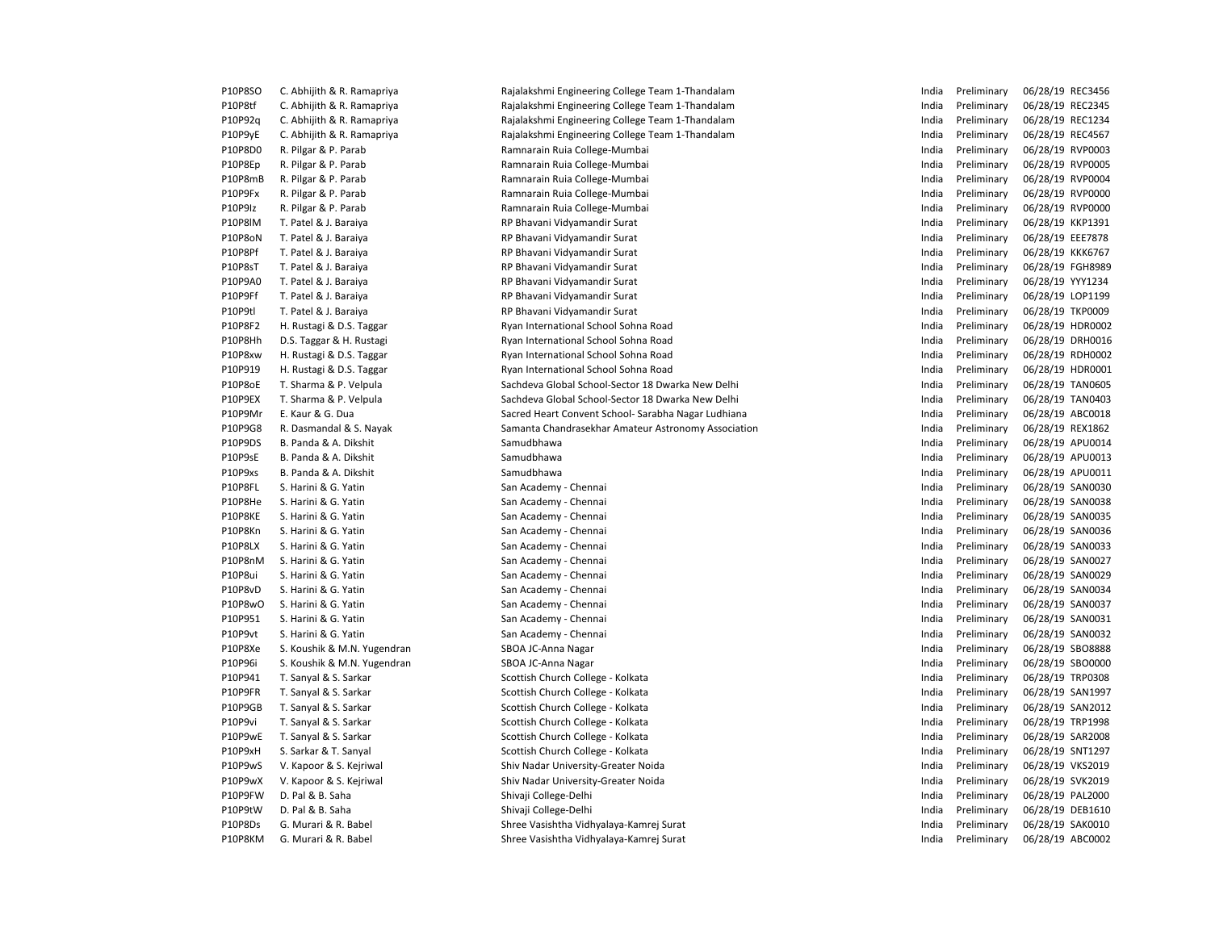| P10P8SO        | C. Abhijith & R. Ramapriya  | Rajalakshmi Engineering College Team 1-Thandalam    | India | Preliminary | 06/28/19 REC3456 |
|----------------|-----------------------------|-----------------------------------------------------|-------|-------------|------------------|
| P10P8tf        | C. Abhijith & R. Ramapriya  | Rajalakshmi Engineering College Team 1-Thandalam    | India | Preliminary | 06/28/19 REC2345 |
| P10P92q        | C. Abhijith & R. Ramapriya  | Rajalakshmi Engineering College Team 1-Thandalam    | India | Preliminary | 06/28/19 REC1234 |
| P10P9yE        | C. Abhijith & R. Ramapriya  | Rajalakshmi Engineering College Team 1-Thandalam    | India | Preliminary | 06/28/19 REC4567 |
| P10P8D0        | R. Pilgar & P. Parab        | Ramnarain Ruia College-Mumbai                       | India | Preliminary | 06/28/19 RVP0003 |
| P10P8Ep        | R. Pilgar & P. Parab        | Ramnarain Ruia College-Mumbai                       | India | Preliminary | 06/28/19 RVP0005 |
| P10P8mB        | R. Pilgar & P. Parab        | Ramnarain Ruia College-Mumbai                       | India | Preliminary | 06/28/19 RVP0004 |
| P10P9Fx        | R. Pilgar & P. Parab        | Ramnarain Ruia College-Mumbai                       | India | Preliminary | 06/28/19 RVP0000 |
| P10P9Iz        | R. Pilgar & P. Parab        | Ramnarain Ruia College-Mumbai                       | India | Preliminary | 06/28/19 RVP0000 |
| <b>P10P8IM</b> | T. Patel & J. Baraiya       | RP Bhavani Vidyamandir Surat                        | India | Preliminary | 06/28/19 KKP1391 |
| P10P8oN        | T. Patel & J. Baraiya       | RP Bhavani Vidyamandir Surat                        | India | Preliminary | 06/28/19 EEE7878 |
| P10P8Pf        | T. Patel & J. Baraiya       | RP Bhavani Vidyamandir Surat                        | India | Preliminary | 06/28/19 KKK6767 |
| P10P8sT        | T. Patel & J. Baraiya       | RP Bhavani Vidyamandir Surat                        | India | Preliminary | 06/28/19 FGH8989 |
| P10P9A0        | T. Patel & J. Baraiya       | RP Bhavani Vidyamandir Surat                        | India | Preliminary | 06/28/19 YYY1234 |
| P10P9Ff        | T. Patel & J. Baraiya       | RP Bhavani Vidyamandir Surat                        | India | Preliminary | 06/28/19 LOP1199 |
| P10P9tl        | T. Patel & J. Baraiya       | RP Bhavani Vidyamandir Surat                        | India | Preliminary | 06/28/19 TKP0009 |
| P10P8F2        | H. Rustagi & D.S. Taggar    | Ryan International School Sohna Road                | India | Preliminary | 06/28/19 HDR0002 |
| P10P8Hh        | D.S. Taggar & H. Rustagi    | Ryan International School Sohna Road                | India | Preliminary | 06/28/19 DRH0016 |
| P10P8xw        | H. Rustagi & D.S. Taggar    | Ryan International School Sohna Road                | India | Preliminary | 06/28/19 RDH0002 |
| P10P919        | H. Rustagi & D.S. Taggar    | Ryan International School Sohna Road                | India | Preliminary | 06/28/19 HDR0001 |
| P10P8oE        | T. Sharma & P. Velpula      | Sachdeva Global School-Sector 18 Dwarka New Delhi   | India | Preliminary | 06/28/19 TAN0605 |
| P10P9EX        | T. Sharma & P. Velpula      | Sachdeva Global School-Sector 18 Dwarka New Delhi   | India | Preliminary | 06/28/19 TAN0403 |
| P10P9Mr        | E. Kaur & G. Dua            | Sacred Heart Convent School- Sarabha Nagar Ludhiana | India | Preliminary | 06/28/19 ABC0018 |
| P10P9G8        | R. Dasmandal & S. Nayak     | Samanta Chandrasekhar Amateur Astronomy Association | India | Preliminary | 06/28/19 REX1862 |
| P10P9DS        | B. Panda & A. Dikshit       | Samudbhawa                                          | India | Preliminary | 06/28/19 APU0014 |
| P10P9sE        | B. Panda & A. Dikshit       | Samudbhawa                                          | India | Preliminary | 06/28/19 APU0013 |
| P10P9xs        | B. Panda & A. Dikshit       | Samudbhawa                                          | India | Preliminary | 06/28/19 APU0011 |
| P10P8FL        | S. Harini & G. Yatin        | San Academy - Chennai                               | India | Preliminary | 06/28/19 SAN0030 |
| P10P8He        | S. Harini & G. Yatin        | San Academy - Chennai                               | India | Preliminary | 06/28/19 SAN0038 |
| P10P8KE        | S. Harini & G. Yatin        | San Academy - Chennai                               | India | Preliminary | 06/28/19 SAN0035 |
| P10P8Kn        | S. Harini & G. Yatin        | San Academy - Chennai                               | India | Preliminary | 06/28/19 SAN0036 |
| P10P8LX        | S. Harini & G. Yatin        | San Academy - Chennai                               | India | Preliminary | 06/28/19 SAN0033 |
| P10P8nM        | S. Harini & G. Yatin        | San Academy - Chennai                               | India | Preliminary | 06/28/19 SAN0027 |
| P10P8ui        | S. Harini & G. Yatin        | San Academy - Chennai                               | India | Preliminary | 06/28/19 SAN0029 |
| P10P8vD        | S. Harini & G. Yatin        | San Academy - Chennai                               | India | Preliminary | 06/28/19 SAN0034 |
| P10P8wO        | S. Harini & G. Yatin        | San Academy - Chennai                               | India | Preliminary | 06/28/19 SAN0037 |
| P10P951        | S. Harini & G. Yatin        | San Academy - Chennai                               | India | Preliminary | 06/28/19 SAN0031 |
| P10P9vt        | S. Harini & G. Yatin        | San Academy - Chennai                               | India | Preliminary | 06/28/19 SAN0032 |
| P10P8Xe        | S. Koushik & M.N. Yugendran | SBOA JC-Anna Nagar                                  | India | Preliminary | 06/28/19 SBO8888 |
| P10P96i        | S. Koushik & M.N. Yugendran | SBOA JC-Anna Nagar                                  | India | Preliminary | 06/28/19 SBO0000 |
| P10P941        | T. Sanyal & S. Sarkar       | Scottish Church College - Kolkata                   | India | Preliminary | 06/28/19 TRP0308 |
| P10P9FR        | T. Sanyal & S. Sarkar       | Scottish Church College - Kolkata                   | India | Preliminary | 06/28/19 SAN1997 |
| P10P9GB        | T. Sanyal & S. Sarkar       | Scottish Church College - Kolkata                   | India | Preliminary | 06/28/19 SAN2012 |
| P10P9vi        | T. Sanyal & S. Sarkar       | Scottish Church College - Kolkata                   | India | Preliminary | 06/28/19 TRP1998 |
| P10P9wE        | T. Sanyal & S. Sarkar       | Scottish Church College - Kolkata                   | India | Preliminary | 06/28/19 SAR2008 |
| P10P9xH        | S. Sarkar & T. Sanyal       | Scottish Church College - Kolkata                   | India | Preliminary | 06/28/19 SNT1297 |
| P10P9wS        | V. Kapoor & S. Kejriwal     | Shiv Nadar University-Greater Noida                 | India | Preliminary | 06/28/19 VKS2019 |
| P10P9wX        | V. Kapoor & S. Kejriwal     | Shiv Nadar University-Greater Noida                 | India | Preliminary | 06/28/19 SVK2019 |
| P10P9FW        | D. Pal & B. Saha            | Shivaji College-Delhi                               | India | Preliminary | 06/28/19 PAL2000 |
| P10P9tW        | D. Pal & B. Saha            | Shivaji College-Delhi                               | India | Preliminary | 06/28/19 DEB1610 |
| P10P8Ds        | G. Murari & R. Babel        | Shree Vasishtha Vidhyalaya-Kamrej Surat             | India | Preliminary | 06/28/19 SAK0010 |
| P10P8KM        | G. Murari & R. Babel        | Shree Vasishtha Vidhyalaya-Kamrej Surat             | India | Preliminary | 06/28/19 ABC0002 |
|                |                             |                                                     |       |             |                  |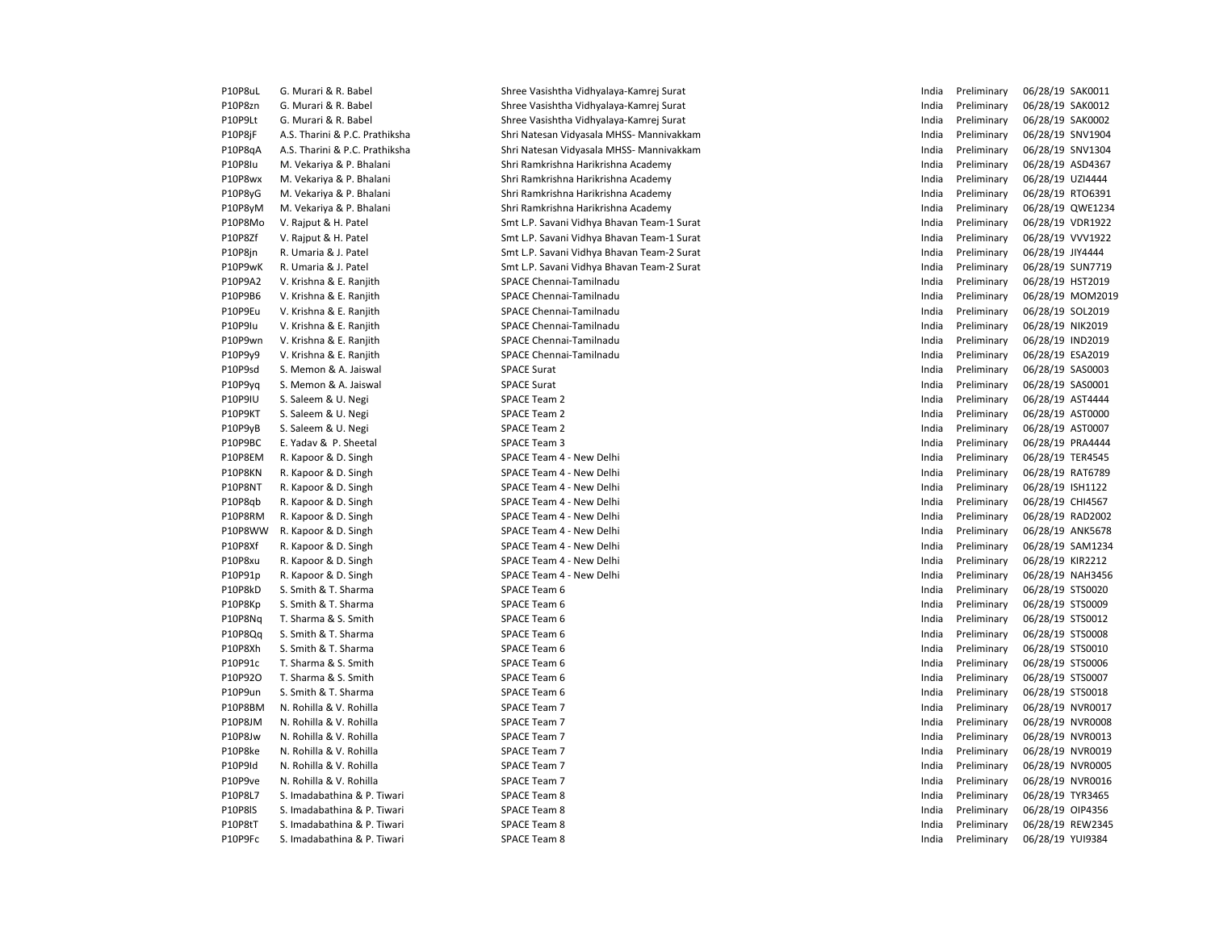| P10P8uL | G. Murari & R. Babel           | Shree Vasishtha Vidhyalaya-Kamrej Surat    | India | Preliminary | 06/28/19 SAK0011 |
|---------|--------------------------------|--------------------------------------------|-------|-------------|------------------|
| P10P8zn | G. Murari & R. Babel           | Shree Vasishtha Vidhyalaya-Kamrej Surat    | India | Preliminary | 06/28/19 SAK0012 |
| P10P9Lt | G. Murari & R. Babel           | Shree Vasishtha Vidhyalaya-Kamrej Surat    | India | Preliminary | 06/28/19 SAK0002 |
| P10P8jF | A.S. Tharini & P.C. Prathiksha | Shri Natesan Vidyasala MHSS- Mannivakkam   | India | Preliminary | 06/28/19 SNV1904 |
| P10P8qA | A.S. Tharini & P.C. Prathiksha | Shri Natesan Vidyasala MHSS- Mannivakkam   | India | Preliminary | 06/28/19 SNV1304 |
| P10P8Iu | M. Vekariya & P. Bhalani       | Shri Ramkrishna Harikrishna Academy        | India | Preliminary | 06/28/19 ASD4367 |
| P10P8wx | M. Vekariya & P. Bhalani       | Shri Ramkrishna Harikrishna Academy        | India | Preliminary | 06/28/19 UZI4444 |
| P10P8yG | M. Vekariya & P. Bhalani       | Shri Ramkrishna Harikrishna Academy        | India | Preliminary | 06/28/19 RTO6391 |
| P10P8yM | M. Vekariya & P. Bhalani       | Shri Ramkrishna Harikrishna Academy        | India | Preliminary | 06/28/19 QWE1234 |
| P10P8Mo | V. Rajput & H. Patel           | Smt L.P. Savani Vidhya Bhavan Team-1 Surat | India | Preliminary | 06/28/19 VDR1922 |
| P10P8Zf | V. Rajput & H. Patel           | Smt L.P. Savani Vidhya Bhavan Team-1 Surat | India | Preliminary | 06/28/19 VVV1922 |
| P10P8jn | R. Umaria & J. Patel           | Smt L.P. Savani Vidhya Bhavan Team-2 Surat | India | Preliminary | 06/28/19 JIY4444 |
| P10P9wK | R. Umaria & J. Patel           | Smt L.P. Savani Vidhya Bhavan Team-2 Surat | India | Preliminary | 06/28/19 SUN7719 |
| P10P9A2 | V. Krishna & E. Ranjith        | SPACE Chennai-Tamilnadu                    | India | Preliminary | 06/28/19 HST2019 |
| P10P9B6 | V. Krishna & E. Ranjith        | SPACE Chennai-Tamilnadu                    | India | Preliminary | 06/28/19 MOM2019 |
| P10P9Eu | V. Krishna & E. Ranjith        | SPACE Chennai-Tamilnadu                    | India | Preliminary | 06/28/19 SOL2019 |
| P10P9Iu | V. Krishna & E. Ranjith        | SPACE Chennai-Tamilnadu                    | India | Preliminary | 06/28/19 NIK2019 |
| P10P9wn | V. Krishna & E. Ranjith        | SPACE Chennai-Tamilnadu                    | India | Preliminary | 06/28/19 IND2019 |
| P10P9y9 | V. Krishna & E. Ranjith        | SPACE Chennai-Tamilnadu                    | India | Preliminary | 06/28/19 ESA2019 |
| P10P9sd | S. Memon & A. Jaiswal          | <b>SPACE Surat</b>                         | India | Preliminary | 06/28/19 SAS0003 |
| P10P9yq | S. Memon & A. Jaiswal          | <b>SPACE Surat</b>                         | India | Preliminary | 06/28/19 SAS0001 |
| P10P9IU | S. Saleem & U. Negi            | SPACE Team 2                               | India | Preliminary | 06/28/19 AST4444 |
| P10P9KT | S. Saleem & U. Negi            | <b>SPACE Team 2</b>                        | India | Preliminary | 06/28/19 AST0000 |
| P10P9yB | S. Saleem & U. Negi            | SPACE Team 2                               | India | Preliminary | 06/28/19 AST0007 |
| P10P9BC | E. Yadav & P. Sheetal          | <b>SPACE Team 3</b>                        | India | Preliminary | 06/28/19 PRA4444 |
| P10P8EM | R. Kapoor & D. Singh           | SPACE Team 4 - New Delhi                   | India | Preliminary | 06/28/19 TER4545 |
| P10P8KN | R. Kapoor & D. Singh           | SPACE Team 4 - New Delhi                   | India | Preliminary | 06/28/19 RAT6789 |
| P10P8NT | R. Kapoor & D. Singh           | SPACE Team 4 - New Delhi                   | India | Preliminary | 06/28/19 ISH1122 |
| P10P8qb | R. Kapoor & D. Singh           | SPACE Team 4 - New Delhi                   | India | Preliminary | 06/28/19 CHI4567 |
| P10P8RM | R. Kapoor & D. Singh           | SPACE Team 4 - New Delhi                   | India | Preliminary | 06/28/19 RAD2002 |
| P10P8WW | R. Kapoor & D. Singh           | SPACE Team 4 - New Delhi                   | India | Preliminary | 06/28/19 ANK5678 |
| P10P8Xf | R. Kapoor & D. Singh           | SPACE Team 4 - New Delhi                   | India | Preliminary | 06/28/19 SAM1234 |
| P10P8xu | R. Kapoor & D. Singh           | SPACE Team 4 - New Delhi                   | India | Preliminary | 06/28/19 KIR2212 |
| P10P91p | R. Kapoor & D. Singh           | SPACE Team 4 - New Delhi                   | India | Preliminary | 06/28/19 NAH3456 |
| P10P8kD | S. Smith & T. Sharma           | SPACE Team 6                               | India | Preliminary | 06/28/19 STS0020 |
| P10P8Kp | S. Smith & T. Sharma           | SPACE Team 6                               | India | Preliminary | 06/28/19 STS0009 |
| P10P8Nq | T. Sharma & S. Smith           | SPACE Team 6                               | India | Preliminary | 06/28/19 STS0012 |
| P10P8Qq | S. Smith & T. Sharma           | SPACE Team 6                               | India | Preliminary | 06/28/19 STS0008 |
| P10P8Xh | S. Smith & T. Sharma           | SPACE Team 6                               | India | Preliminary | 06/28/19 STS0010 |
| P10P91c | T. Sharma & S. Smith           | SPACE Team 6                               | India | Preliminary | 06/28/19 STS0006 |
| P10P92O | T. Sharma & S. Smith           | SPACE Team 6                               | India | Preliminary | 06/28/19 STS0007 |
| P10P9un | S. Smith & T. Sharma           | SPACE Team 6                               | India | Preliminary | 06/28/19 STS0018 |
| P10P8BM | N. Rohilla & V. Rohilla        | SPACE Team 7                               | India | Preliminary | 06/28/19 NVR0017 |
| P10P8JM | N. Rohilla & V. Rohilla        | SPACE Team 7                               | India | Preliminary | 06/28/19 NVR0008 |
| P10P8Jw | N. Rohilla & V. Rohilla        | SPACE Team 7                               | India | Preliminary | 06/28/19 NVR0013 |
| P10P8ke | N. Rohilla & V. Rohilla        | SPACE Team 7                               | India | Preliminary | 06/28/19 NVR0019 |
| P10P9Id | N. Rohilla & V. Rohilla        | <b>SPACE Team 7</b>                        | India | Preliminary | 06/28/19 NVR0005 |
| P10P9ve | N. Rohilla & V. Rohilla        | SPACE Team 7                               | India | Preliminary | 06/28/19 NVR0016 |
| P10P8L7 | S. Imadabathina & P. Tiwari    | SPACE Team 8                               | India | Preliminary | 06/28/19 TYR3465 |
| P10P8IS | S. Imadabathina & P. Tiwari    | SPACE Team 8                               | India | Preliminary | 06/28/19 OIP4356 |
| P10P8tT | S. Imadabathina & P. Tiwari    | <b>SPACE Team 8</b>                        | India | Preliminary | 06/28/19 REW2345 |
| P10P9Fc | S. Imadabathina & P. Tiwari    | <b>SPACE Team 8</b>                        | India | Preliminary | 06/28/19 YUI9384 |
|         |                                |                                            |       |             |                  |

| India | Preliminary | 06/28/19 | SAK0011        |
|-------|-------------|----------|----------------|
| India | Preliminary | 06/28/19 | SAK0012        |
| India | Preliminary | 06/28/19 | <b>SAK0002</b> |
| India | Preliminary | 06/28/19 | SNV1904        |
| India | Preliminary | 06/28/19 | SNV1304        |
| India | Preliminary | 06/28/19 | ASD4367        |
| India | Preliminary | 06/28/19 | UZI4444        |
| India | Preliminary | 06/28/19 | RTO6391        |
| India | Preliminary | 06/28/19 | QWE1234        |
| India | Preliminary | 06/28/19 | <b>VDR1922</b> |
| India | Preliminary | 06/28/19 | <b>VVV1922</b> |
| India | Preliminary | 06/28/19 | JIY4444        |
| India | Preliminary | 06/28/19 | <b>SUN7719</b> |
| India | Preliminary | 06/28/19 | <b>HST2019</b> |
| India | Preliminary | 06/28/19 | MOM201         |
| India | Preliminary | 06/28/19 | SOL2019        |
| India | Preliminary | 06/28/19 | NIK2019        |
| India | Preliminary | 06/28/19 | IND2019        |
| India | Preliminary | 06/28/19 | ESA2019        |
| India | Preliminary | 06/28/19 | SAS0003        |
| India | Preliminary | 06/28/19 | SAS0001        |
| India | Preliminary | 06/28/19 | AST4444        |
| India | Preliminary | 06/28/19 | AST0000        |
| India | Preliminary | 06/28/19 | AST0007        |
| India | Preliminary | 06/28/19 | PRA4444        |
| India | Preliminary | 06/28/19 | <b>TER4545</b> |
| India | Preliminary | 06/28/19 | RAT6789        |
| India | Preliminary | 06/28/19 | <b>ISH1122</b> |
| India | Preliminary | 06/28/19 | CHI4567        |
| India | Preliminary | 06/28/19 | RAD2002        |
| India | Preliminary | 06/28/19 | <b>ANK5678</b> |
| India | Preliminary | 06/28/19 | SAM1234        |
| India | Preliminary | 06/28/19 | <b>KIR2212</b> |
| India | Preliminary | 06/28/19 | <b>NAH3456</b> |
| India | Preliminary | 06/28/19 | STS0020        |
| India | Preliminary | 06/28/19 | STS0009        |
| India | Preliminary | 06/28/19 | STS0012        |
| India | Preliminary | 06/28/19 | STS0008        |
| India | Preliminary | 06/28/19 | STS0010        |
| India | Preliminary | 06/28/19 | STS0006        |
| India | Preliminary | 06/28/19 | STS0007        |
| India | Preliminary | 06/28/19 | STS0018        |
| India | Preliminary | 06/28/19 | NVR0017        |
| India | Preliminary | 06/28/19 | <b>NVR0008</b> |
| India | Preliminary | 06/28/19 | NVR0013        |
| India | Preliminary | 06/28/19 | NVR0019        |
| India | Preliminary | 06/28/19 | <b>NVR0005</b> |
| India | Preliminary | 06/28/19 | <b>NVR0016</b> |
| India | Preliminary | 06/28/19 | TYR3465        |
| India | Preliminary | 06/28/19 | OIP4356        |
| India | Preliminary | 06/28/19 | <b>REW2345</b> |
| India | Preliminary | 06/28/19 | <b>YUI9384</b> |
|       |             |          |                |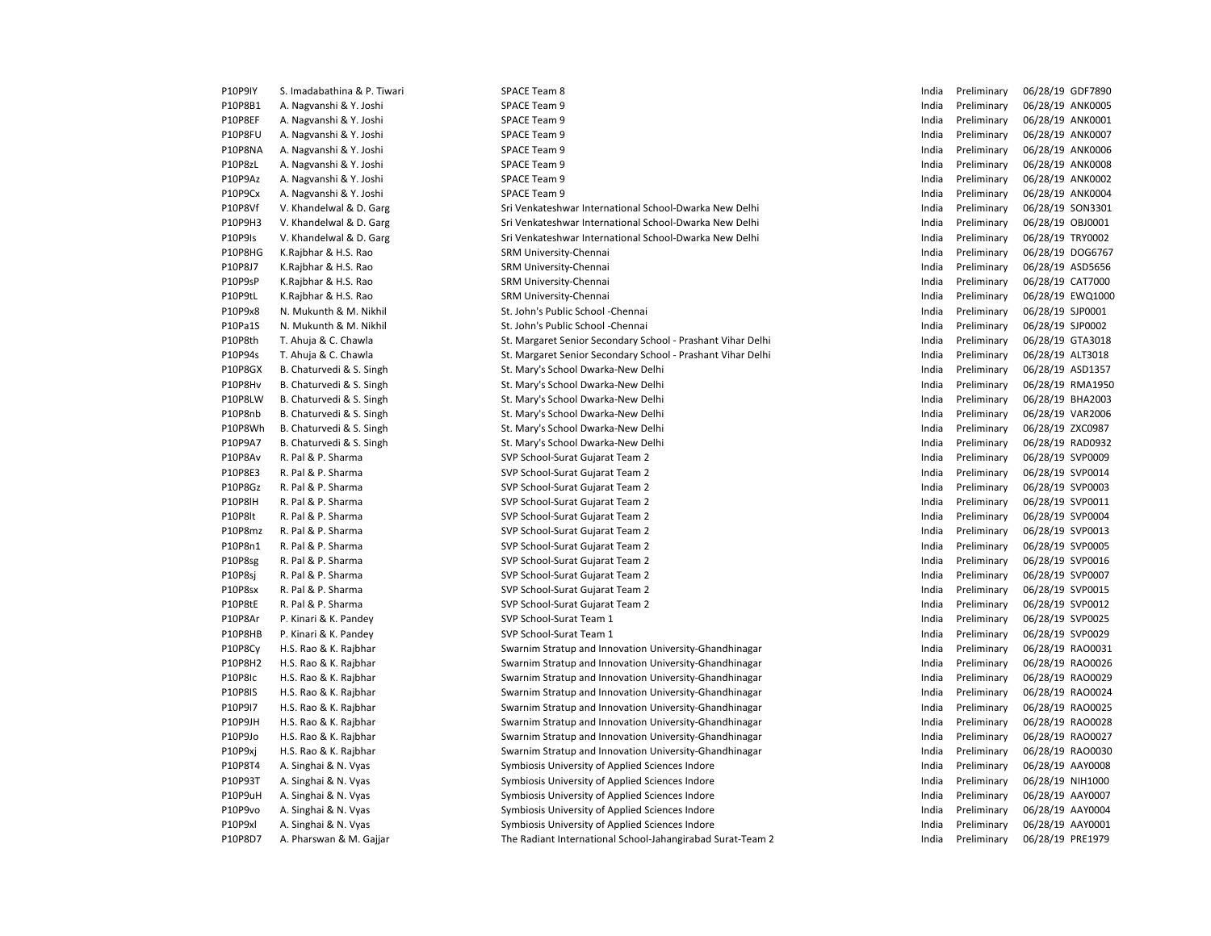| <b>P10P9IY</b> | S. Imadabathina & P. Tiwari | SPACE Team 8                                                | India | Preliminary | 06/28/19 GDF7890 |
|----------------|-----------------------------|-------------------------------------------------------------|-------|-------------|------------------|
| P10P8B1        | A. Nagvanshi & Y. Joshi     | SPACE Team 9                                                | India | Preliminary | 06/28/19 ANK0005 |
| P10P8EF        | A. Nagvanshi & Y. Joshi     | SPACE Team 9                                                | India | Preliminary | 06/28/19 ANK0001 |
| P10P8FU        | A. Nagvanshi & Y. Joshi     | SPACE Team 9                                                | India | Preliminary | 06/28/19 ANK0007 |
| P10P8NA        | A. Nagvanshi & Y. Joshi     | SPACE Team 9                                                | India | Preliminary | 06/28/19 ANK0006 |
| P10P8zL        | A. Nagvanshi & Y. Joshi     | SPACE Team 9                                                | India | Preliminary | 06/28/19 ANK0008 |
| P10P9Az        | A. Nagvanshi & Y. Joshi     | SPACE Team 9                                                | India | Preliminary | 06/28/19 ANK0002 |
| P10P9Cx        | A. Nagvanshi & Y. Joshi     | SPACE Team 9                                                | India | Preliminary | 06/28/19 ANK0004 |
| P10P8Vf        | V. Khandelwal & D. Garg     | Sri Venkateshwar International School-Dwarka New Delhi      | India | Preliminary | 06/28/19 SON3301 |
| P10P9H3        | V. Khandelwal & D. Garg     | Sri Venkateshwar International School-Dwarka New Delhi      | India | Preliminary | 06/28/19 OBJ0001 |
| P10P9Is        | V. Khandelwal & D. Garg     | Sri Venkateshwar International School-Dwarka New Delhi      | India | Preliminary | 06/28/19 TRY0002 |
| P10P8HG        | K.Rajbhar & H.S. Rao        | SRM University-Chennai                                      | India | Preliminary | 06/28/19 DOG6767 |
| P10P8J7        | K.Rajbhar & H.S. Rao        | SRM University-Chennai                                      | India | Preliminary | 06/28/19 ASD5656 |
| P10P9sP        | K.Rajbhar & H.S. Rao        | SRM University-Chennai                                      | India | Preliminary | 06/28/19 CAT7000 |
| P10P9tL        | K.Rajbhar & H.S. Rao        | SRM University-Chennai                                      | India | Preliminary | 06/28/19 EWQ1000 |
| P10P9x8        | N. Mukunth & M. Nikhil      | St. John's Public School - Chennai                          | India | Preliminary | 06/28/19 SJP0001 |
| P10Pa1S        | N. Mukunth & M. Nikhil      | St. John's Public School - Chennai                          | India | Preliminary | 06/28/19 SJP0002 |
| P10P8th        | T. Ahuja & C. Chawla        | St. Margaret Senior Secondary School - Prashant Vihar Delhi | India | Preliminary | 06/28/19 GTA3018 |
| P10P94s        | T. Ahuja & C. Chawla        | St. Margaret Senior Secondary School - Prashant Vihar Delhi | India | Preliminary | 06/28/19 ALT3018 |
| P10P8GX        | B. Chaturvedi & S. Singh    | St. Mary's School Dwarka-New Delhi                          | India | Preliminary | 06/28/19 ASD1357 |
| P10P8Hv        | B. Chaturvedi & S. Singh    | St. Mary's School Dwarka-New Delhi                          | India | Preliminary | 06/28/19 RMA1950 |
| P10P8LW        | B. Chaturvedi & S. Singh    | St. Mary's School Dwarka-New Delhi                          | India | Preliminary | 06/28/19 BHA2003 |
| P10P8nb        | B. Chaturvedi & S. Singh    | St. Mary's School Dwarka-New Delhi                          | India | Preliminary | 06/28/19 VAR2006 |
| P10P8Wh        | B. Chaturvedi & S. Singh    | St. Mary's School Dwarka-New Delhi                          | India | Preliminary | 06/28/19 ZXC0987 |
| P10P9A7        | B. Chaturvedi & S. Singh    | St. Mary's School Dwarka-New Delhi                          | India | Preliminary | 06/28/19 RAD0932 |
| P10P8Av        | R. Pal & P. Sharma          | SVP School-Surat Gujarat Team 2                             | India | Preliminary | 06/28/19 SVP0009 |
| P10P8E3        | R. Pal & P. Sharma          | SVP School-Surat Gujarat Team 2                             | India | Preliminary | 06/28/19 SVP0014 |
| P10P8Gz        | R. Pal & P. Sharma          | SVP School-Surat Gujarat Team 2                             | India | Preliminary | 06/28/19 SVP0003 |
| <b>P10P8IH</b> | R. Pal & P. Sharma          | SVP School-Surat Gujarat Team 2                             | India | Preliminary | 06/28/19 SVP0011 |
| P10P8lt        | R. Pal & P. Sharma          | SVP School-Surat Gujarat Team 2                             | India | Preliminary | 06/28/19 SVP0004 |
| P10P8mz        | R. Pal & P. Sharma          | SVP School-Surat Gujarat Team 2                             | India | Preliminary | 06/28/19 SVP0013 |
| P10P8n1        | R. Pal & P. Sharma          | SVP School-Surat Gujarat Team 2                             | India | Preliminary | 06/28/19 SVP0005 |
| P10P8sg        | R. Pal & P. Sharma          | SVP School-Surat Gujarat Team 2                             | India | Preliminary | 06/28/19 SVP0016 |
| P10P8sj        | R. Pal & P. Sharma          | SVP School-Surat Gujarat Team 2                             | India | Preliminary | 06/28/19 SVP0007 |
| P10P8sx        | R. Pal & P. Sharma          | SVP School-Surat Gujarat Team 2                             | India | Preliminary | 06/28/19 SVP0015 |
| P10P8tE        | R. Pal & P. Sharma          | SVP School-Surat Gujarat Team 2                             | India | Preliminary | 06/28/19 SVP0012 |
| P10P8Ar        | P. Kinari & K. Pandey       | SVP School-Surat Team 1                                     | India | Preliminary | 06/28/19 SVP0025 |
| P10P8HB        | P. Kinari & K. Pandey       | SVP School-Surat Team 1                                     | India | Preliminary | 06/28/19 SVP0029 |
| P10P8Cy        | H.S. Rao & K. Rajbhar       | Swarnim Stratup and Innovation University-Ghandhinagar      | India | Preliminary | 06/28/19 RAO0031 |
| P10P8H2        | H.S. Rao & K. Rajbhar       | Swarnim Stratup and Innovation University-Ghandhinagar      | India | Preliminary | 06/28/19 RAO0026 |
| P10P8Ic        | H.S. Rao & K. Rajbhar       | Swarnim Stratup and Innovation University-Ghandhinagar      | India | Preliminary | 06/28/19 RAO0029 |
| P10P8IS        | H.S. Rao & K. Rajbhar       | Swarnim Stratup and Innovation University-Ghandhinagar      | India | Preliminary | 06/28/19 RAO0024 |
| P10P9I7        | H.S. Rao & K. Rajbhar       | Swarnim Stratup and Innovation University-Ghandhinagar      | India | Preliminary | 06/28/19 RAO0025 |
| P10P9JH        | H.S. Rao & K. Rajbhar       | Swarnim Stratup and Innovation University-Ghandhinagar      | India | Preliminary | 06/28/19 RAO0028 |
| P10P9Jo        | H.S. Rao & K. Rajbhar       | Swarnim Stratup and Innovation University-Ghandhinagar      | India | Preliminary | 06/28/19 RAO0027 |
| P10P9xj        | H.S. Rao & K. Rajbhar       | Swarnim Stratup and Innovation University-Ghandhinagar      | India | Preliminary | 06/28/19 RAO0030 |
| P10P8T4        | A. Singhai & N. Vyas        | Symbiosis University of Applied Sciences Indore             | India | Preliminary | 06/28/19 AAY0008 |
| P10P93T        | A. Singhai & N. Vyas        | Symbiosis University of Applied Sciences Indore             | India | Preliminary | 06/28/19 NIH1000 |
| P10P9uH        | A. Singhai & N. Vyas        | Symbiosis University of Applied Sciences Indore             | India | Preliminary | 06/28/19 AAY0007 |
| P10P9vo        | A. Singhai & N. Vyas        | Symbiosis University of Applied Sciences Indore             | India | Preliminary | 06/28/19 AAY0004 |
| P10P9xl        | A. Singhai & N. Vyas        | Symbiosis University of Applied Sciences Indore             | India | Preliminary | 06/28/19 AAY0001 |
| P10P8D7        | A. Pharswan & M. Gajjar     | The Radiant International School-Jahangirabad Surat-Team 2  | India | Preliminary | 06/28/19 PRE1979 |
|                |                             |                                                             |       |             |                  |

| India | Preliminary | 06/28/19 | GDF7890        |
|-------|-------------|----------|----------------|
| India | Preliminary | 06/28/19 | ANK0005        |
| India | Preliminary | 06/28/19 | ANK0001        |
| India | Preliminary | 06/28/19 | ANK0007        |
| India | Preliminary | 06/28/19 | ANK0006        |
| India | Preliminary | 06/28/19 | <b>ANK0008</b> |
| India | Preliminary | 06/28/19 | ANK0002        |
| India | Preliminary | 06/28/19 | ANK0004        |
| India | Preliminary | 06/28/19 | SON3301        |
| India | Preliminary | 06/28/19 | OBJ0001        |
| India | Preliminary | 06/28/19 | TRY0002        |
| India | Preliminary | 06/28/19 | DOG6767        |
| India | Preliminary | 06/28/19 | ASD5656        |
| India | Preliminary | 06/28/19 | CAT7000        |
| India | Preliminary | 06/28/19 | EWQ1000        |
| India | Preliminary | 06/28/19 | SJP0001        |
| India | Preliminary | 06/28/19 | SJP0002        |
| India | Preliminary | 06/28/19 | GTA3018        |
| India | Preliminary | 06/28/19 | ALT3018        |
| India | Preliminary | 06/28/19 | ASD1357        |
| India | Preliminary | 06/28/19 | <b>RMA1950</b> |
| India | Preliminary | 06/28/19 | BHA2003        |
| India | Preliminary | 06/28/19 | <b>VAR2006</b> |
| India | Preliminary | 06/28/19 | ZXC0987        |
| India | Preliminary | 06/28/19 | RAD0932        |
| India | Preliminary | 06/28/19 | SVP0009        |
| India | Preliminary | 06/28/19 | SVP0014        |
| India | Preliminary | 06/28/19 | SVP0003        |
| India | Preliminary | 06/28/19 | SVP0011        |
| India | Preliminary | 06/28/19 | SVP0004        |
| India | Preliminary | 06/28/19 | SVP0013        |
| India | Preliminary | 06/28/19 | SVP0005        |
| India | Preliminary | 06/28/19 | SVP0016        |
| India | Preliminary | 06/28/19 | SVP0007        |
| India | Preliminary | 06/28/19 | SVP0015        |
| India | Preliminary | 06/28/19 | SVP0012        |
| India | Preliminary | 06/28/19 | SVP0025        |
| India | Preliminary | 06/28/19 | SVP0029        |
| India | Preliminary | 06/28/19 | RAO0031        |
| India | Preliminary | 06/28/19 | RAO0026        |
| India | Preliminary | 06/28/19 | RAO0029        |
| India | Preliminary | 06/28/19 | RAO0024        |
| India | Preliminary | 06/28/19 | RAO0025        |
| India | Preliminary | 06/28/19 | RAO0028        |
| India | Preliminary | 06/28/19 | RAO0027        |
| India | Preliminary | 06/28/19 | RAO0030        |
| India | Preliminary | 06/28/19 | AAY0008        |
| India | Preliminary | 06/28/19 | NIH1000        |
| India | Preliminary | 06/28/19 | AAY0007        |
| India | Preliminary | 06/28/19 | AAY0004        |
| India | Preliminary | 06/28/19 | AAY0001        |
| India | Preliminary | 06/28/19 | PRE1979        |
|       |             |          |                |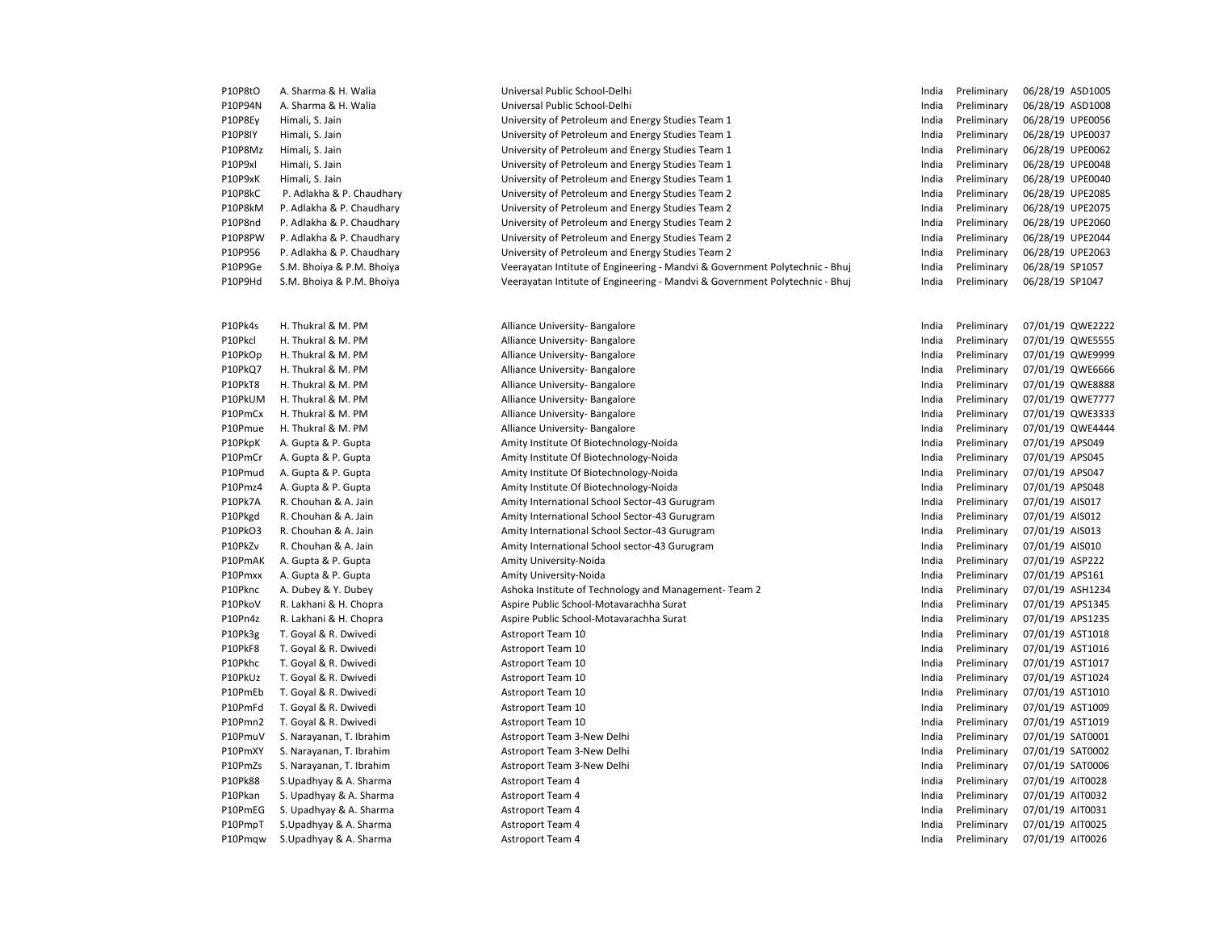| P10P8tO | A. Sharma & H. Walia      | Universal Public School-Delhi                                               | India | Preliminary | 06/28/19 ASD1005 |
|---------|---------------------------|-----------------------------------------------------------------------------|-------|-------------|------------------|
| P10P94N | A. Sharma & H. Walia      | Universal Public School-Delhi                                               | India | Preliminary | 06/28/19 ASD1008 |
| P10P8Ey | Himali, S. Jain           | University of Petroleum and Energy Studies Team 1                           | India | Preliminary | 06/28/19 UPE0056 |
| P10P8IY | Himali, S. Jain           | University of Petroleum and Energy Studies Team 1                           | India | Preliminary | 06/28/19 UPE0037 |
| P10P8Mz | Himali, S. Jain           | University of Petroleum and Energy Studies Team 1                           | India | Preliminary | 06/28/19 UPE0062 |
| P10P9xI | Himali, S. Jain           | University of Petroleum and Energy Studies Team 1                           | India | Preliminary | 06/28/19 UPE0048 |
| P10P9xK | Himali, S. Jain           | University of Petroleum and Energy Studies Team 1                           | India | Preliminary | 06/28/19 UPE0040 |
| P10P8kC | P. Adlakha & P. Chaudhary | University of Petroleum and Energy Studies Team 2                           | India | Preliminary | 06/28/19 UPE2085 |
| P10P8kM | P. Adlakha & P. Chaudhary | University of Petroleum and Energy Studies Team 2                           | India | Preliminary | 06/28/19 UPE2075 |
| P10P8nd | P. Adlakha & P. Chaudhary | University of Petroleum and Energy Studies Team 2                           | India | Preliminary | 06/28/19 UPE2060 |
| P10P8PW | P. Adlakha & P. Chaudhary | University of Petroleum and Energy Studies Team 2                           | India | Preliminary | 06/28/19 UPE2044 |
| P10P956 | P. Adlakha & P. Chaudhary | University of Petroleum and Energy Studies Team 2                           | India | Preliminary | 06/28/19 UPE2063 |
| P10P9Ge | S.M. Bhoiya & P.M. Bhoiya | Veerayatan Intitute of Engineering - Mandvi & Government Polytechnic - Bhuj | India | Preliminary | 06/28/19 SP1057  |
| P10P9Hd | S.M. Bhoiya & P.M. Bhoiya | Veerayatan Intitute of Engineering - Mandvi & Government Polytechnic - Bhuj | India | Preliminary | 06/28/19 SP1047  |
| P10Pk4s | H. Thukral & M. PM        | Alliance University- Bangalore                                              | India | Preliminary | 07/01/19 QWE2222 |
| P10Pkcl | H. Thukral & M. PM        | Alliance University- Bangalore                                              | India | Preliminary | 07/01/19 QWE5555 |
| P10PkOp | H. Thukral & M. PM        | Alliance University-Bangalore                                               | India | Preliminary | 07/01/19 QWE9999 |
| P10PkQ7 | H. Thukral & M. PM        | Alliance University-Bangalore                                               | India | Preliminary | 07/01/19 QWE6666 |
| P10PkT8 | H. Thukral & M. PM        | Alliance University-Bangalore                                               | India | Preliminary | 07/01/19 QWE8888 |
| P10PkUM | H. Thukral & M. PM        | Alliance University- Bangalore                                              | India | Preliminary | 07/01/19 QWE7777 |
| P10PmCx | H. Thukral & M. PM        | Alliance University-Bangalore                                               | India | Preliminary | 07/01/19 QWE3333 |
| P10Pmue | H. Thukral & M. PM        | Alliance University- Bangalore                                              | India | Preliminary | 07/01/19 QWE4444 |
| P10PkpK | A. Gupta & P. Gupta       | Amity Institute Of Biotechnology-Noida                                      | India | Preliminary | 07/01/19 APS049  |
| P10PmCr | A. Gupta & P. Gupta       | Amity Institute Of Biotechnology-Noida                                      | India | Preliminary | 07/01/19 APS045  |
| P10Pmud | A. Gupta & P. Gupta       | Amity Institute Of Biotechnology-Noida                                      | India | Preliminary | 07/01/19 APS047  |
| P10Pmz4 | A. Gupta & P. Gupta       | Amity Institute Of Biotechnology-Noida                                      | India | Preliminary | 07/01/19 APS048  |
| P10Pk7A | R. Chouhan & A. Jain      | Amity International School Sector-43 Gurugram                               | India | Preliminary | 07/01/19 AIS017  |
| P10Pkgd | R. Chouhan & A. Jain      | Amity International School Sector-43 Gurugram                               | India | Preliminary | 07/01/19 AIS012  |
| P10PkO3 | R. Chouhan & A. Jain      | Amity International School Sector-43 Gurugram                               | India | Preliminary | 07/01/19 AIS013  |
| P10PkZv | R. Chouhan & A. Jain      | Amity International School sector-43 Gurugram                               | India | Preliminary | 07/01/19 AIS010  |
| P10PmAK | A. Gupta & P. Gupta       | Amity University-Noida                                                      | India | Preliminary | 07/01/19 ASP222  |
| P10Pmxx | A. Gupta & P. Gupta       | Amity University-Noida                                                      | India | Preliminary | 07/01/19 APS161  |
| P10Pknc | A. Dubey & Y. Dubey       | Ashoka Institute of Technology and Management-Team 2                        | India | Preliminary | 07/01/19 ASH1234 |
| P10PkoV | R. Lakhani & H. Chopra    | Aspire Public School-Motavarachha Surat                                     | India | Preliminary | 07/01/19 APS1345 |
| P10Pn4z | R. Lakhani & H. Chopra    | Aspire Public School-Motavarachha Surat                                     | India | Preliminary | 07/01/19 APS1235 |
| P10Pk3g | T. Goyal & R. Dwivedi     | Astroport Team 10                                                           | India | Preliminary | 07/01/19 AST1018 |
| P10PkF8 | T. Goyal & R. Dwivedi     | Astroport Team 10                                                           | India | Preliminary | 07/01/19 AST1016 |
| P10Pkhc | T. Goyal & R. Dwivedi     | Astroport Team 10                                                           | India | Preliminary | 07/01/19 AST1017 |
| P10PkUz | T. Goyal & R. Dwivedi     | Astroport Team 10                                                           | India | Preliminary | 07/01/19 AST1024 |
| P10PmEb | T. Goyal & R. Dwivedi     | Astroport Team 10                                                           | India | Preliminary | 07/01/19 AST1010 |
| P10PmFd | T. Goyal & R. Dwivedi     | Astroport Team 10                                                           | India | Preliminary | 07/01/19 AST1009 |
| P10Pmn2 | T. Goyal & R. Dwivedi     | Astroport Team 10                                                           | India | Preliminary | 07/01/19 AST1019 |
| P10PmuV | S. Narayanan, T. Ibrahim  | Astroport Team 3-New Delhi                                                  | India | Preliminary | 07/01/19 SAT0001 |
| P10PmXY | S. Narayanan, T. Ibrahim  | Astroport Team 3-New Delhi                                                  | India | Preliminary | 07/01/19 SAT0002 |
| P10PmZs | S. Narayanan, T. Ibrahim  | Astroport Team 3-New Delhi                                                  | India | Preliminary | 07/01/19 SAT0006 |
| P10Pk88 | S.Upadhyay & A. Sharma    | Astroport Team 4                                                            | India | Preliminary | 07/01/19 AIT0028 |
| P10Pkan | S. Upadhyay & A. Sharma   | <b>Astroport Team 4</b>                                                     | India | Preliminary | 07/01/19 AIT0032 |
| P10PmEG | S. Upadhyay & A. Sharma   | <b>Astroport Team 4</b>                                                     | India | Preliminary | 07/01/19 AIT0031 |
| P10PmpT | S.Upadhyay & A. Sharma    | <b>Astroport Team 4</b>                                                     | India | Preliminary | 07/01/19 AIT0025 |
| P10Pmqw | S.Upadhyay & A. Sharma    | <b>Astroport Team 4</b>                                                     | India | Preliminary | 07/01/19 AIT0026 |
|         |                           |                                                                             |       |             |                  |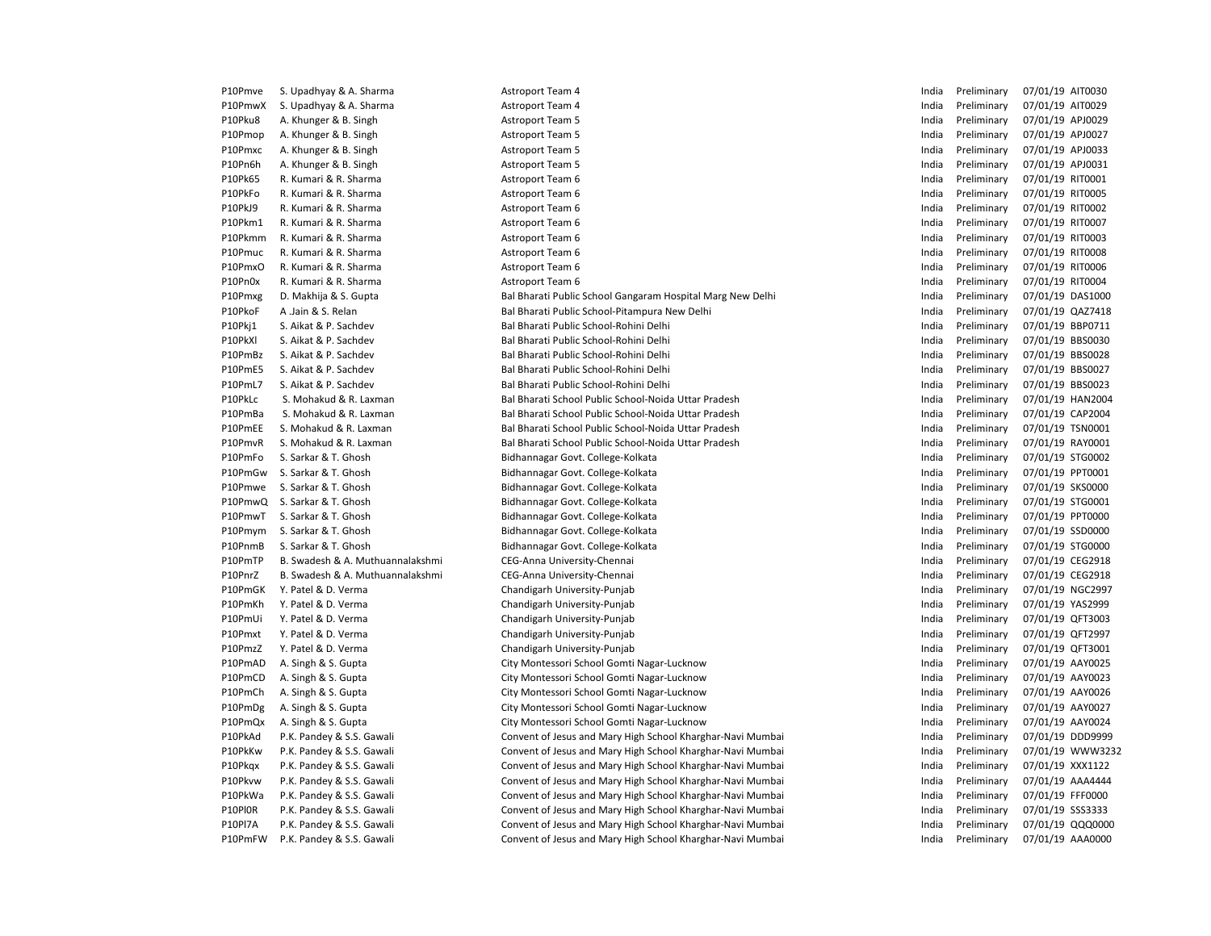| P10Pmve | S. Upadhyay & A. Sharma          | <b>Astroport Team 4</b>                                    | India | Preliminary | 07/01/19 AIT0030 |
|---------|----------------------------------|------------------------------------------------------------|-------|-------------|------------------|
| P10PmwX | S. Upadhyay & A. Sharma          | <b>Astroport Team 4</b>                                    | India | Preliminary | 07/01/19 AIT0029 |
| P10Pku8 | A. Khunger & B. Singh            | <b>Astroport Team 5</b>                                    | India | Preliminary | 07/01/19 APJ0029 |
| P10Pmop | A. Khunger & B. Singh            | <b>Astroport Team 5</b>                                    | India | Preliminary | 07/01/19 APJ0027 |
| P10Pmxc | A. Khunger & B. Singh            | <b>Astroport Team 5</b>                                    | India | Preliminary | 07/01/19 APJ0033 |
| P10Pn6h | A. Khunger & B. Singh            | <b>Astroport Team 5</b>                                    | India | Preliminary | 07/01/19 APJ0031 |
| P10Pk65 | R. Kumari & R. Sharma            | Astroport Team 6                                           | India | Preliminary | 07/01/19 RIT0001 |
| P10PkFo | R. Kumari & R. Sharma            | Astroport Team 6                                           | India | Preliminary | 07/01/19 RIT0005 |
| P10PkJ9 | R. Kumari & R. Sharma            | Astroport Team 6                                           | India | Preliminary | 07/01/19 RIT0002 |
| P10Pkm1 | R. Kumari & R. Sharma            | Astroport Team 6                                           | India | Preliminary | 07/01/19 RIT0007 |
| P10Pkmm | R. Kumari & R. Sharma            | Astroport Team 6                                           | India | Preliminary | 07/01/19 RIT0003 |
| P10Pmuc | R. Kumari & R. Sharma            | Astroport Team 6                                           | India | Preliminary | 07/01/19 RIT0008 |
| P10PmxO | R. Kumari & R. Sharma            | Astroport Team 6                                           | India | Preliminary | 07/01/19 RIT0006 |
| P10Pn0x | R. Kumari & R. Sharma            | Astroport Team 6                                           | India | Preliminary | 07/01/19 RIT0004 |
| P10Pmxg | D. Makhija & S. Gupta            | Bal Bharati Public School Gangaram Hospital Marg New Delhi | India | Preliminary | 07/01/19 DAS1000 |
| P10PkoF | A Jain & S. Relan                | Bal Bharati Public School-Pitampura New Delhi              | India | Preliminary | 07/01/19 QAZ7418 |
| P10Pkj1 | S. Aikat & P. Sachdev            | Bal Bharati Public School-Rohini Delhi                     | India | Preliminary | 07/01/19 BBP0711 |
| P10PkXl | S. Aikat & P. Sachdev            | Bal Bharati Public School-Rohini Delhi                     | India | Preliminary | 07/01/19 BBS0030 |
| P10PmBz | S. Aikat & P. Sachdev            | Bal Bharati Public School-Rohini Delhi                     | India | Preliminary | 07/01/19 BBS0028 |
| P10PmE5 | S. Aikat & P. Sachdev            | Bal Bharati Public School-Rohini Delhi                     | India | Preliminary | 07/01/19 BBS0027 |
| P10PmL7 | S. Aikat & P. Sachdev            | Bal Bharati Public School-Rohini Delhi                     | India | Preliminary | 07/01/19 BBS0023 |
| P10PkLc | S. Mohakud & R. Laxman           | Bal Bharati School Public School-Noida Uttar Pradesh       | India | Preliminary | 07/01/19 HAN2004 |
| P10PmBa | S. Mohakud & R. Laxman           | Bal Bharati School Public School-Noida Uttar Pradesh       | India | Preliminary | 07/01/19 CAP2004 |
| P10PmEE | S. Mohakud & R. Laxman           | Bal Bharati School Public School-Noida Uttar Pradesh       | India | Preliminary | 07/01/19 TSN0001 |
| P10PmvR | S. Mohakud & R. Laxman           | Bal Bharati School Public School-Noida Uttar Pradesh       | India | Preliminary | 07/01/19 RAY0001 |
| P10PmFo | S. Sarkar & T. Ghosh             | Bidhannagar Govt. College-Kolkata                          | India | Preliminary | 07/01/19 STG0002 |
| P10PmGw | S. Sarkar & T. Ghosh             | Bidhannagar Govt. College-Kolkata                          | India | Preliminary | 07/01/19 PPT0001 |
| P10Pmwe | S. Sarkar & T. Ghosh             | Bidhannagar Govt. College-Kolkata                          | India | Preliminary | 07/01/19 SKS0000 |
| P10PmwQ | S. Sarkar & T. Ghosh             | Bidhannagar Govt. College-Kolkata                          | India | Preliminary | 07/01/19 STG0001 |
| P10PmwT | S. Sarkar & T. Ghosh             | Bidhannagar Govt. College-Kolkata                          | India | Preliminary | 07/01/19 PPT0000 |
| P10Pmym | S. Sarkar & T. Ghosh             | Bidhannagar Govt. College-Kolkata                          | India | Preliminary | 07/01/19 SSD0000 |
| P10PnmB | S. Sarkar & T. Ghosh             | Bidhannagar Govt. College-Kolkata                          | India | Preliminary | 07/01/19 STG0000 |
| P10PmTP | B. Swadesh & A. Muthuannalakshmi | CEG-Anna University-Chennai                                | India | Preliminary | 07/01/19 CEG2918 |
| P10PnrZ | B. Swadesh & A. Muthuannalakshmi | CEG-Anna University-Chennai                                | India | Preliminary | 07/01/19 CEG2918 |
| P10PmGK | Y. Patel & D. Verma              | Chandigarh University-Punjab                               | India | Preliminary | 07/01/19 NGC2997 |
| P10PmKh | Y. Patel & D. Verma              | Chandigarh University-Punjab                               | India | Preliminary | 07/01/19 YAS2999 |
| P10PmUi | Y. Patel & D. Verma              | Chandigarh University-Punjab                               | India | Preliminary | 07/01/19 QFT3003 |
| P10Pmxt | Y. Patel & D. Verma              | Chandigarh University-Punjab                               | India | Preliminary | 07/01/19 QFT2997 |
| P10PmzZ | Y. Patel & D. Verma              | Chandigarh University-Punjab                               | India | Preliminary | 07/01/19 QFT3001 |
| P10PmAD | A. Singh & S. Gupta              | City Montessori School Gomti Nagar-Lucknow                 | India | Preliminary | 07/01/19 AAY0025 |
| P10PmCD | A. Singh & S. Gupta              | City Montessori School Gomti Nagar-Lucknow                 | India | Preliminary | 07/01/19 AAY0023 |
| P10PmCh | A. Singh & S. Gupta              | City Montessori School Gomti Nagar-Lucknow                 | India | Preliminary | 07/01/19 AAY0026 |
| P10PmDg | A. Singh & S. Gupta              | City Montessori School Gomti Nagar-Lucknow                 | India | Preliminary | 07/01/19 AAY0027 |
| P10PmQx | A. Singh & S. Gupta              | City Montessori School Gomti Nagar-Lucknow                 | India | Preliminary | 07/01/19 AAY0024 |
| P10PkAd | P.K. Pandey & S.S. Gawali        | Convent of Jesus and Mary High School Kharghar-Navi Mumbai | India | Preliminary | 07/01/19 DDD9999 |
| P10PkKw | P.K. Pandey & S.S. Gawali        | Convent of Jesus and Mary High School Kharghar-Navi Mumbai | India | Preliminary | 07/01/19 WWW323  |
| P10Pkgx | P.K. Pandey & S.S. Gawali        | Convent of Jesus and Mary High School Kharghar-Navi Mumbai | India | Preliminary | 07/01/19 XXX1122 |
| P10Pkvw | P.K. Pandey & S.S. Gawali        | Convent of Jesus and Mary High School Kharghar-Navi Mumbai | India | Preliminary | 07/01/19 AAA4444 |
| P10PkWa | P.K. Pandey & S.S. Gawali        | Convent of Jesus and Mary High School Kharghar-Navi Mumbai | India | Preliminary | 07/01/19 FFF0000 |
| P10PI0R | P.K. Pandey & S.S. Gawali        | Convent of Jesus and Mary High School Kharghar-Navi Mumbai | India | Preliminary | 07/01/19 SSS3333 |
| P10Pl7A | P.K. Pandey & S.S. Gawali        | Convent of Jesus and Mary High School Kharghar-Navi Mumbai | India | Preliminary | 07/01/19 QQQ0000 |
| P10PmFW | P.K. Pandey & S.S. Gawali        | Convent of Jesus and Mary High School Kharghar-Navi Mumbai | India | Preliminary | 07/01/19 AAA0000 |
|         |                                  |                                                            |       |             |                  |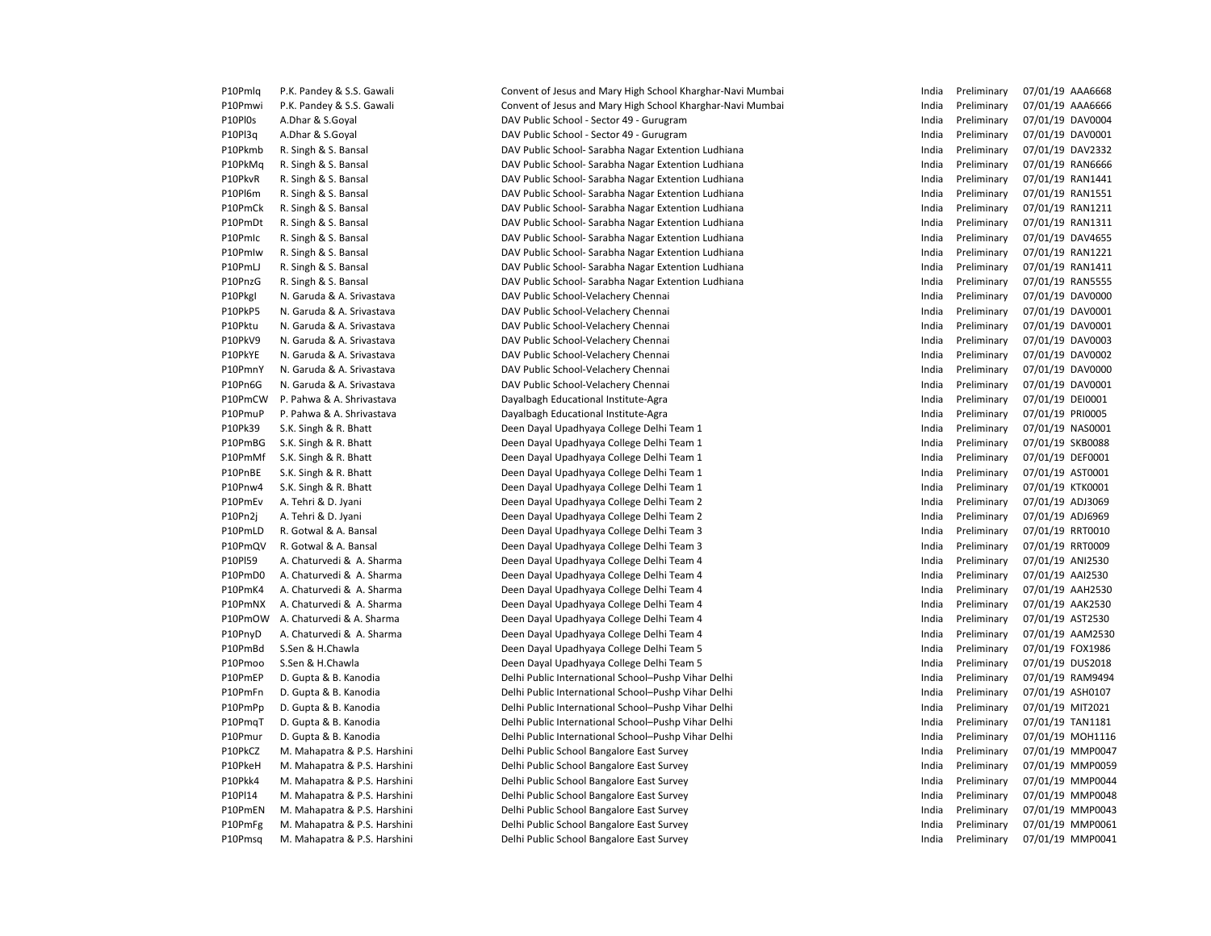| P10Pmlq | P.K. Pandey & S.S. Gawali    |
|---------|------------------------------|
| P10Pmwi | P.K. Pandey & S.S. Gawali    |
| P10Pl0s | A.Dhar & S.Goyal             |
| P10Pl3q | A.Dhar & S.Goyal             |
| P10Pkmb | R. Singh & S. Bansal         |
| P10PkMq | R. Singh & S. Bansal         |
| P10PkvR | R. Singh & S. Bansal         |
| P10Pl6m | R. Singh & S. Bansal         |
| P10PmCk | R. Singh & S. Bansal         |
| P10PmDt | R. Singh & S. Bansal         |
| P10Pmlc | R. Singh & S. Bansal         |
| P10Pmlw | R. Singh & S. Bansal         |
| P10PmLJ | R. Singh & S. Bansal         |
| P10PnzG | R. Singh & S. Bansal         |
| P10Pkgl | N. Garuda & A. Srivastava    |
| P10PkP5 | N. Garuda & A. Srivastava    |
| P10Pktu | N. Garuda & A. Srivastava    |
| P10PkV9 | N. Garuda & A. Srivastava    |
| P10PkYE | N. Garuda & A. Srivastava    |
| P10PmnY | N. Garuda & A. Srivastava    |
| P10Pn6G | N. Garuda & A. Srivastava    |
| P10PmCW | P. Pahwa & A. Shrivastava    |
| P10PmuP | P. Pahwa & A. Shrivastava    |
| P10Pk39 | S.K. Singh & R. Bhatt        |
| P10PmBG | S.K. Singh & R. Bhatt        |
| P10PmMf | S.K. Singh & R. Bhatt        |
| P10PnBE | S.K. Singh & R. Bhatt        |
| P10Pnw4 | S.K. Singh & R. Bhatt        |
| P10PmEv | A. Tehri & D. Jyani          |
| P10Pn2i | A. Tehri & D. Jyani          |
| P10PmLD | R. Gotwal & A. Bansal        |
| P10PmQV | R. Gotwal & A. Bansal        |
| P10PI59 | A. Chaturvedi & A. Sharma    |
| P10PmD0 | A. Chaturvedi & A. Sharma    |
| P10PmK4 | A. Chaturvedi & A. Sharma    |
| P10PmNX | A. Chaturvedi & A. Sharma    |
| P10PmOW | A. Chaturvedi & A. Sharma    |
| P10PnyD | A. Chaturvedi & A. Sharma    |
| P10PmBd | S.Sen & H.Chawla             |
| P10Pmoo | S.Sen & H.Chawla             |
| P10PmEP | D. Gupta & B. Kanodia        |
| P10PmFn | D. Gupta & B. Kanodia        |
| P10PmPp | D. Gupta & B. Kanodia        |
| P10PmqT | D. Gupta & B. Kanodia        |
| P10Pmur | D. Gupta & B. Kanodia        |
| P10PkCZ | M. Mahapatra & P.S. Harshini |
| P10PkeH | M. Mahapatra & P.S. Harshini |
| P10Pkk4 | M. Mahapatra & P.S. Harshini |
| P10Pl14 | M. Mahapatra & P.S. Harshini |
| P10PmEN | M. Mahapatra & P.S. Harshini |
| P10PmFg | M. Mahapatra & P.S. Harshini |
| P10Pmsa | M. Mahapatra & P.S. Harshini |

mlq P.K. Pandey & S.S. Gawali **Convent of Jesus and Mary High School Kharghar**-Navi Mumbai **India** Convent of Jesus and Mary High School Kharghar-Navi Mumbai DAV Public School - Sector 49 - Gurugram DAV Public School - Sector 49 - Gurugram DAV Public School- Sarabha Nagar Extention Ludhiana DAV Public School- Sarabha Nagar Extention Ludhiana DAV Public School- Sarabha Nagar Extention Ludhiana DAV Public School- Sarabha Nagar Extention Ludhiana DAV Public School- Sarabha Nagar Extention Ludhiana DAV Public School- Sarabha Nagar Extention Ludhiana DAV Public School- Sarabha Nagar Extention Ludhiana DAV Public School- Sarabha Nagar Extention Ludhiana DAV Public School- Sarabha Nagar Extention Ludhiana DAV Public School- Sarabha Nagar Extention Ludhiana DAV Public School-Velachery Chennai DAV Public School-Velachery Chennai DAV Public School-Velachery Chennai DAV Public School-Velachery Chennai DAV Public School-Velachery Chennai DAV Public School-Velachery Chennai DAV Public School-Velachery Chennai Dayalbagh Educational Institute-Agra Dayalbagh Educational Institute-Agra Deen Dayal Upadhyaya College Delhi Team 1 Deen Dayal Upadhyaya College Delhi Team 1 Deen Dayal Upadhyaya College Delhi Team 1 Deen Dayal Upadhyaya College Delhi Team 1 Deen Dayal Upadhyaya College Delhi Team 1 Deen Dayal Upadhyaya College Delhi Team 2 Deen Dayal Upadhyaya College Delhi Team 2 Deen Dayal Upadhyaya College Delhi Team 3 Deen Dayal Upadhyaya College Delhi Team 3 Deen Dayal Upadhyaya College Delhi Team 4 Deen Dayal Upadhyaya College Delhi Team 4 Deen Dayal Upadhyaya College Delhi Team 4 Deen Dayal Upadhyaya College Delhi Team 4 Deen Dayal Upadhyaya College Delhi Team 4 Deen Dayal Upadhyaya College Delhi Team 4 Deen Dayal Upadhyaya College Delhi Team 5 Deen Dayal Upadhyaya College Delhi Team 5 Delhi Public International School–Pushp Vihar Delhi Delhi Public International School–Pushp Vihar Delhi Delhi Public International School–Pushp Vihar Delhi Delhi Public International School–Pushp Vihar Delhi Delhi Public International School–Pushp Vihar Delhi Pelhi Public School Bangalore East Survey **India Preliminary 07/01/19 MMP0047** Pelhi Public School Bangalore East Survey **India Preliminary 07/01/19 MMP0059** Pelhi Public School Bangalore East Survey **India Preliminary 07/01/19 MMP0044** Pelhi Public School Bangalore East Survey **India Preliminary 07/01/19 MMP0048** Pelhi Public School Bangalore East Survey **India Preliminary 07/01/19 MMP0043** Pelhi Public School Bangalore East Survey **India Preliminary 07/01/19 MMP0061** Delhi Public School Bangalore East Survey

| India          | Preliminary                | 07/01/19             | AAA6668            |
|----------------|----------------------------|----------------------|--------------------|
| India          | Preliminary                | 07/01/19             | AAA6666            |
| India          | Preliminary                | 07/01/19             | DAV0004            |
| India          | Preliminary                | 07/01/19             | DAV0001            |
| India          | Preliminary                | 07/01/19             | DAV2332            |
| India          | Preliminary                | 07/01/19             | <b>RAN6666</b>     |
| India          | Preliminary                | 07/01/19             | <b>RAN1441</b>     |
| India          | Preliminary                | 07/01/19             | RAN1551            |
| India          | Preliminary                | 07/01/19             | <b>RAN1211</b>     |
| India          | Preliminary                | 07/01/19             | <b>RAN1311</b>     |
| India          | Preliminary                | 07/01/19             | DAV4655            |
| India          | Preliminary                | 07/01/19             | <b>RAN1221</b>     |
| India          | Preliminary                | 07/01/19             | RAN1411            |
| India          | Preliminary                | 07/01/19             | <b>RAN5555</b>     |
| India          | Preliminary                | 07/01/19             | DAV0000            |
| India          | Preliminary                | 07/01/19             | DAV0001            |
| India          | Preliminary                | 07/01/19             | DAV0001            |
| India          | Preliminary                | 07/01/19             | DAV0003            |
| India          | Preliminary                | 07/01/19             | DAV0002            |
| India          | Preliminary                | 07/01/19             | DAV0000            |
| India          | Preliminary                | 07/01/19             | DAV0001            |
| India          | Preliminary                | 07/01/19             | DE10001            |
| India          | Preliminary                | 07/01/19             | PRI0005            |
| India          | Preliminary                | 07/01/19             | NAS0001            |
| India          | Preliminary                | 07/01/19             | <b>SKB0088</b>     |
| India          | Preliminary                | 07/01/19             | DEF0001            |
| India          | Preliminary                | 07/01/19             | AST0001            |
| India          | Preliminary                | 07/01/19             | KTK0001            |
| India          | Preliminary                | 07/01/19             | ADJ3069            |
| India          | Preliminary                | 07/01/19             | ADJ6969            |
| India          | Preliminary                | 07/01/19             | RRT0010            |
| India          | Preliminary                | 07/01/19             | RRT0009            |
| India          | Preliminary                | 07/01/19             | ANI2530            |
| India          | Preliminary                | 07/01/19             | AAI2530            |
| India          | Preliminary                | 07/01/19             | AAH2530            |
| India          | Preliminary                | 07/01/19             | AAK2530            |
| India          | Preliminary                | 07/01/19             | AST2530            |
| India          | Preliminary                | 07/01/19             | AAM2530            |
| India          | Preliminary                | 07/01/19             | FOX1986            |
| India          | Preliminary                | 07/01/19             | <b>DUS2018</b>     |
| India          | Preliminary                | 07/01/19             | <b>RAM9494</b>     |
| India          | Preliminary                |                      | ASH0107            |
|                |                            | 07/01/19<br>07/01/19 | MIT2021            |
| India<br>India | Preliminary                |                      | <b>TAN1181</b>     |
|                | Preliminary                | 07/01/19             |                    |
| India          | Preliminary<br>Preliminary | 07/01/19             | MOH1116<br>MMP0047 |
| India          |                            | 07/01/19             |                    |
| India          | Preliminary                | 07/01/19             | MMP0059            |
| India          | Preliminary                | 07/01/19             | MMP0044<br>MMP0048 |
| India          | Preliminary                | 07/01/19             |                    |
| India          | Preliminary                | 07/01/19             | MMP0043            |
| India          | Preliminary                | 07/01/19             | MMP006:            |
| India          | Preliminary                | 07/01/19             | MMP004:            |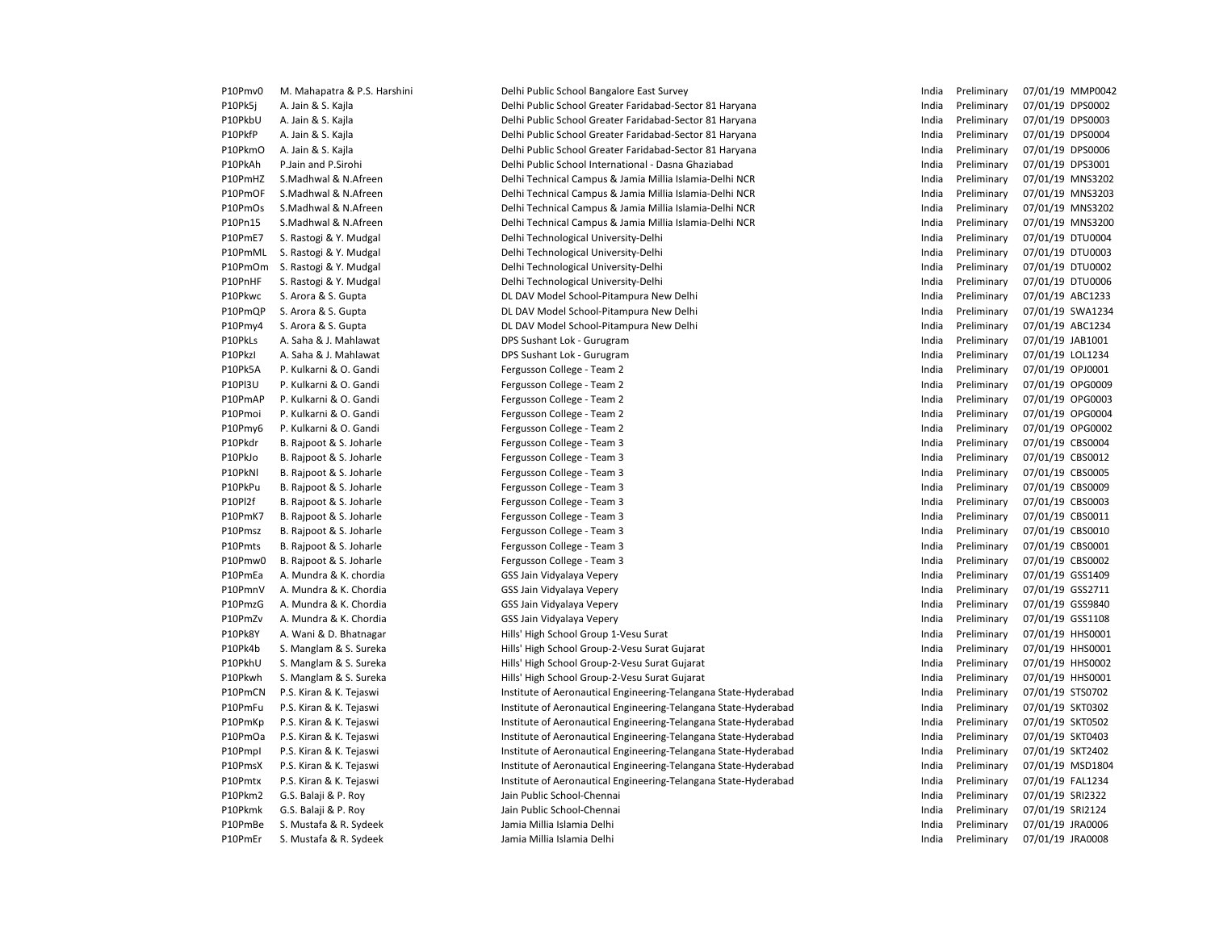| P10Pmv0 | M. Mahapatra & P.S. Harshini | Delhi Public School Bangalore East Survey                       | India | Preliminary | 07/01/19 MMP0042 |
|---------|------------------------------|-----------------------------------------------------------------|-------|-------------|------------------|
| P10Pk5j | A. Jain & S. Kajla           | Delhi Public School Greater Faridabad-Sector 81 Haryana         | India | Preliminary | 07/01/19 DPS0002 |
| P10PkbU | A. Jain & S. Kajla           | Delhi Public School Greater Faridabad-Sector 81 Haryana         | India | Preliminary | 07/01/19 DPS0003 |
| P10PkfP | A. Jain & S. Kajla           | Delhi Public School Greater Faridabad-Sector 81 Haryana         | India | Preliminary | 07/01/19 DPS0004 |
| P10PkmO | A. Jain & S. Kajla           | Delhi Public School Greater Faridabad-Sector 81 Haryana         | India | Preliminary | 07/01/19 DPS0006 |
| P10PkAh | P.Jain and P.Sirohi          | Delhi Public School International - Dasna Ghaziabad             | India | Preliminary | 07/01/19 DPS3001 |
| P10PmHZ | S.Madhwal & N.Afreen         | Delhi Technical Campus & Jamia Millia Islamia-Delhi NCR         | India | Preliminary | 07/01/19 MNS3202 |
| P10PmOF | S.Madhwal & N.Afreen         | Delhi Technical Campus & Jamia Millia Islamia-Delhi NCR         | India | Preliminary | 07/01/19 MNS3203 |
| P10PmOs | S.Madhwal & N.Afreen         | Delhi Technical Campus & Jamia Millia Islamia-Delhi NCR         | India | Preliminary | 07/01/19 MNS3202 |
| P10Pn15 | S.Madhwal & N.Afreen         | Delhi Technical Campus & Jamia Millia Islamia-Delhi NCR         | India | Preliminary | 07/01/19 MNS3200 |
| P10PmE7 | S. Rastogi & Y. Mudgal       | Delhi Technological University-Delhi                            | India | Preliminary | 07/01/19 DTU0004 |
| P10PmML | S. Rastogi & Y. Mudgal       | Delhi Technological University-Delhi                            | India | Preliminary | 07/01/19 DTU0003 |
| P10PmOm | S. Rastogi & Y. Mudgal       | Delhi Technological University-Delhi                            | India | Preliminary | 07/01/19 DTU0002 |
| P10PnHF | S. Rastogi & Y. Mudgal       | Delhi Technological University-Delhi                            | India | Preliminary | 07/01/19 DTU0006 |
| P10Pkwc | S. Arora & S. Gupta          | DL DAV Model School-Pitampura New Delhi                         | India | Preliminary | 07/01/19 ABC1233 |
| P10PmQP | S. Arora & S. Gupta          | DL DAV Model School-Pitampura New Delhi                         | India | Preliminary | 07/01/19 SWA1234 |
| P10Pmy4 | S. Arora & S. Gupta          | DL DAV Model School-Pitampura New Delhi                         | India | Preliminary | 07/01/19 ABC1234 |
| P10PkLs | A. Saha & J. Mahlawat        | DPS Sushant Lok - Gurugram                                      | India | Preliminary | 07/01/19 JAB1001 |
| P10Pkzl | A. Saha & J. Mahlawat        | DPS Sushant Lok - Gurugram                                      | India | Preliminary | 07/01/19 LOL1234 |
| P10Pk5A | P. Kulkarni & O. Gandi       | Fergusson College - Team 2                                      | India | Preliminary | 07/01/19 OPJ0001 |
| P10PI3U | P. Kulkarni & O. Gandi       | Fergusson College - Team 2                                      | India | Preliminary | 07/01/19 OPG0009 |
| P10PmAP | P. Kulkarni & O. Gandi       | Fergusson College - Team 2                                      | India | Preliminary | 07/01/19 OPG0003 |
| P10Pmoi | P. Kulkarni & O. Gandi       | Fergusson College - Team 2                                      | India | Preliminary | 07/01/19 OPG0004 |
| P10Pmy6 | P. Kulkarni & O. Gandi       | Fergusson College - Team 2                                      | India | Preliminary | 07/01/19 OPG0002 |
| P10Pkdr | B. Rajpoot & S. Joharle      | Fergusson College - Team 3                                      | India | Preliminary | 07/01/19 CBS0004 |
| P10PkJo | B. Rajpoot & S. Joharle      | Fergusson College - Team 3                                      | India | Preliminary | 07/01/19 CBS0012 |
| P10PkNI | B. Rajpoot & S. Joharle      | Fergusson College - Team 3                                      | India | Preliminary | 07/01/19 CBS0005 |
| P10PkPu | B. Rajpoot & S. Joharle      | Fergusson College - Team 3                                      | India | Preliminary | 07/01/19 CBS0009 |
| P10Pl2f | B. Rajpoot & S. Joharle      | Fergusson College - Team 3                                      | India | Preliminary | 07/01/19 CBS0003 |
| P10PmK7 | B. Rajpoot & S. Joharle      | Fergusson College - Team 3                                      | India | Preliminary | 07/01/19 CBS0011 |
| P10Pmsz | B. Rajpoot & S. Joharle      | Fergusson College - Team 3                                      | India | Preliminary | 07/01/19 CBS0010 |
| P10Pmts | B. Rajpoot & S. Joharle      | Fergusson College - Team 3                                      | India | Preliminary | 07/01/19 CBS0001 |
| P10Pmw0 | B. Rajpoot & S. Joharle      | Fergusson College - Team 3                                      | India | Preliminary | 07/01/19 CBS0002 |
| P10PmEa | A. Mundra & K. chordia       | GSS Jain Vidyalaya Vepery                                       | India | Preliminary | 07/01/19 GSS1409 |
| P10PmnV | A. Mundra & K. Chordia       | GSS Jain Vidyalaya Vepery                                       | India | Preliminary | 07/01/19 GSS2711 |
| P10PmzG | A. Mundra & K. Chordia       | GSS Jain Vidyalaya Vepery                                       | India | Preliminary | 07/01/19 GSS9840 |
| P10PmZv | A. Mundra & K. Chordia       | GSS Jain Vidyalaya Vepery                                       | India | Preliminary | 07/01/19 GSS1108 |
| P10Pk8Y | A. Wani & D. Bhatnagar       | Hills' High School Group 1-Vesu Surat                           | India | Preliminary | 07/01/19 HHS0001 |
| P10Pk4b | S. Manglam & S. Sureka       | Hills' High School Group-2-Vesu Surat Gujarat                   | India | Preliminary | 07/01/19 HHS0001 |
| P10PkhU | S. Manglam & S. Sureka       | Hills' High School Group-2-Vesu Surat Gujarat                   | India | Preliminary | 07/01/19 HHS0002 |
| P10Pkwh | S. Manglam & S. Sureka       | Hills' High School Group-2-Vesu Surat Gujarat                   | India | Preliminary | 07/01/19 HHS0001 |
| P10PmCN | P.S. Kiran & K. Tejaswi      |                                                                 | India | Preliminary | 07/01/19 STS0702 |
| P10PmFu |                              | Institute of Aeronautical Engineering-Telangana State-Hyderabad | India | Preliminary | 07/01/19 SKT0302 |
|         | P.S. Kiran & K. Tejaswi      | Institute of Aeronautical Engineering-Telangana State-Hyderabad | India |             | 07/01/19 SKT0502 |
| P10PmKp | P.S. Kiran & K. Tejaswi      | Institute of Aeronautical Engineering-Telangana State-Hyderabad |       | Preliminary |                  |
| P10PmOa | P.S. Kiran & K. Tejaswi      | Institute of Aeronautical Engineering-Telangana State-Hyderabad | India | Preliminary | 07/01/19 SKT0403 |
| P10Pmpl | P.S. Kiran & K. Tejaswi      | Institute of Aeronautical Engineering-Telangana State-Hyderabad | India | Preliminary | 07/01/19 SKT2402 |
| P10PmsX | P.S. Kiran & K. Tejaswi      | Institute of Aeronautical Engineering-Telangana State-Hyderabad | India | Preliminary | 07/01/19 MSD1804 |
| P10Pmtx | P.S. Kiran & K. Tejaswi      | Institute of Aeronautical Engineering-Telangana State-Hyderabad | India | Preliminary | 07/01/19 FAL1234 |
| P10Pkm2 | G.S. Balaji & P. Roy         | Jain Public School-Chennai                                      | India | Preliminary | 07/01/19 SRI2322 |
| P10Pkmk | G.S. Balaji & P. Roy         | Jain Public School-Chennai                                      | India | Preliminary | 07/01/19 SRI2124 |
| P10PmBe | S. Mustafa & R. Sydeek       | Jamia Millia Islamia Delhi                                      | India | Preliminary | 07/01/19 JRA0006 |
| P10PmEr | S. Mustafa & R. Sydeek       | Jamia Millia Islamia Delhi                                      | India | Preliminary | 07/01/19 JRA0008 |
|         |                              |                                                                 |       |             |                  |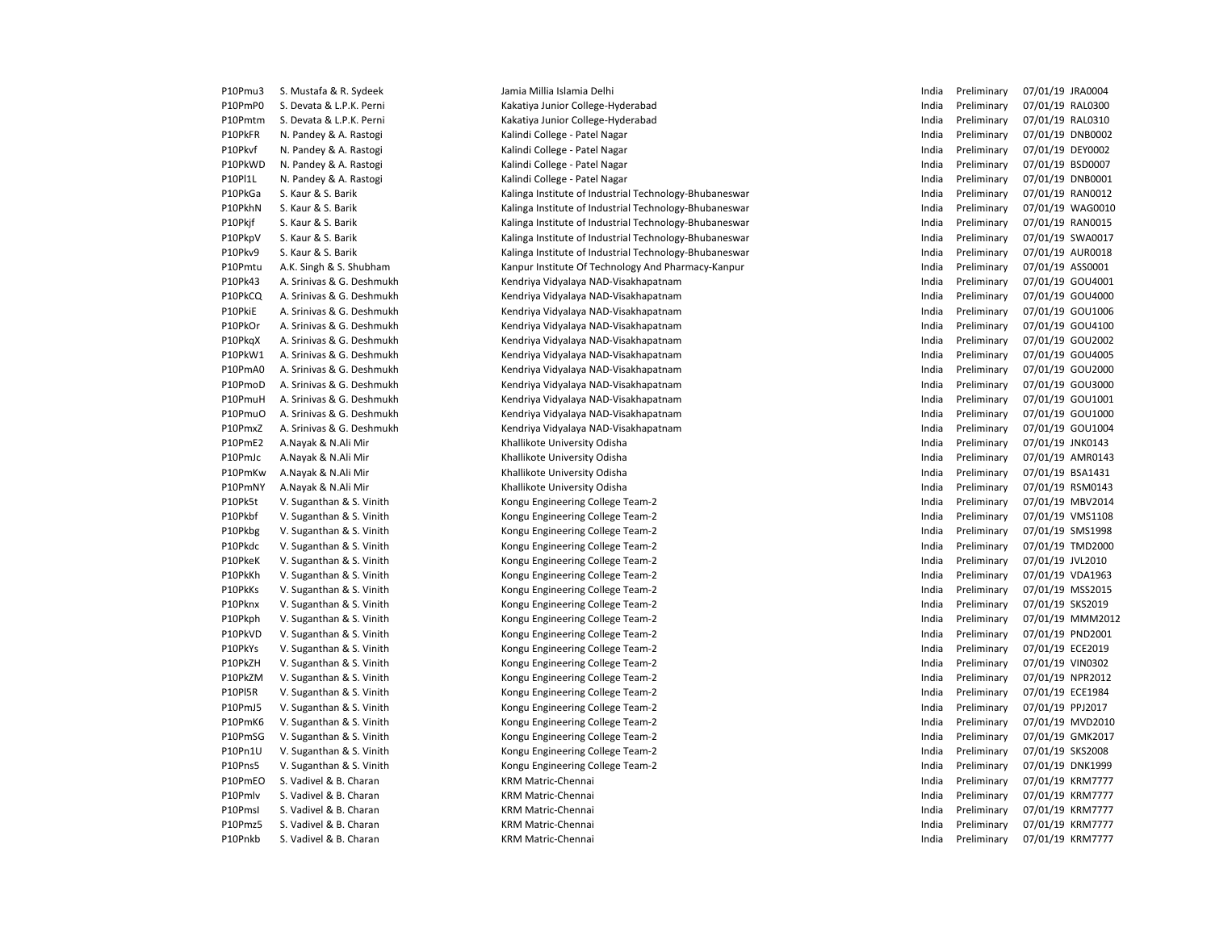| P10Pmu3 | S. Mustafa & R. Sydeek    | Jamia Millia Islamia Delhi                             | India | Preliminary | 07/01/19 JRA0004 |
|---------|---------------------------|--------------------------------------------------------|-------|-------------|------------------|
| P10PmP0 | S. Devata & L.P.K. Perni  | Kakatiya Junior College-Hyderabad                      | India | Preliminary | 07/01/19 RAL0300 |
| P10Pmtm | S. Devata & L.P.K. Perni  | Kakatiya Junior College-Hyderabad                      | India | Preliminary | 07/01/19 RAL0310 |
| P10PkFR | N. Pandey & A. Rastogi    | Kalindi College - Patel Nagar                          | India | Preliminary | 07/01/19 DNB0002 |
| P10Pkvf | N. Pandey & A. Rastogi    | Kalindi College - Patel Nagar                          | India | Preliminary | 07/01/19 DEY0002 |
| P10PkWD | N. Pandey & A. Rastogi    | Kalindi College - Patel Nagar                          | India | Preliminary | 07/01/19 BSD0007 |
| P10PI1L | N. Pandey & A. Rastogi    | Kalindi College - Patel Nagar                          | India | Preliminary | 07/01/19 DNB0001 |
| P10PkGa | S. Kaur & S. Barik        | Kalinga Institute of Industrial Technology-Bhubaneswar | India | Preliminary | 07/01/19 RAN0012 |
| P10PkhN | S. Kaur & S. Barik        | Kalinga Institute of Industrial Technology-Bhubaneswar | India | Preliminary | 07/01/19 WAG0010 |
| P10Pkjf | S. Kaur & S. Barik        | Kalinga Institute of Industrial Technology-Bhubaneswar | India | Preliminary | 07/01/19 RAN0015 |
| P10PkpV | S. Kaur & S. Barik        | Kalinga Institute of Industrial Technology-Bhubaneswar | India | Preliminary | 07/01/19 SWA0017 |
| P10Pkv9 | S. Kaur & S. Barik        | Kalinga Institute of Industrial Technology-Bhubaneswar | India | Preliminary | 07/01/19 AUR0018 |
| P10Pmtu | A.K. Singh & S. Shubham   | Kanpur Institute Of Technology And Pharmacy-Kanpur     | India | Preliminary | 07/01/19 ASS0001 |
| P10Pk43 | A. Srinivas & G. Deshmukh | Kendriya Vidyalaya NAD-Visakhapatnam                   | India | Preliminary | 07/01/19 GOU4001 |
| P10PkCQ | A. Srinivas & G. Deshmukh | Kendriya Vidyalaya NAD-Visakhapatnam                   | India | Preliminary | 07/01/19 GOU4000 |
| P10PkiE | A. Srinivas & G. Deshmukh | Kendriya Vidyalaya NAD-Visakhapatnam                   | India | Preliminary | 07/01/19 GOU1006 |
| P10PkOr | A. Srinivas & G. Deshmukh | Kendriya Vidyalaya NAD-Visakhapatnam                   | India | Preliminary | 07/01/19 GOU4100 |
| P10PkgX | A. Srinivas & G. Deshmukh | Kendriya Vidyalaya NAD-Visakhapatnam                   | India | Preliminary | 07/01/19 GOU2002 |
| P10PkW1 | A. Srinivas & G. Deshmukh | Kendriya Vidyalaya NAD-Visakhapatnam                   | India | Preliminary | 07/01/19 GOU4005 |
| P10PmA0 | A. Srinivas & G. Deshmukh | Kendriya Vidyalaya NAD-Visakhapatnam                   | India | Preliminary | 07/01/19 GOU2000 |
| P10PmoD | A. Srinivas & G. Deshmukh | Kendriya Vidyalaya NAD-Visakhapatnam                   | India | Preliminary | 07/01/19 GOU3000 |
| P10PmuH | A. Srinivas & G. Deshmukh | Kendriya Vidyalaya NAD-Visakhapatnam                   | India | Preliminary | 07/01/19 GOU1001 |
| P10PmuO | A. Srinivas & G. Deshmukh | Kendriya Vidyalaya NAD-Visakhapatnam                   | India | Preliminary | 07/01/19 GOU1000 |
| P10PmxZ | A. Srinivas & G. Deshmukh |                                                        | India | Preliminary | 07/01/19 GOU1004 |
|         |                           | Kendriya Vidyalaya NAD-Visakhapatnam                   | India |             | 07/01/19 JNK0143 |
| P10PmE2 | A.Nayak & N.Ali Mir       | Khallikote University Odisha                           |       | Preliminary |                  |
| P10PmJc | A.Nayak & N.Ali Mir       | Khallikote University Odisha                           | India | Preliminary | 07/01/19 AMR0143 |
| P10PmKw | A.Nayak & N.Ali Mir       | Khallikote University Odisha                           | India | Preliminary | 07/01/19 BSA1431 |
| P10PmNY | A.Nayak & N.Ali Mir       | Khallikote University Odisha                           | India | Preliminary | 07/01/19 RSM0143 |
| P10Pk5t | V. Suganthan & S. Vinith  | Kongu Engineering College Team-2                       | India | Preliminary | 07/01/19 MBV2014 |
| P10Pkbf | V. Suganthan & S. Vinith  | Kongu Engineering College Team-2                       | India | Preliminary | 07/01/19 VMS1108 |
| P10Pkbg | V. Suganthan & S. Vinith  | Kongu Engineering College Team-2                       | India | Preliminary | 07/01/19 SMS1998 |
| P10Pkdc | V. Suganthan & S. Vinith  | Kongu Engineering College Team-2                       | India | Preliminary | 07/01/19 TMD2000 |
| P10PkeK | V. Suganthan & S. Vinith  | Kongu Engineering College Team-2                       | India | Preliminary | 07/01/19 JVL2010 |
| P10PkKh | V. Suganthan & S. Vinith  | Kongu Engineering College Team-2                       | India | Preliminary | 07/01/19 VDA1963 |
| P10PkKs | V. Suganthan & S. Vinith  | Kongu Engineering College Team-2                       | India | Preliminary | 07/01/19 MSS2015 |
| P10Pknx | V. Suganthan & S. Vinith  | Kongu Engineering College Team-2                       | India | Preliminary | 07/01/19 SKS2019 |
| P10Pkph | V. Suganthan & S. Vinith  | Kongu Engineering College Team-2                       | India | Preliminary | 07/01/19 MMM2012 |
| P10PkVD | V. Suganthan & S. Vinith  | Kongu Engineering College Team-2                       | India | Preliminary | 07/01/19 PND2001 |
| P10PkYs | V. Suganthan & S. Vinith  | Kongu Engineering College Team-2                       | India | Preliminary | 07/01/19 ECE2019 |
| P10PkZH | V. Suganthan & S. Vinith  | Kongu Engineering College Team-2                       | India | Preliminary | 07/01/19 VIN0302 |
| P10PkZM | V. Suganthan & S. Vinith  | Kongu Engineering College Team-2                       | India | Preliminary | 07/01/19 NPR2012 |
| P10PI5R | V. Suganthan & S. Vinith  | Kongu Engineering College Team-2                       | India | Preliminary | 07/01/19 ECE1984 |
| P10PmJ5 | V. Suganthan & S. Vinith  | Kongu Engineering College Team-2                       | India | Preliminary | 07/01/19 PPJ2017 |
| P10PmK6 | V. Suganthan & S. Vinith  | Kongu Engineering College Team-2                       | India | Preliminary | 07/01/19 MVD2010 |
| P10PmSG | V. Suganthan & S. Vinith  | Kongu Engineering College Team-2                       | India | Preliminary | 07/01/19 GMK2017 |
| P10Pn1U | V. Suganthan & S. Vinith  | Kongu Engineering College Team-2                       | India | Preliminary | 07/01/19 SKS2008 |
| P10Pns5 | V. Suganthan & S. Vinith  | Kongu Engineering College Team-2                       | India | Preliminary | 07/01/19 DNK1999 |
| P10PmEO | S. Vadivel & B. Charan    | <b>KRM Matric-Chennai</b>                              | India | Preliminary | 07/01/19 KRM7777 |
| P10Pmlv | S. Vadivel & B. Charan    | <b>KRM Matric-Chennai</b>                              | India | Preliminary | 07/01/19 KRM7777 |
| P10Pmsl | S. Vadivel & B. Charan    | <b>KRM Matric-Chennai</b>                              | India | Preliminary | 07/01/19 KRM7777 |
| P10Pmz5 | S. Vadivel & B. Charan    | <b>KRM Matric-Chennai</b>                              | India | Preliminary | 07/01/19 KRM7777 |
| P10Pnkb | S. Vadivel & B. Charan    | <b>KRM Matric-Chennai</b>                              | India | Preliminary | 07/01/19 KRM7777 |
|         |                           |                                                        |       |             |                  |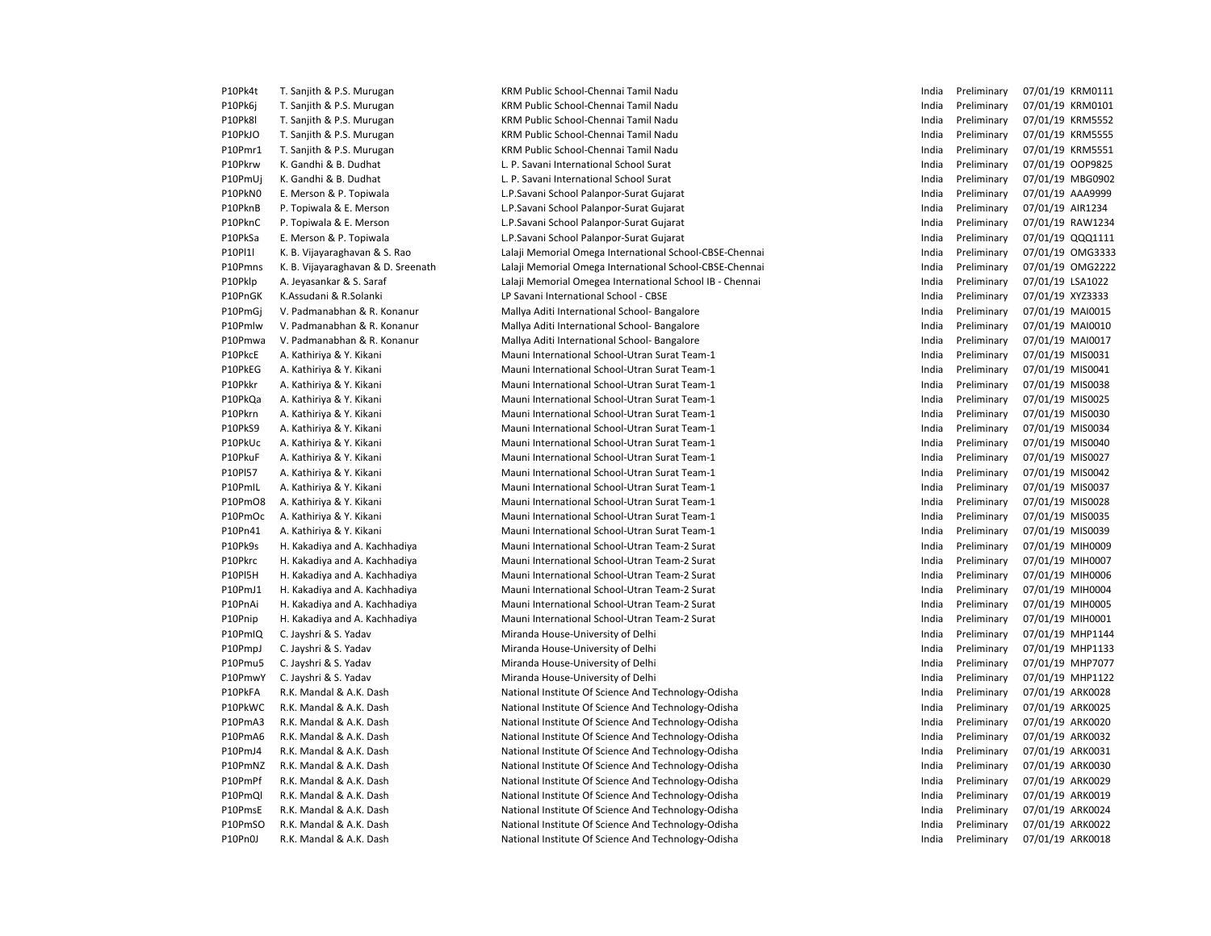| P10Pk4t | T. Sanjith & P.S. Murugan                            | KRM Public School-Chennai Tamil Nadu                                             |
|---------|------------------------------------------------------|----------------------------------------------------------------------------------|
| P10Pk6j | T. Sanjith & P.S. Murugan                            | KRM Public School-Chennai Tamil Nadu                                             |
| P10Pk8l | T. Sanjith & P.S. Murugan                            | KRM Public School-Chennai Tamil Nadu                                             |
| P10PkJO | T. Sanjith & P.S. Murugan                            | KRM Public School-Chennai Tamil Nadu                                             |
| P10Pmr1 | T. Sanjith & P.S. Murugan                            | KRM Public School-Chennai Tamil Nadu                                             |
| P10Pkrw | K. Gandhi & B. Dudhat                                | L. P. Savani International School Surat                                          |
| P10PmUj | K. Gandhi & B. Dudhat                                | L. P. Savani International School Surat                                          |
| P10PkN0 | E. Merson & P. Topiwala                              | L.P.Savani School Palanpor-Surat Gujara                                          |
| P10PknB | P. Topiwala & E. Merson                              | L.P.Savani School Palanpor-Surat Gujara                                          |
| P10PknC | P. Topiwala & E. Merson                              | L.P.Savani School Palanpor-Surat Gujara                                          |
| P10PkSa | E. Merson & P. Topiwala                              | L.P.Savani School Palanpor-Surat Gujara                                          |
| P10PI1I | K. B. Vijayaraghavan & S. Rao                        | Lalaji Memorial Omega International Scl                                          |
| P10Pmns | K. B. Vijayaraghavan & D. Sreenath                   | Lalaji Memorial Omega International Scl                                          |
| P10Pklp | A. Jeyasankar & S. Saraf                             | Lalaji Memorial Omegea International S                                           |
| P10PnGK | K.Assudani & R.Solanki                               | LP Savani International School - CBSE                                            |
| P10PmGj | V. Padmanabhan & R. Konanur                          | Mallya Aditi International School- Banga                                         |
| P10Pmlw | V. Padmanabhan & R. Konanur                          | Mallya Aditi International School- Banga                                         |
| P10Pmwa | V. Padmanabhan & R. Konanur                          | Mallya Aditi International School- Banga                                         |
| P10PkcE | A. Kathiriya & Y. Kikani                             | Mauni International School-Utran Surat                                           |
| P10PkEG | A. Kathiriya & Y. Kikani                             | Mauni International School-Utran Surat                                           |
| P10Pkkr | A. Kathiriya & Y. Kikani                             | Mauni International School-Utran Surat                                           |
| P10PkQa | A. Kathiriya & Y. Kikani                             | Mauni International School-Utran Surat                                           |
| P10Pkrn | A. Kathiriya & Y. Kikani                             | Mauni International School-Utran Surat                                           |
| P10PkS9 | A. Kathiriya & Y. Kikani                             | Mauni International School-Utran Surat                                           |
| P10PkUc |                                                      | Mauni International School-Utran Surat                                           |
| P10PkuF | A. Kathiriya & Y. Kikani<br>A. Kathiriya & Y. Kikani | Mauni International School-Utran Surat                                           |
| P10PI57 |                                                      | Mauni International School-Utran Surat                                           |
| P10PmlL | A. Kathiriya & Y. Kikani                             | Mauni International School-Utran Surat                                           |
| P10PmO8 | A. Kathiriya & Y. Kikani<br>A. Kathiriya & Y. Kikani | Mauni International School-Utran Surat                                           |
|         |                                                      |                                                                                  |
| P10PmOc | A. Kathiriya & Y. Kikani                             | Mauni International School-Utran Surat<br>Mauni International School-Utran Surat |
| P10Pn41 | A. Kathiriya & Y. Kikani                             |                                                                                  |
| P10Pk9s | H. Kakadiya and A. Kachhadiya                        | Mauni International School-Utran Team                                            |
| P10Pkrc | H. Kakadiya and A. Kachhadiya                        | Mauni International School-Utran Team                                            |
| P10PI5H | H. Kakadiya and A. Kachhadiya                        | Mauni International School-Utran Team                                            |
| P10PmJ1 | H. Kakadiya and A. Kachhadiya                        | Mauni International School-Utran Team                                            |
| P10PnAi | H. Kakadiya and A. Kachhadiya                        | Mauni International School-Utran Team                                            |
| P10Pnip | H. Kakadiya and A. Kachhadiya                        | Mauni International School-Utran Team                                            |
| P10PmIQ | C. Jayshri & S. Yadav                                | Miranda House-University of Delhi                                                |
| P10PmpJ | C. Jayshri & S. Yadav                                | Miranda House-University of Delhi                                                |
| P10Pmu5 | C. Jayshri & S. Yadav                                | Miranda House-University of Delhi                                                |
| P10PmwY | C. Jayshri & S. Yadav                                | Miranda House-University of Delhi                                                |
| P10PkFA | R.K. Mandal & A.K. Dash                              | National Institute Of Science And Techn                                          |
| P10PkWC | R.K. Mandal & A.K. Dash                              | National Institute Of Science And Techn                                          |
| P10PmA3 | R.K. Mandal & A.K. Dash                              | National Institute Of Science And Techn                                          |
| P10PmA6 | R.K. Mandal & A.K. Dash                              | National Institute Of Science And Techn                                          |
| P10PmJ4 | R.K. Mandal & A.K. Dash                              | National Institute Of Science And Techn                                          |
| P10PmNZ | R.K. Mandal & A.K. Dash                              | National Institute Of Science And Techn                                          |
| P10PmPf | R.K. Mandal & A.K. Dash                              | National Institute Of Science And Techn                                          |
| P10PmQl | R.K. Mandal & A.K. Dash                              | National Institute Of Science And Techn                                          |
| P10PmsE | R.K. Mandal & A.K. Dash                              | National Institute Of Science And Techn                                          |
| P10PmSO | R.K. Mandal & A.K. Dash                              | National Institute Of Science And Techn                                          |
| P10Pn0J | R.K. Mandal & A.K. Dash                              | National Institute Of Science And Techn                                          |

KRM Public School-Chennai Tamil Nadu KRM Public School-Chennai Tamil Nadu KRM Public School-Chennai Tamil Nadu KRM Public School-Chennai Tamil Nadu L. P. Savani International School Surat L. P. Savani International School Surat L.P. Savani School Palanpor-Surat Gujarat L.P. Savani School Palanpor-Surat Gujarat L.P. Savani School Palanpor-Surat Gujarat L.P. Savani School Palanpor-Surat Gujarat Lalaji Memorial Omega International School-CBSE-Chennai Lalaji Memorial Omega International School-CBSE-Chennai Lalaji Memorial Omegea International School IB - Chennai LP Savani International School - CBSE Mallya Aditi International School- Bangalore Mallya Aditi International School- Bangalore Mallya Aditi International School- Bangalore Mauni International School-Utran Surat Team-1 Mauni International School-Utran Surat Team-1 Mauni International School-Utran Surat Team-1 Mauni International School-Utran Surat Team-1 Mauni International School-Utran Surat Team-1 Mauni International School-Utran Surat Team-1 **Mauni International School-Utran Surat Team-1** Mauni International School-Utran Surat Team-1 Mauni International School-Utran Surat Team-1 P10PmIL A. Kathiriya & Y. Kikani Mauni International School-Utran Surat Team-1 India Preliminary 07/01/19 MIS0037 Mauni International School-Utran Surat Team-1 Mauni International School-Utran Surat Team-1 Mauni International School-Utran Surat Team-1 Mauni International School-Utran Team-2 Surat P10Pkrc H. Kakadiya and A. Kachhadiya Mauni International School-Utran Team-2 Surat India Preliminary 07/01/19 MIH0007 **Mauni International School-Utran Team-2 Surat Mauni International School-Utran Team-2 Surat** Mauni International School-Utran Team-2 Surat Mauni International School-Utran Team-2 Surat Miranda House-University of Delhi Miranda House-University of Delhi Miranda House-University of Delhi Miranda House-University of Delhi National Institute Of Science And Technology-Odisha National Institute Of Science And Technology-Odisha National Institute Of Science And Technology-Odisha National Institute Of Science And Technology-Odisha National Institute Of Science And Technology-Odisha National Institute Of Science And Technology-Odisha National Institute Of Science And Technology-Odisha National Institute Of Science And Technology-Odisha National Institute Of Science And Technology-Odisha National Institute Of Science And Technology-Odisha National Institute Of Science And Technology-Odisha

| India | Preliminary | 07/01/19 | KRM0111        |
|-------|-------------|----------|----------------|
| India | Preliminary | 07/01/19 | KRM0101        |
| India | Preliminary | 07/01/19 | <b>KRM5552</b> |
| India | Preliminary | 07/01/19 | <b>KRM5555</b> |
| India | Preliminary | 07/01/19 | <b>KRM5551</b> |
| India | Preliminary | 07/01/19 | OOP9825        |
| India | Preliminary | 07/01/19 | MBG0902        |
| India | Preliminary | 07/01/19 | AAA9999        |
| India | Preliminary | 07/01/19 | AIR1234        |
| India | Preliminary | 07/01/19 | RAW1234        |
| India | Preliminary | 07/01/19 | QQQ1111        |
| India | Preliminary | 07/01/19 | OMG3333        |
| India | Preliminary | 07/01/19 | <b>OMG2222</b> |
| India | Preliminary | 07/01/19 | LSA1022        |
| India | Preliminary | 07/01/19 | XYZ3333        |
| India | Preliminary | 07/01/19 | MAI0015        |
| India | Preliminary | 07/01/19 | MAI0010        |
| India | Preliminary | 07/01/19 | MAI0017        |
| India | Preliminary | 07/01/19 | MIS0031        |
| India | Preliminary | 07/01/19 | MIS0041        |
| India | Preliminary | 07/01/19 | MIS0038        |
| India | Preliminary | 07/01/19 | MIS0025        |
| India | Preliminary | 07/01/19 | MIS0030        |
| India | Preliminary | 07/01/19 | MIS0034        |
| India | Preliminary | 07/01/19 | MIS0040        |
| India | Preliminary | 07/01/19 | MIS0027        |
| India | Preliminary | 07/01/19 | MIS0042        |
| India | Preliminary | 07/01/19 | MIS0037        |
| India | Preliminary | 07/01/19 | MIS0028        |
| India | Preliminary | 07/01/19 | MIS0035        |
| India | Preliminary | 07/01/19 | MIS0039        |
| India | Preliminary | 07/01/19 | MIH0009        |
| India | Preliminary | 07/01/19 | MIH0007        |
| India | Preliminary | 07/01/19 | MIH0006        |
| India | Preliminary | 07/01/19 | MIH0004        |
| India | Preliminary | 07/01/19 | MIH0005        |
| India | Preliminary | 07/01/19 | MIH0001        |
| India | Preliminary | 07/01/19 | MHP1144        |
| India | Preliminary | 07/01/19 | MHP1133        |
| India | Preliminary | 07/01/19 | MHP7077        |
| India | Preliminary | 07/01/19 | MHP1122        |
| India | Preliminary | 07/01/19 | ARK0028        |
| India | Preliminary | 07/01/19 | ARK0025        |
| India | Preliminary | 07/01/19 | ARK0020        |
| India | Preliminary | 07/01/19 | ARK0032        |
| India | Preliminary | 07/01/19 | ARK0031        |
| India | Preliminary | 07/01/19 | ARK0030        |
| India | Preliminary | 07/01/19 | ARK0029        |
| India | Preliminary | 07/01/19 | ARK0019        |
| India | Preliminary | 07/01/19 | ARK0024        |
| India | Preliminary | 07/01/19 | ARK0022        |
| India | Preliminary | 07/01/19 | ARK0018        |
|       |             |          |                |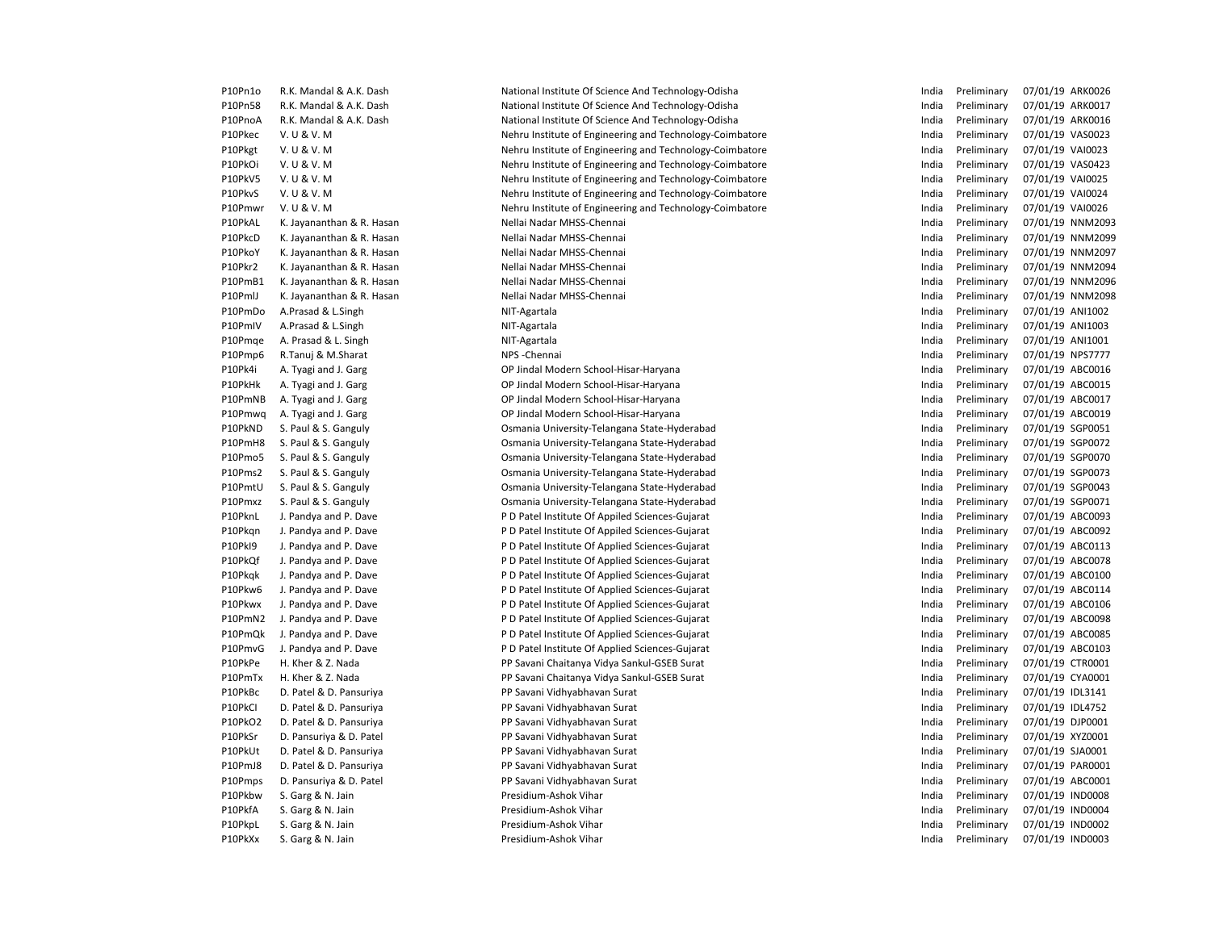| P10Pn1o            | R.K. Mandal & A.K. Dash                      | National Institute Of Science And Technology-Odisha      | India          | Preliminary                | 07/01/19 ARK0026 |
|--------------------|----------------------------------------------|----------------------------------------------------------|----------------|----------------------------|------------------|
| P10Pn58            | R.K. Mandal & A.K. Dash                      | National Institute Of Science And Technology-Odisha      | India          | Preliminary                | 07/01/19 ARK0017 |
| P10PnoA            | R.K. Mandal & A.K. Dash                      | National Institute Of Science And Technology-Odisha      | India          | Preliminary                | 07/01/19 ARK0016 |
| P10Pkec            | V. U & V. M                                  | Nehru Institute of Engineering and Technology-Coimbatore | India          | Preliminary                | 07/01/19 VAS0023 |
| P10Pkgt            | V. U & V. M                                  | Nehru Institute of Engineering and Technology-Coimbatore | India          | Preliminary                | 07/01/19 VAI0023 |
| P10PkOi            | V. U & V. M                                  | Nehru Institute of Engineering and Technology-Coimbatore | India          | Preliminary                | 07/01/19 VAS0423 |
| P10PkV5            | V. U & V. M                                  | Nehru Institute of Engineering and Technology-Coimbatore | India          | Preliminary                | 07/01/19 VAI0025 |
| P10PkvS            | V. U & V. M                                  | Nehru Institute of Engineering and Technology-Coimbatore | India          | Preliminary                | 07/01/19 VAI0024 |
| P10Pmwr            | V. U & V. M                                  | Nehru Institute of Engineering and Technology-Coimbatore | India          | Preliminary                | 07/01/19 VAI0026 |
| P10PkAL            | K. Jayananthan & R. Hasan                    | Nellai Nadar MHSS-Chennai                                | India          | Preliminary                | 07/01/19 NNM209  |
| P10PkcD            | K. Jayananthan & R. Hasan                    | Nellai Nadar MHSS-Chennai                                | India          | Preliminary                | 07/01/19 NNM209  |
| P10PkoY            | K. Jayananthan & R. Hasan                    | Nellai Nadar MHSS-Chennai                                | India          | Preliminary                | 07/01/19 NNM209  |
| P10Pkr2            | K. Jayananthan & R. Hasan                    | Nellai Nadar MHSS-Chennai                                | India          | Preliminary                | 07/01/19 NNM209  |
| P10PmB1            | K. Jayananthan & R. Hasan                    | Nellai Nadar MHSS-Chennai                                | India          | Preliminary                | 07/01/19 NNM209  |
| P10PmlJ            | K. Jayananthan & R. Hasan                    | Nellai Nadar MHSS-Chennai                                | India          | Preliminary                | 07/01/19 NNM209  |
| P10PmDo            | A.Prasad & L.Singh                           | NIT-Agartala                                             | India          | Preliminary                | 07/01/19 ANI1002 |
| P10PmIV            | A.Prasad & L.Singh                           | NIT-Agartala                                             | India          | Preliminary                | 07/01/19 ANI1003 |
| P10Pmge            | A. Prasad & L. Singh                         | NIT-Agartala                                             | India          | Preliminary                | 07/01/19 ANI1001 |
| P10Pmp6            | R.Tanuj & M.Sharat                           | NPS-Chennai                                              | India          | Preliminary                | 07/01/19 NPS7777 |
| P10Pk4i            | A. Tyagi and J. Garg                         | OP Jindal Modern School-Hisar-Haryana                    | India          | Preliminary                | 07/01/19 ABC0016 |
| P10PkHk            | A. Tyagi and J. Garg                         | OP Jindal Modern School-Hisar-Haryana                    | India          | Preliminary                | 07/01/19 ABC0015 |
| P10PmNB            | A. Tyagi and J. Garg                         | OP Jindal Modern School-Hisar-Haryana                    | India          | Preliminary                | 07/01/19 ABC0017 |
| P10Pmwq            | A. Tyagi and J. Garg                         | OP Jindal Modern School-Hisar-Haryana                    | India          | Preliminary                | 07/01/19 ABC0019 |
| P10PkND            | S. Paul & S. Ganguly                         | Osmania University-Telangana State-Hyderabad             | India          | Preliminary                | 07/01/19 SGP0051 |
| P10PmH8            | S. Paul & S. Ganguly                         | Osmania University-Telangana State-Hyderabad             | India          | Preliminary                | 07/01/19 SGP0072 |
| P10Pmo5            | S. Paul & S. Ganguly                         | Osmania University-Telangana State-Hyderabad             | India          | Preliminary                | 07/01/19 SGP0070 |
| P10Pms2            | S. Paul & S. Ganguly                         | Osmania University-Telangana State-Hyderabad             | India          | Preliminary                | 07/01/19 SGP0073 |
| P10PmtU            | S. Paul & S. Ganguly                         | Osmania University-Telangana State-Hyderabad             | India          | Preliminary                | 07/01/19 SGP0043 |
| P10Pmxz            | S. Paul & S. Ganguly                         | Osmania University-Telangana State-Hyderabad             | India          | Preliminary                | 07/01/19 SGP0071 |
| P10PknL            | J. Pandya and P. Dave                        | P D Patel Institute Of Appiled Sciences-Gujarat          | India          | Preliminary                | 07/01/19 ABC0093 |
| P10Pkgn            | J. Pandya and P. Dave                        | P D Patel Institute Of Appiled Sciences-Gujarat          | India          | Preliminary                | 07/01/19 ABC0092 |
| P10PkI9            | J. Pandya and P. Dave                        | P D Patel Institute Of Applied Sciences-Gujarat          | India          | Preliminary                | 07/01/19 ABC0113 |
| P10PkQf            | J. Pandya and P. Dave                        | P D Patel Institute Of Applied Sciences-Gujarat          | India          | Preliminary                | 07/01/19 ABC0078 |
| P10Pkgk            | J. Pandya and P. Dave                        | P D Patel Institute Of Applied Sciences-Gujarat          | India          | Preliminary                | 07/01/19 ABC0100 |
| P10Pkw6            | J. Pandya and P. Dave                        | P D Patel Institute Of Applied Sciences-Gujarat          | India          | Preliminary                | 07/01/19 ABC0114 |
| P10Pkwx            | J. Pandya and P. Dave                        | P D Patel Institute Of Applied Sciences-Gujarat          | India          | Preliminary                | 07/01/19 ABC0106 |
| P10PmN2            | J. Pandya and P. Dave                        | P D Patel Institute Of Applied Sciences-Gujarat          | India          | Preliminary                | 07/01/19 ABC0098 |
| P10PmQk            | J. Pandya and P. Dave                        | P D Patel Institute Of Applied Sciences-Gujarat          | India          | Preliminary                | 07/01/19 ABC0085 |
| P10PmvG            | J. Pandya and P. Dave                        | P D Patel Institute Of Applied Sciences-Gujarat          | India          | Preliminary                | 07/01/19 ABC0103 |
| P10PkPe            | H. Kher & Z. Nada                            | PP Savani Chaitanya Vidya Sankul-GSEB Surat              | India          | Preliminary                | 07/01/19 CTR0001 |
| P10PmTx            | H. Kher & Z. Nada                            | PP Savani Chaitanya Vidya Sankul-GSEB Surat              | India          | Preliminary                | 07/01/19 CYA0001 |
| P10PkBc            | D. Patel & D. Pansuriya                      | PP Savani Vidhyabhavan Surat                             | India          | Preliminary                | 07/01/19 IDL3141 |
| P10PkCI            | D. Patel & D. Pansuriya                      | PP Savani Vidhyabhavan Surat                             | India          | Preliminary                | 07/01/19 IDL4752 |
| P10PkO2            | D. Patel & D. Pansuriya                      | PP Savani Vidhyabhavan Surat                             | India          | Preliminary                | 07/01/19 DJP0001 |
| P10PkSr            | D. Pansuriya & D. Patel                      | PP Savani Vidhyabhavan Surat                             | India          | Preliminary                | 07/01/19 XYZ0001 |
| P10PkUt            | D. Patel & D. Pansuriya                      | PP Savani Vidhyabhavan Surat                             | India          | Preliminary                | 07/01/19 SJA0001 |
|                    |                                              |                                                          |                |                            | 07/01/19 PAR0001 |
| P10PmJ8            | D. Patel & D. Pansuriya                      | PP Savani Vidhyabhavan Surat                             | India          | Preliminary                | 07/01/19 ABC0001 |
| P10Pmps<br>P10Pkbw | D. Pansuriya & D. Patel<br>S. Garg & N. Jain | PP Savani Vidhyabhavan Surat<br>Presidium-Ashok Vihar    | India<br>India | Preliminary<br>Preliminary | 07/01/19 IND0008 |
| P10PkfA            |                                              | Presidium-Ashok Vihar                                    | India          | Preliminary                | 07/01/19 IND0004 |
| P10PkpL            | S. Garg & N. Jain<br>S. Garg & N. Jain       | Presidium-Ashok Vihar                                    | India          | Preliminary                | 07/01/19 IND0002 |
| P10PkXx            |                                              |                                                          | India          | Preliminary                | 07/01/19 IND0003 |
|                    | S. Garg & N. Jain                            | Presidium-Ashok Vihar                                    |                |                            |                  |

| India | Preliminary | 07/01/19 | ARK0026        |
|-------|-------------|----------|----------------|
| India | Preliminary | 07/01/19 | ARK0017        |
| India | Preliminary | 07/01/19 | ARK0016        |
| India | Preliminary | 07/01/19 | VAS0023        |
| India | Preliminary | 07/01/19 | VAI0023        |
| India | Preliminary | 07/01/19 | VAS0423        |
| India | Preliminary | 07/01/19 | <b>VAI0025</b> |
| India | Preliminary | 07/01/19 | VAI0024        |
| India | Preliminary | 07/01/19 | <b>VAI0026</b> |
| India | Preliminary | 07/01/19 | NNM209         |
| India | Preliminary | 07/01/19 | NNM209         |
| India | Preliminary | 07/01/19 | NNM209         |
| India | Preliminary | 07/01/19 | NNM209         |
| India | Preliminary | 07/01/19 | NNM209         |
| India | Preliminary | 07/01/19 | <b>NNM209</b>  |
| India | Preliminary | 07/01/19 | ANI1002        |
| India | Preliminary | 07/01/19 | ANI1003        |
| India | Preliminary | 07/01/19 | ANI1001        |
| India | Preliminary | 07/01/19 | <b>NPS7777</b> |
| India | Preliminary | 07/01/19 | ABC0016        |
| India | Preliminary | 07/01/19 | ABC0015        |
| India | Preliminary | 07/01/19 | ABC0017        |
| India | Preliminary | 07/01/19 | ABC0019        |
| India | Preliminary | 07/01/19 | SGP0051        |
| India | Preliminary | 07/01/19 | SGP0072        |
| India | Preliminary | 07/01/19 | SGP0070        |
| India | Preliminary | 07/01/19 | SGP0073        |
| India | Preliminary | 07/01/19 | SGP0043        |
| India | Preliminary | 07/01/19 | SGP0071        |
| India | Preliminary | 07/01/19 | ABC0093        |
| India | Preliminary | 07/01/19 | ABC0092        |
| India | Preliminary | 07/01/19 | ABC0113        |
| India | Preliminary | 07/01/19 | ABC0078        |
| India | Preliminary | 07/01/19 | ABC0100        |
| India | Preliminary | 07/01/19 | ABC0114        |
| India | Preliminary | 07/01/19 | ABC0106        |
| India | Preliminary | 07/01/19 | ABC0098        |
| India | Preliminary | 07/01/19 | ABC0085        |
| India | Preliminary | 07/01/19 | ABC0103        |
| India | Preliminary | 07/01/19 | CTR0001        |
| India | Preliminary | 07/01/19 | CYA0001        |
| India | Preliminary | 07/01/19 | IDL3141        |
| India | Preliminary | 07/01/19 | <b>IDL4752</b> |
| India | Preliminary | 07/01/19 | DJP0001        |
| India | Preliminary | 07/01/19 | XYZ0001        |
| India | Preliminary | 07/01/19 | SJA0001        |
| India | Preliminary | 07/01/19 | PAR0001        |
| India | Preliminary | 07/01/19 | ABC0001        |
| India | Preliminary | 07/01/19 | <b>IND0008</b> |
| India | Preliminary | 07/01/19 | <b>IND0004</b> |
| India | Preliminary | 07/01/19 | <b>IND0002</b> |
| India | Preliminary | 07/01/19 | <b>IND0003</b> |
|       |             |          |                |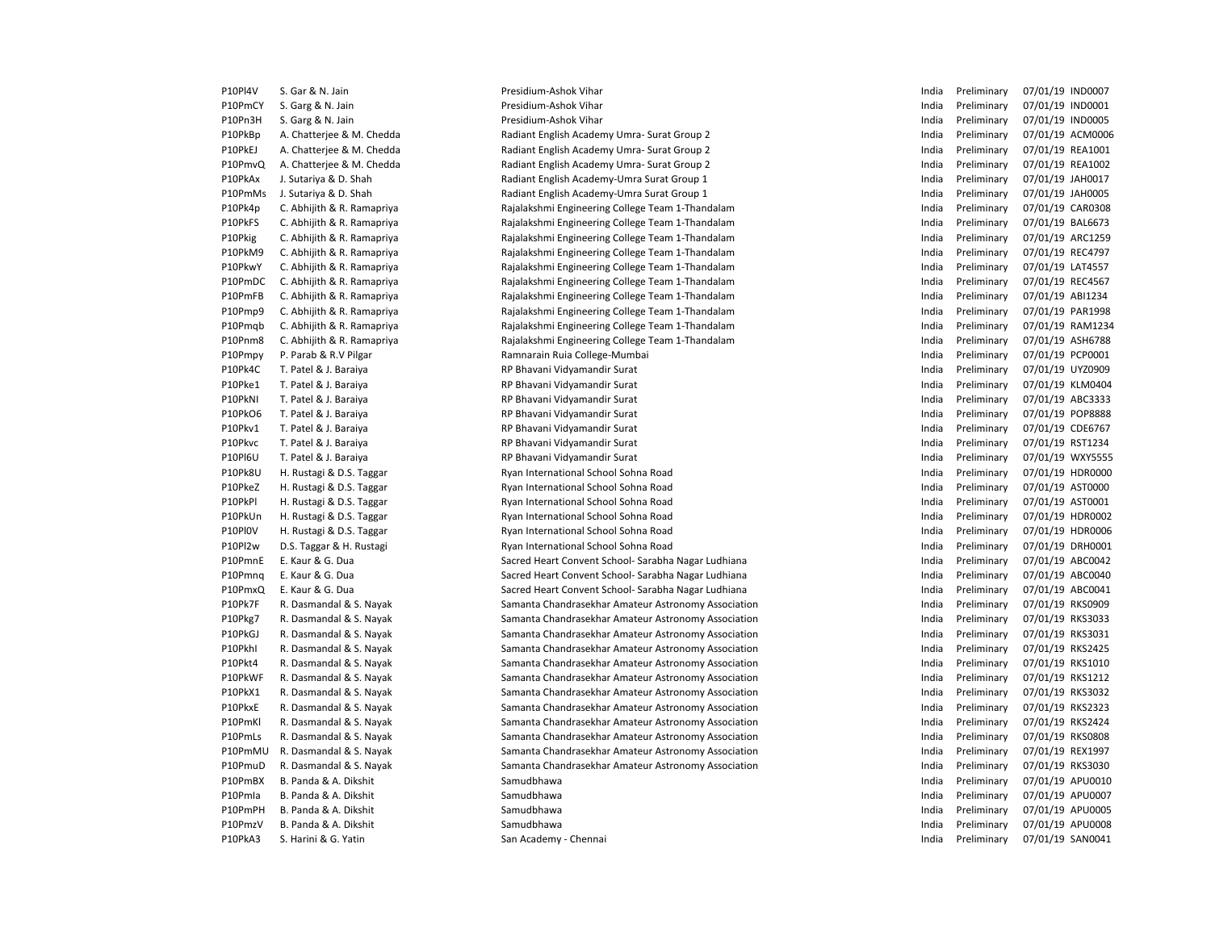| P10Pl4V        | S. Gar & N. Jain           | Presidium-Ashok Vihar                               | India | Preliminary | 07/01/19 IND0007 |
|----------------|----------------------------|-----------------------------------------------------|-------|-------------|------------------|
| P10PmCY        | S. Garg & N. Jain          | Presidium-Ashok Vihar                               | India | Preliminary | 07/01/19 IND0001 |
| P10Pn3H        | S. Garg & N. Jain          | Presidium-Ashok Vihar                               | India | Preliminary | 07/01/19 IND0005 |
| P10PkBp        | A. Chatterjee & M. Chedda  | Radiant English Academy Umra- Surat Group 2         | India | Preliminary | 07/01/19 ACM0006 |
| P10PkEJ        | A. Chatterjee & M. Chedda  | Radiant English Academy Umra- Surat Group 2         | India | Preliminary | 07/01/19 REA1001 |
| P10PmvQ        | A. Chatterjee & M. Chedda  | Radiant English Academy Umra-Surat Group 2          | India | Preliminary | 07/01/19 REA1002 |
| P10PkAx        | J. Sutariya & D. Shah      | Radiant English Academy-Umra Surat Group 1          | India | Preliminary | 07/01/19 JAH0017 |
| P10PmMs        | J. Sutariya & D. Shah      | Radiant English Academy-Umra Surat Group 1          | India | Preliminary | 07/01/19 JAH0005 |
| P10Pk4p        | C. Abhijith & R. Ramapriya | Rajalakshmi Engineering College Team 1-Thandalam    | India | Preliminary | 07/01/19 CAR0308 |
| P10PkFS        | C. Abhijith & R. Ramapriya | Rajalakshmi Engineering College Team 1-Thandalam    | India | Preliminary | 07/01/19 BAL6673 |
| P10Pkig        | C. Abhijith & R. Ramapriya | Rajalakshmi Engineering College Team 1-Thandalam    | India | Preliminary | 07/01/19 ARC1259 |
| P10PkM9        | C. Abhijith & R. Ramapriya | Rajalakshmi Engineering College Team 1-Thandalam    | India | Preliminary | 07/01/19 REC4797 |
| P10PkwY        | C. Abhijith & R. Ramapriya | Rajalakshmi Engineering College Team 1-Thandalam    | India | Preliminary | 07/01/19 LAT4557 |
| P10PmDC        | C. Abhijith & R. Ramapriya | Rajalakshmi Engineering College Team 1-Thandalam    | India | Preliminary | 07/01/19 REC4567 |
| P10PmFB        | C. Abhijith & R. Ramapriya | Rajalakshmi Engineering College Team 1-Thandalam    | India | Preliminary | 07/01/19 ABI1234 |
| P10Pmp9        | C. Abhijith & R. Ramapriya | Rajalakshmi Engineering College Team 1-Thandalam    | India | Preliminary | 07/01/19 PAR1998 |
| P10Pmgb        | C. Abhijith & R. Ramapriya | Rajalakshmi Engineering College Team 1-Thandalam    | India | Preliminary | 07/01/19 RAM1234 |
| P10Pnm8        | C. Abhijith & R. Ramapriya | Rajalakshmi Engineering College Team 1-Thandalam    | India | Preliminary | 07/01/19 ASH6788 |
| P10Pmpy        | P. Parab & R.V Pilgar      | Ramnarain Ruia College-Mumbai                       | India | Preliminary | 07/01/19 PCP0001 |
| P10Pk4C        | T. Patel & J. Baraiya      | RP Bhavani Vidyamandir Surat                        | India | Preliminary | 07/01/19 UYZ0909 |
| P10Pke1        | T. Patel & J. Baraiya      | RP Bhavani Vidyamandir Surat                        | India | Preliminary | 07/01/19 KLM0404 |
| P10PkNI        | T. Patel & J. Baraiya      | RP Bhavani Vidyamandir Surat                        | India | Preliminary | 07/01/19 ABC3333 |
| P10PkO6        | T. Patel & J. Baraiya      | RP Bhavani Vidyamandir Surat                        | India | Preliminary | 07/01/19 POP8888 |
| P10Pkv1        | T. Patel & J. Baraiya      | RP Bhavani Vidyamandir Surat                        | India | Preliminary | 07/01/19 CDE6767 |
| P10Pkvc        | T. Patel & J. Baraiya      | RP Bhavani Vidyamandir Surat                        | India | Preliminary | 07/01/19 RST1234 |
| <b>P10PI6U</b> | T. Patel & J. Baraiya      | RP Bhavani Vidyamandir Surat                        | India | Preliminary | 07/01/19 WXY5555 |
| P10Pk8U        | H. Rustagi & D.S. Taggar   | Ryan International School Sohna Road                | India | Preliminary | 07/01/19 HDR0000 |
| P10PkeZ        | H. Rustagi & D.S. Taggar   | Ryan International School Sohna Road                | India | Preliminary | 07/01/19 AST0000 |
| P10PkPl        | H. Rustagi & D.S. Taggar   | Ryan International School Sohna Road                | India | Preliminary | 07/01/19 AST0001 |
| P10PkUn        | H. Rustagi & D.S. Taggar   | Ryan International School Sohna Road                | India | Preliminary | 07/01/19 HDR0002 |
| P10PI0V        | H. Rustagi & D.S. Taggar   | Ryan International School Sohna Road                | India | Preliminary | 07/01/19 HDR0006 |
| P10Pl2w        | D.S. Taggar & H. Rustagi   | Ryan International School Sohna Road                | India | Preliminary | 07/01/19 DRH0001 |
| P10PmnE        | E. Kaur & G. Dua           | Sacred Heart Convent School- Sarabha Nagar Ludhiana | India | Preliminary | 07/01/19 ABC0042 |
| P10Pmnq        | E. Kaur & G. Dua           | Sacred Heart Convent School- Sarabha Nagar Ludhiana | India | Preliminary | 07/01/19 ABC0040 |
| P10PmxQ        | E. Kaur & G. Dua           | Sacred Heart Convent School- Sarabha Nagar Ludhiana | India | Preliminary | 07/01/19 ABC0041 |
| P10Pk7F        | R. Dasmandal & S. Nayak    | Samanta Chandrasekhar Amateur Astronomy Association | India | Preliminary | 07/01/19 RKS0909 |
| P10Pkg7        | R. Dasmandal & S. Nayak    | Samanta Chandrasekhar Amateur Astronomy Association | India | Preliminary | 07/01/19 RKS3033 |
| P10PkGJ        | R. Dasmandal & S. Nayak    | Samanta Chandrasekhar Amateur Astronomy Association | India | Preliminary | 07/01/19 RKS3031 |
| P10Pkhl        | R. Dasmandal & S. Nayak    | Samanta Chandrasekhar Amateur Astronomy Association | India | Preliminary | 07/01/19 RKS2425 |
| P10Pkt4        | R. Dasmandal & S. Nayak    | Samanta Chandrasekhar Amateur Astronomy Association | India | Preliminary | 07/01/19 RKS1010 |
| P10PkWF        | R. Dasmandal & S. Nayak    | Samanta Chandrasekhar Amateur Astronomy Association | India | Preliminary | 07/01/19 RKS1212 |
| P10PkX1        | R. Dasmandal & S. Nayak    | Samanta Chandrasekhar Amateur Astronomy Association | India | Preliminary | 07/01/19 RKS3032 |
| P10PkxE        | R. Dasmandal & S. Nayak    | Samanta Chandrasekhar Amateur Astronomy Association | India | Preliminary | 07/01/19 RKS2323 |
| P10PmKl        | R. Dasmandal & S. Nayak    | Samanta Chandrasekhar Amateur Astronomy Association | India | Preliminary | 07/01/19 RKS2424 |
| P10PmLs        | R. Dasmandal & S. Nayak    | Samanta Chandrasekhar Amateur Astronomy Association | India | Preliminary | 07/01/19 RKS0808 |
| P10PmMU        | R. Dasmandal & S. Nayak    | Samanta Chandrasekhar Amateur Astronomy Association | India | Preliminary | 07/01/19 REX1997 |
| P10PmuD        | R. Dasmandal & S. Nayak    | Samanta Chandrasekhar Amateur Astronomy Association | India | Preliminary | 07/01/19 RKS3030 |
| P10PmBX        | B. Panda & A. Dikshit      | Samudbhawa                                          | India | Preliminary | 07/01/19 APU0010 |
| P10Pmla        | B. Panda & A. Dikshit      | Samudbhawa                                          | India | Preliminary | 07/01/19 APU0007 |
| P10PmPH        | B. Panda & A. Dikshit      | Samudbhawa                                          | India | Preliminary | 07/01/19 APU0005 |
| P10PmzV        | B. Panda & A. Dikshit      | Samudbhawa                                          | India | Preliminary | 07/01/19 APU0008 |
| P10PkA3        | S. Harini & G. Yatin       | San Academy - Chennai                               | India | Preliminary | 07/01/19 SAN0041 |
|                |                            |                                                     |       |             |                  |

| India | Preliminary | 07/01/19 | <b>IND0007</b> |
|-------|-------------|----------|----------------|
| India | Preliminary | 07/01/19 | <b>IND0001</b> |
| India | Preliminary | 07/01/19 | <b>IND0005</b> |
| India | Preliminary | 07/01/19 | ACM0006        |
| India | Preliminary | 07/01/19 | REA1001        |
| India | Preliminary | 07/01/19 | REA1002        |
| India | Preliminary | 07/01/19 | JAH0017        |
| India | Preliminary | 07/01/19 | JAH0005        |
| India | Preliminary | 07/01/19 | <b>CAR0308</b> |
| India | Preliminary | 07/01/19 | <b>BAL6673</b> |
| India | Preliminary | 07/01/19 | ARC1259        |
| India | Preliminary | 07/01/19 | <b>REC4797</b> |
| India | Preliminary | 07/01/19 | LAT4557        |
| India | Preliminary | 07/01/19 | <b>REC4567</b> |
| India | Preliminary | 07/01/19 | ABI1234        |
| India | Preliminary | 07/01/19 | PAR1998        |
| India | Preliminary | 07/01/19 | RAM1234        |
| India | Preliminary | 07/01/19 | ASH6788        |
| India | Preliminary | 07/01/19 | PCP0001        |
| India | Preliminary | 07/01/19 | UYZ0909        |
| India | Preliminary | 07/01/19 | <b>KLM0404</b> |
| India | Preliminary | 07/01/19 | ABC3333        |
| India | Preliminary | 07/01/19 | POP8888        |
| India | Preliminary | 07/01/19 | CDE6767        |
| India | Preliminary | 07/01/19 | RST1234        |
| India | Preliminary | 07/01/19 | <b>WXY5555</b> |
| India | Preliminary | 07/01/19 | HDR0000        |
| India | Preliminary | 07/01/19 | AST0000        |
| India | Preliminary | 07/01/19 | AST0001        |
| India | Preliminary | 07/01/19 | HDR0002        |
| India | Preliminary | 07/01/19 | <b>HDR0006</b> |
| India | Preliminary | 07/01/19 | DRH0001        |
| India | Preliminary | 07/01/19 | ABC0042        |
| India | Preliminary | 07/01/19 | ABC0040        |
| India | Preliminary | 07/01/19 | ABC0041        |
| India | Preliminary | 07/01/19 | <b>RKS0909</b> |
| India | Preliminary | 07/01/19 | <b>RKS3033</b> |
| India | Preliminary | 07/01/19 | <b>RKS3031</b> |
| India | Preliminary | 07/01/19 | <b>RKS2425</b> |
| India | Preliminary | 07/01/19 | RKS1010        |
| India | Preliminary | 07/01/19 | <b>RKS1212</b> |
| India | Preliminary | 07/01/19 | <b>RKS3032</b> |
| India | Preliminary | 07/01/19 | <b>RKS2323</b> |
| India | Preliminary | 07/01/19 | <b>RKS2424</b> |
| India | Preliminary | 07/01/19 | <b>RKS0808</b> |
| India | Preliminary | 07/01/19 | REX1997        |
| India | Preliminary | 07/01/19 | RKS3030        |
| India | Preliminary | 07/01/19 | APU0010        |
| India | Preliminary | 07/01/19 | APU0007        |
| India | Preliminary | 07/01/19 | APU0005        |
| India | Preliminary | 07/01/19 | APU0008        |
| India | Preliminary | 07/01/19 | SAN0041        |
|       |             |          |                |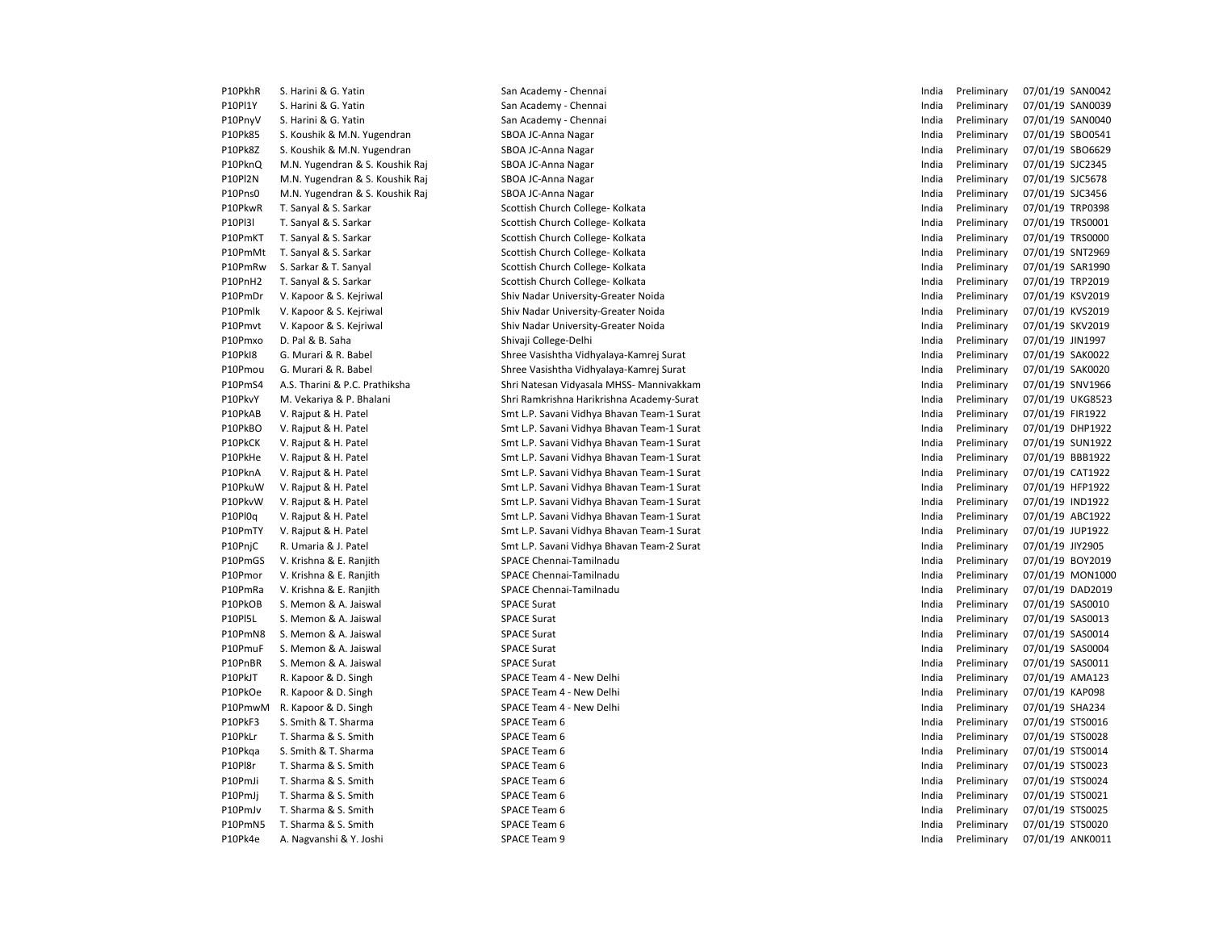P10PkhR S. Harini & G. Yatin San San Academy - Chennai San Academy - Chennai India Preliminary 07/01/19 SAN0042 P10Pl1Y S. Harini & G. Yatin Natural Academy - Chennai Natural San Academy - Chennai India Preliminary 07/01/19 SAN0039 P10PnyV S. Harini & G. Yatin Nation San Academy - Chennai San Academy - Chennai India Preliminary 07/01/19 SAN0040 P10Pk85 S. Koushik & M.N. Yugendran SBOA JC-Anna Nagar San Maria Preliminary 07/01/19 SBO0541 P10Pk8Z S. Koushik & M.N. Yugendran SBOA JC-Anna Nagar India Preliminary 07/01/19 SBO6629 P10PknQ M.N. Yugendran & S. Koushik Raj SBOA JC-Anna Nagar India Preliminary 07/01/19 SJC2345 P10Pl2N M.N. Yugendran & S. Koushik Raj SBOA JC-Anna Nagar India Preliminary 07/01/19 SJC5678 P10Pns0 M.N. Yugendran & S. Koushik Raj SBOA JC-Anna Nagar India Preliminary 07/01/19 SJC3456 P10PkwR T. Sanyal & S. Sarkar Scottish Church College- Kolkata India Preliminary 07/01/19 TRP0398 P10Pl3l T. Sanyal & S. Sarkar Scottish Church College- Kolkata India Preliminary 07/01/19 TRS0001 P10PmKT T. Sanyal & S. Sarkar Scottish Church College- Kolkata India Preliminary 07/01/19 TRS0000 P10PmMt T. Sanyal & S. Sarkar Scottish Church College- Kolkata India Preliminary 07/01/19 SNT2969 P10PmRw S. Sarkar & T. Sanyal Scottish Church College- Kolkata India Preliminary 07/01/19 SAR1990 P10PnH2 T. Sanyal & S. Sarkar Scottish Church College- Kolkata India Preliminary 07/01/19 TRP2019 P10PmDr V. Kapoor & S. Kejriwal Shiv Nadar University-Greater Noida India Preliminary 07/01/19 KSV2019 Channel China Preliminary 07/01/19 KSV2019 P10Pmlk V. Kapoor & S. Kejriwal Shiv Nadar University-Greater Noida India Preliminary 07/01/19 KVS2019 KVS2019 P10Pmvt V. Kapoor & S. Keiriwal Shiv Nadar University-Greater Noida India Preliminary 07/01/19 SKV2019 SKV2019 P10Pmxo D. Pal & B. Saha North Shivaji College-Delhi North Shivaji College-Delhi India Preliminary 07/01/19 JIN1997 P10PkI8 G. Murari & R. Babel Shree Vasishtha Vidhyalaya-Kamrej Surat India Preliminary 07/01/19 SAK0022 P10Pmou G. Murari & R. Babel Shree Vasishtha Vidhyalaya-Kamrej Surat India Preliminary 07/01/19 SAK0020 P10PmS4 A.S. Tharini & P.C. Prathiksha Shri Natesan Vidyasala MHSS- Mannivakkam India Preliminary 07/01/19 SNV1966 P10PkvY M. Vekariya & P. Bhalani Shri Ramkrishna Harikrishna Academy-Surat India Preliminary 07/01/19 UKG8523 P10PkAB V. Rajput & H. Patel Smt L.P. Savani Vidhya Bhavan Team-1 Surat India Preliminary 07/01/19 FIR1922 P10PkBO V. Rajput & H. Patel Smt L.P. Savani Vidhya Bhavan Team-1 Surat India Preliminary 07/01/19 DHP1922 P10PkCK V. Rajput & H. Patel Smt L.P. Savani Vidhya Bhavan Team-1 Surat India Preliminary 07/01/19 SUN1922 P10PkHe V. Rajput & H. Patel Smt L.P. Savani Vidhya Bhavan Team-1 Surat India Preliminary 07/01/19 BBB1922 P10PknA V. Rajput & H. Patel Smt L.P. Savani Vidhya Bhavan Team-1 Surat India Preliminary 07/01/19 CAT1922 P10PkuW V. Rajput & H. Patel Smt L.P. Savani Vidhya Bhavan Team-1 Surat India Preliminary 07/01/19 HFP1922 P10PkvW V. Rajput & H. Patel Smt L.P. Savani Vidhya Bhavan Team-1 Surat India Preliminary 07/01/19 IND1922 P10Pl0q V. Raiput & H. Patel et al. Patel Smt L.P. Savani Vidhya Bhavan Team-1 Surat Changard Changary (1992) P10Pl0q V. Rajput ABC1922 P10PmTY V. Rajput & H. Patel Smt L.P. Savani Vidhya Bhavan Team-1 Surat India Preliminary 07/01/19 JUP1922 P10PnjC R. Umaria & J. Patel Smt L.P. Savani Vidhya Bhavan Team-2 Surat India Preliminary 07/01/19 JIY2905 P10PmGS V. Krishna & E. Ranjith SPACE Chennai-Tamilnadu **India Preliminary 07/01/19 BOY2019** P10Pmor V. Krishna & E. Ranjith SPACE Chennai-Tamilnadu **India Preliminary 07/01/19 MON1000** P10PmRa V. Krishna & E. Ranjith SPACE Chennai-Tamilnadu India Preliminary 07/01/19 DAD2019 P10PkOB S. Memon & A. Jaiswal SPACE Surat India Preliminary 07/01/19 SAS0010 P10Pl5L S. Memon & A. Jaiswal SPACE Surat India Preliminary 07/01/19 SAS0013 P10PmN8 S. Memon & A. Jaiswal SPACE Surat India Preliminary 07/01/19 SAS0014 P10PmuF S. Memon & A. Jaiswal SPACE Surat India Preliminary 07/01/19 SAS0004 P10PnBR S. Memon & A. Jaiswal SPACE Surat India Preliminary 07/01/19 SAS0011 P10PkJT R. Kapoor & D. Singh SPACE Team 4 - New Delhi Space Team 4 - New Delhi India Preliminary 07/01/19 AMA123 P10PkOe R. Kapoor & D. Singh Samman Space Team 4 - New Delhi India Preliminary 07/01/19 KAP098 P10PmwM R. Kapoor & D. Singh SPACE Team 4 - New Delhi India Preliminary 07/01/19 SHA234 P10PkF3 S. Smith & T. Sharma November 2001 SPACE Team 6 India Preliminary 07/01/19 STS0016 P10PkLr T. Sharma & S. Smith SPACE Team 6 India Preliminary 07/01/19 STS0028 P10Pkqa S. Smith & T. Sharma SPACE Team 6 India Preliminary 07/01/19 STS0014 P10Pl8r T. Sharma & S. Smith SPACE Team 6 India Preliminary 07/01/19 STS0023 P10PmJi T. Sharma & S. Smith SPACE Team 6 India Preliminary 07/01/19 STS0024 P10PmJj T. Sharma & S. Smith SPACE Team 6 India Preliminary 07/01/19 STS0021 P10PmJv T. Sharma & S. Smith SPACE Team 6 India Preliminary 07/01/19 STS0025 P10PmN5 T. Sharma & S. Smith SPACE Team 6 India Preliminary 07/01/19 STS0020 P10Pk4e A. Nagvanshi & Y. Joshi SPACE Team 9 SPACE Team 9 India Preliminary 07/01/19 ANK0011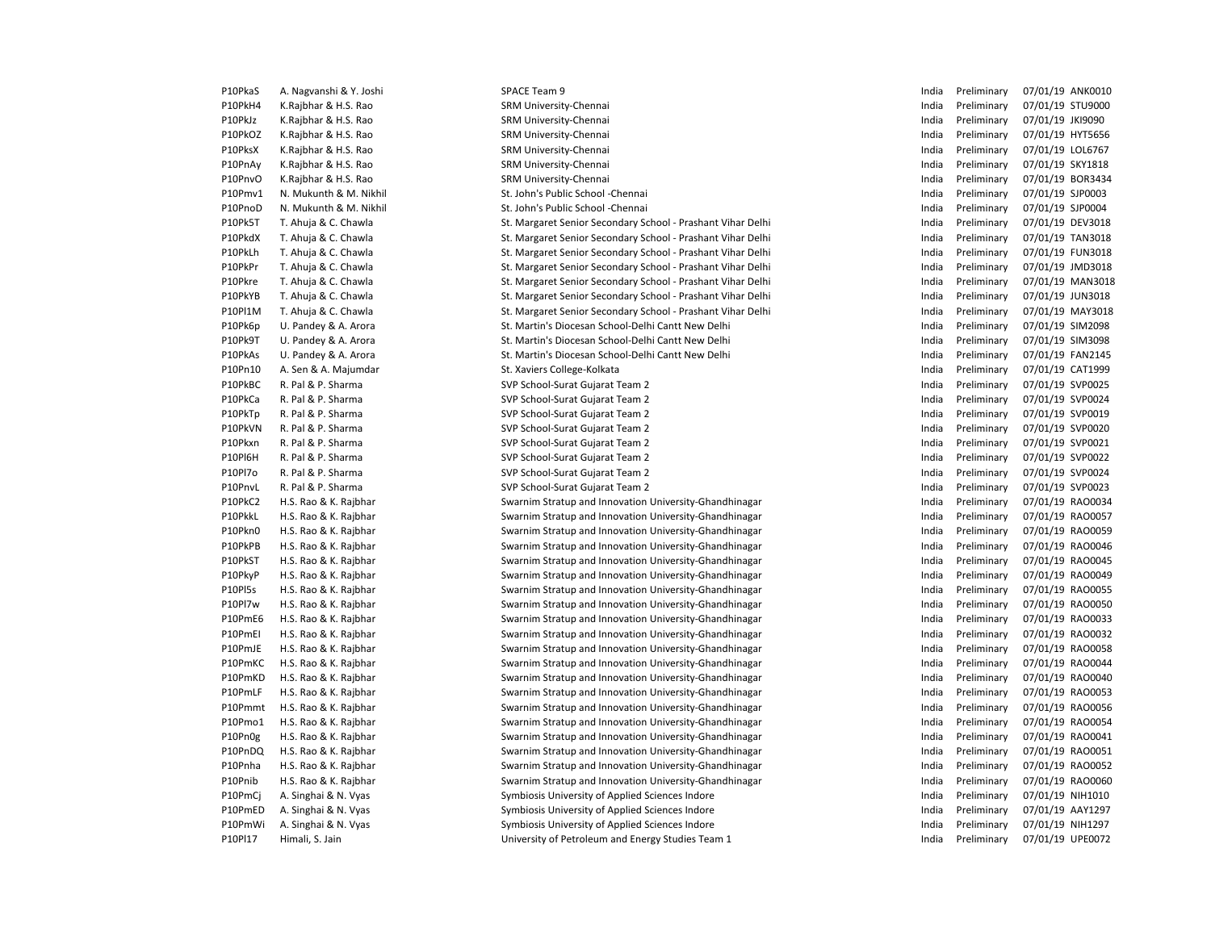| P10PkaS | A. Nagvanshi & Y. Joshi | SPACE Team 9                                                | India | Preliminary | 07/01/19 ANK0010 |
|---------|-------------------------|-------------------------------------------------------------|-------|-------------|------------------|
| P10PkH4 | K.Rajbhar & H.S. Rao    | SRM University-Chennai                                      | India | Preliminary | 07/01/19 STU9000 |
| P10PkJz | K.Rajbhar & H.S. Rao    | SRM University-Chennai                                      | India | Preliminary | 07/01/19 JKI9090 |
| P10PkOZ | K.Rajbhar & H.S. Rao    | SRM University-Chennai                                      | India | Preliminary | 07/01/19 HYT5656 |
| P10PksX | K.Rajbhar & H.S. Rao    | SRM University-Chennai                                      | India | Preliminary | 07/01/19 LOL6767 |
| P10PnAy | K.Rajbhar & H.S. Rao    | SRM University-Chennai                                      | India | Preliminary | 07/01/19 SKY1818 |
| P10PnvO | K.Rajbhar & H.S. Rao    | SRM University-Chennai                                      | India | Preliminary | 07/01/19 BOR3434 |
| P10Pmv1 | N. Mukunth & M. Nikhil  | St. John's Public School - Chennai                          | India | Preliminary | 07/01/19 SJP0003 |
| P10PnoD | N. Mukunth & M. Nikhil  | St. John's Public School - Chennai                          | India | Preliminary | 07/01/19 SJP0004 |
| P10Pk5T | T. Ahuja & C. Chawla    | St. Margaret Senior Secondary School - Prashant Vihar Delhi | India | Preliminary | 07/01/19 DEV3018 |
| P10PkdX | T. Ahuja & C. Chawla    | St. Margaret Senior Secondary School - Prashant Vihar Delhi | India | Preliminary | 07/01/19 TAN3018 |
| P10PkLh | T. Ahuja & C. Chawla    | St. Margaret Senior Secondary School - Prashant Vihar Delhi | India | Preliminary | 07/01/19 FUN3018 |
| P10PkPr | T. Ahuja & C. Chawla    | St. Margaret Senior Secondary School - Prashant Vihar Delhi | India | Preliminary | 07/01/19 JMD3018 |
| P10Pkre | T. Ahuja & C. Chawla    | St. Margaret Senior Secondary School - Prashant Vihar Delhi | India | Preliminary | 07/01/19 MAN3018 |
| P10PkYB | T. Ahuja & C. Chawla    | St. Margaret Senior Secondary School - Prashant Vihar Delhi | India | Preliminary | 07/01/19 JUN3018 |
| P10Pl1M | T. Ahuja & C. Chawla    | St. Margaret Senior Secondary School - Prashant Vihar Delhi | India | Preliminary | 07/01/19 MAY3018 |
| P10Pk6p | U. Pandey & A. Arora    | St. Martin's Diocesan School-Delhi Cantt New Delhi          | India | Preliminary | 07/01/19 SIM2098 |
| P10Pk9T | U. Pandey & A. Arora    | St. Martin's Diocesan School-Delhi Cantt New Delhi          | India | Preliminary | 07/01/19 SIM3098 |
| P10PkAs | U. Pandey & A. Arora    | St. Martin's Diocesan School-Delhi Cantt New Delhi          | India | Preliminary | 07/01/19 FAN2145 |
| P10Pn10 | A. Sen & A. Majumdar    | St. Xaviers College-Kolkata                                 | India | Preliminary | 07/01/19 CAT1999 |
| P10PkBC | R. Pal & P. Sharma      | SVP School-Surat Gujarat Team 2                             | India | Preliminary | 07/01/19 SVP0025 |
| P10PkCa | R. Pal & P. Sharma      | SVP School-Surat Gujarat Team 2                             | India | Preliminary | 07/01/19 SVP0024 |
| P10PkTp | R. Pal & P. Sharma      | SVP School-Surat Gujarat Team 2                             | India | Preliminary | 07/01/19 SVP0019 |
| P10PkVN | R. Pal & P. Sharma      | SVP School-Surat Gujarat Team 2                             | India | Preliminary | 07/01/19 SVP0020 |
| P10Pkxn | R. Pal & P. Sharma      | SVP School-Surat Gujarat Team 2                             | India | Preliminary | 07/01/19 SVP0021 |
| P10Pl6H | R. Pal & P. Sharma      | SVP School-Surat Gujarat Team 2                             | India | Preliminary | 07/01/19 SVP0022 |
| P10Pl7o | R. Pal & P. Sharma      | SVP School-Surat Gujarat Team 2                             | India | Preliminary | 07/01/19 SVP0024 |
| P10PnvL | R. Pal & P. Sharma      | SVP School-Surat Gujarat Team 2                             | India | Preliminary | 07/01/19 SVP0023 |
| P10PkC2 | H.S. Rao & K. Rajbhar   | Swarnim Stratup and Innovation University-Ghandhinagar      | India | Preliminary | 07/01/19 RAO0034 |
| P10PkkL | H.S. Rao & K. Rajbhar   | Swarnim Stratup and Innovation University-Ghandhinagar      | India | Preliminary | 07/01/19 RAO0057 |
| P10Pkn0 | H.S. Rao & K. Rajbhar   | Swarnim Stratup and Innovation University-Ghandhinagar      | India | Preliminary | 07/01/19 RAO0059 |
| P10PkPB | H.S. Rao & K. Rajbhar   | Swarnim Stratup and Innovation University-Ghandhinagar      | India | Preliminary | 07/01/19 RAO0046 |
| P10PkST | H.S. Rao & K. Rajbhar   | Swarnim Stratup and Innovation University-Ghandhinagar      | India | Preliminary | 07/01/19 RAO0045 |
| P10PkyP | H.S. Rao & K. Rajbhar   | Swarnim Stratup and Innovation University-Ghandhinagar      | India | Preliminary | 07/01/19 RAO0049 |
| P10PI5s | H.S. Rao & K. Rajbhar   | Swarnim Stratup and Innovation University-Ghandhinagar      | India | Preliminary | 07/01/19 RAO0055 |
| P10Pl7w | H.S. Rao & K. Rajbhar   | Swarnim Stratup and Innovation University-Ghandhinagar      | India | Preliminary | 07/01/19 RAO0050 |
| P10PmE6 | H.S. Rao & K. Rajbhar   | Swarnim Stratup and Innovation University-Ghandhinagar      | India | Preliminary | 07/01/19 RAO0033 |
| P10PmEI | H.S. Rao & K. Rajbhar   | Swarnim Stratup and Innovation University-Ghandhinagar      | India | Preliminary | 07/01/19 RAO0032 |
| P10PmJE | H.S. Rao & K. Rajbhar   | Swarnim Stratup and Innovation University-Ghandhinagar      | India | Preliminary | 07/01/19 RAO0058 |
| P10PmKC | H.S. Rao & K. Rajbhar   | Swarnim Stratup and Innovation University-Ghandhinagar      | India | Preliminary | 07/01/19 RAO0044 |
| P10PmKD | H.S. Rao & K. Rajbhar   | Swarnim Stratup and Innovation University-Ghandhinagar      | India | Preliminary | 07/01/19 RAO0040 |
| P10PmLF | H.S. Rao & K. Rajbhar   | Swarnim Stratup and Innovation University-Ghandhinagar      | India | Preliminary | 07/01/19 RAO0053 |
| P10Pmmt | H.S. Rao & K. Rajbhar   | Swarnim Stratup and Innovation University-Ghandhinagar      | India | Preliminary | 07/01/19 RAO0056 |
| P10Pmo1 | H.S. Rao & K. Rajbhar   | Swarnim Stratup and Innovation University-Ghandhinagar      | India | Preliminary | 07/01/19 RAO0054 |
| P10Pn0g | H.S. Rao & K. Rajbhar   | Swarnim Stratup and Innovation University-Ghandhinagar      | India | Preliminary | 07/01/19 RAO0041 |
| P10PnDQ | H.S. Rao & K. Rajbhar   | Swarnim Stratup and Innovation University-Ghandhinagar      | India | Preliminary | 07/01/19 RAO0051 |
| P10Pnha | H.S. Rao & K. Rajbhar   | Swarnim Stratup and Innovation University-Ghandhinagar      | India | Preliminary | 07/01/19 RAO0052 |
| P10Pnib | H.S. Rao & K. Rajbhar   | Swarnim Stratup and Innovation University-Ghandhinagar      | India | Preliminary | 07/01/19 RAO0060 |
| P10PmCj | A. Singhai & N. Vyas    | Symbiosis University of Applied Sciences Indore             | India | Preliminary | 07/01/19 NIH1010 |
| P10PmED | A. Singhai & N. Vyas    | Symbiosis University of Applied Sciences Indore             | India | Preliminary | 07/01/19 AAY1297 |
| P10PmWi | A. Singhai & N. Vyas    | Symbiosis University of Applied Sciences Indore             | India | Preliminary | 07/01/19 NIH1297 |
| P10Pl17 | Himali, S. Jain         | University of Petroleum and Energy Studies Team 1           | India | Preliminary | 07/01/19 UPE0072 |
|         |                         |                                                             |       |             |                  |

| India | Preliminary | 07/01/19 | ANK0010        |
|-------|-------------|----------|----------------|
| India | Preliminary | 07/01/19 | STU9000        |
| India | Preliminary | 07/01/19 | <b>JKI9090</b> |
| India | Preliminary | 07/01/19 | HYT5656        |
| India | Preliminary | 07/01/19 | LOL6767        |
| India | Preliminary | 07/01/19 | <b>SKY1818</b> |
| India | Preliminary | 07/01/19 | BOR3434        |
| India | Preliminary | 07/01/19 | SJP0003        |
| India | Preliminary | 07/01/19 | SJP0004        |
| India | Preliminary | 07/01/19 | <b>DEV3018</b> |
| India | Preliminary | 07/01/19 | <b>TAN3018</b> |
| India | Preliminary | 07/01/19 | <b>FUN3018</b> |
| India | Preliminary | 07/01/19 | JMD3018        |
| India | Preliminary | 07/01/19 | MAN3018        |
| India | Preliminary | 07/01/19 | <b>JUN3018</b> |
| India | Preliminary | 07/01/19 | MAY3018        |
| India | Preliminary | 07/01/19 | SIM2098        |
| India | Preliminary | 07/01/19 | SIM3098        |
| India | Preliminary | 07/01/19 | <b>FAN2145</b> |
| India | Preliminary | 07/01/19 | CAT1999        |
| India | Preliminary | 07/01/19 | SVP0025        |
| India | Preliminary | 07/01/19 | SVP0024        |
| India | Preliminary | 07/01/19 | SVP0019        |
| India | Preliminary | 07/01/19 | SVP0020        |
| India | Preliminary | 07/01/19 | SVP0021        |
| India | Preliminary | 07/01/19 | SVP0022        |
| India | Preliminary | 07/01/19 | SVP0024        |
| India | Preliminary | 07/01/19 | SVP0023        |
| India | Preliminary | 07/01/19 | RAO0034        |
| India | Preliminary | 07/01/19 | RAO0057        |
| India | Preliminary | 07/01/19 | RAO0059        |
| India | Preliminary | 07/01/19 | RAO0046        |
| India | Preliminary | 07/01/19 | RAO0045        |
| India | Preliminary | 07/01/19 | RAO0049        |
| India | Preliminary | 07/01/19 | RAO0055        |
| India | Preliminary | 07/01/19 | RAO0050        |
| India | Preliminary | 07/01/19 | RAO0033        |
| India | Preliminary | 07/01/19 | RAO0032        |
| India | Preliminary | 07/01/19 | RAO0058        |
| India | Preliminary | 07/01/19 | RAO0044        |
| India | Preliminary | 07/01/19 | RAO0040        |
| India | Preliminary | 07/01/19 | RAO0053        |
| India | Preliminary | 07/01/19 | RAO0056        |
| India | Preliminary | 07/01/19 | RAO0054        |
| India | Preliminary | 07/01/19 | RAO0041        |
| India | Preliminary | 07/01/19 | RAO0051        |
| India | Preliminary | 07/01/19 | RAO0052        |
| India | Preliminary | 07/01/19 | RAO0060        |
| India | Preliminary | 07/01/19 | NIH1010        |
| India | Preliminary | 07/01/19 | AAY1297        |
| India | Preliminary | 07/01/19 | NIH1297        |
| India | Preliminary | 07/01/19 | UPE0072        |
|       |             |          |                |